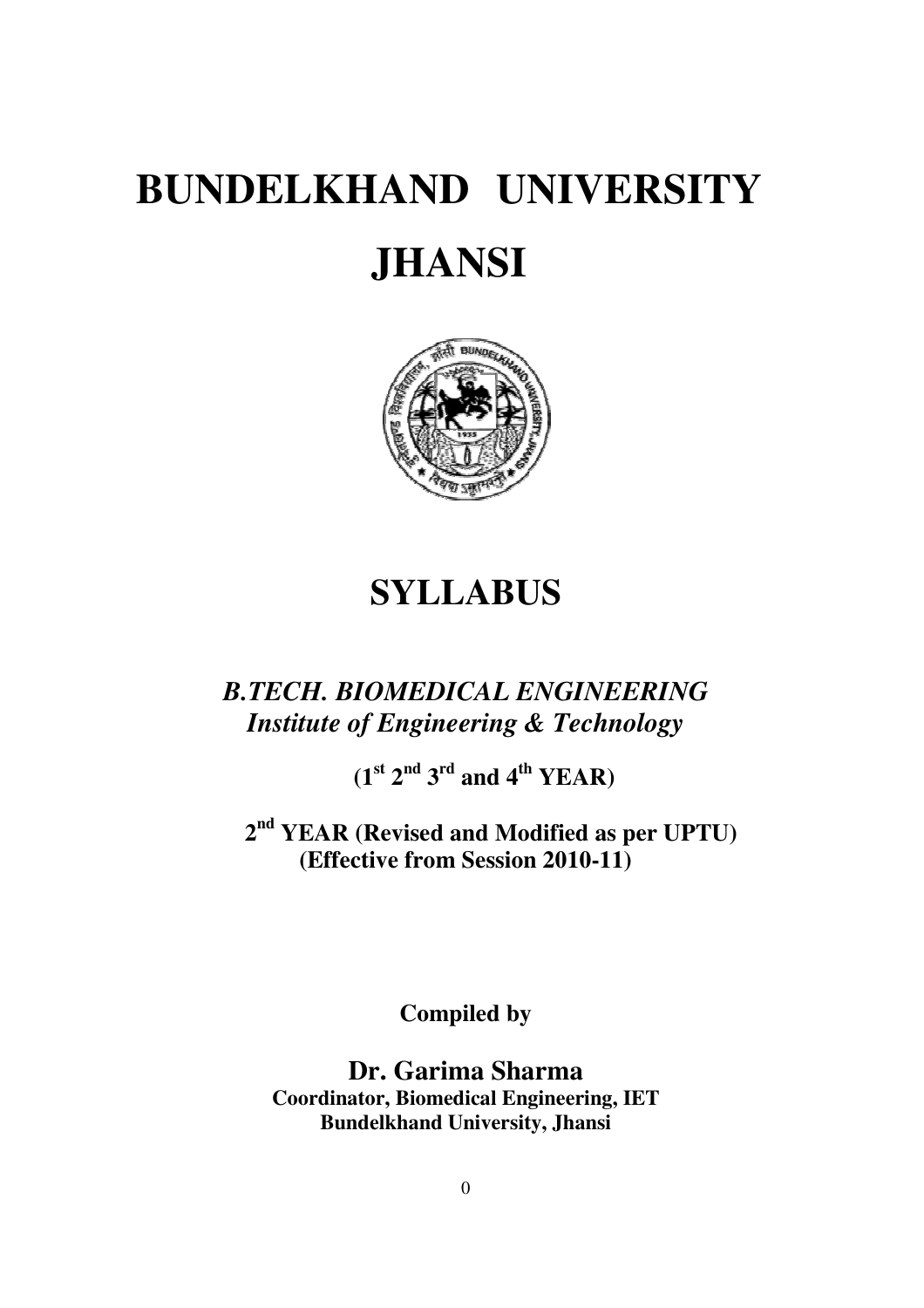# **BUNDELKHAND UNIVERSITY JHANSI**



## **SYLLABUS**

## *B.TECH. BIOMEDICAL ENGINEERING Institute of Engineering & Technology*

 $(1<sup>st</sup> 2<sup>nd</sup> 3<sup>rd</sup>$  and  $4<sup>th</sup>$  YEAR)

**2 nd YEAR (Revised and Modified as per UPTU) (Effective from Session 2010-11)** 

**Compiled by** 

**Dr. Garima Sharma Coordinator, Biomedical Engineering, IET Bundelkhand University, Jhansi**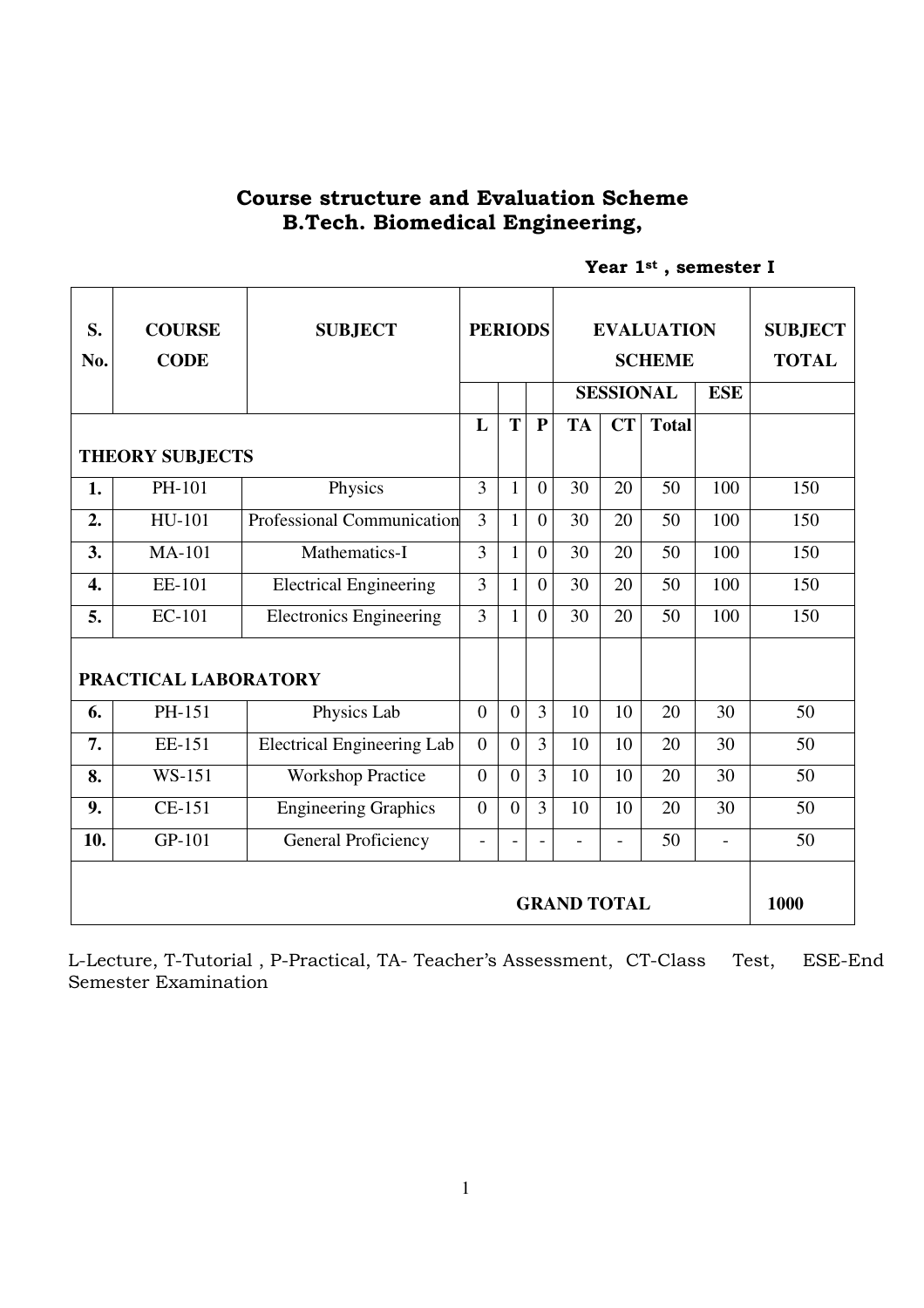## Course structure and Evaluation Scheme B.Tech. Biomedical Engineering,

|  |  |  | Year 1st, semester I |  |
|--|--|--|----------------------|--|
|--|--|--|----------------------|--|

| S.<br>No.        | <b>COURSE</b><br><b>CODE</b> | <b>SUBJECT</b>                    | <b>PERIODS</b> |                | <b>EVALUATION</b><br><b>SCHEME</b> |                |                  |              |               | <b>SUBJECT</b><br><b>TOTAL</b> |
|------------------|------------------------------|-----------------------------------|----------------|----------------|------------------------------------|----------------|------------------|--------------|---------------|--------------------------------|
|                  |                              |                                   |                |                |                                    |                | <b>SESSIONAL</b> |              | <b>ESE</b>    |                                |
|                  |                              |                                   | L              | T              | ${\bf P}$                          | <b>TA</b>      | CT               | <b>Total</b> |               |                                |
|                  | <b>THEORY SUBJECTS</b>       |                                   |                |                |                                    |                |                  |              |               |                                |
| 1.               | PH-101                       | Physics                           | $\overline{3}$ | $\mathbf{1}$   | $\overline{0}$                     | 30             | 20               | 50           | 100           | 150                            |
| 2.               | HU-101                       | Professional Communication        | $\overline{3}$ | $\mathbf{1}$   | $\overline{0}$                     | 30             | 20               | 50           | 100           | 150                            |
| 3.               | <b>MA-101</b>                | Mathematics-I                     | $\overline{3}$ | $\mathbf{1}$   | $\overline{0}$                     | 30             | 20               | 50           | 100           | 150                            |
| $\overline{4}$ . | EE-101                       | <b>Electrical Engineering</b>     | $\overline{3}$ | $\mathbf{1}$   | $\overline{0}$                     | 30             | 20               | 50           | 100           | 150                            |
| 5.               | EC-101                       | <b>Electronics Engineering</b>    | $\overline{3}$ | $\mathbf{1}$   | $\Omega$                           | 30             | 20               | 50           | 100           | 150                            |
|                  | PRACTICAL LABORATORY         |                                   |                |                |                                    |                |                  |              |               |                                |
| 6.               | PH-151                       | Physics Lab                       | $\overline{0}$ | $\overline{0}$ | $\overline{3}$                     | 10             | 10               | 20           | 30            | 50                             |
| 7.               | EE-151                       | <b>Electrical Engineering Lab</b> | $\overline{0}$ | $\overline{0}$ | $\overline{3}$                     | 10             | 10               | 20           | 30            | 50                             |
| 8.               | WS-151                       | <b>Workshop Practice</b>          | $\overline{0}$ | $\overline{0}$ | $\overline{3}$                     | 10             | 10               | 20           | 30            | 50                             |
|                  | CE-151                       | <b>Engineering Graphics</b>       | $\overline{0}$ | $\overline{0}$ | $\overline{3}$                     | 10             | 10               | 20           | 30            | 50                             |
| 9.               |                              |                                   |                |                |                                    |                |                  |              |               |                                |
| 10.              | GP-101                       | <b>General Proficiency</b>        | $\blacksquare$ |                | $\blacksquare$                     | $\blacksquare$ | $\overline{a}$   | 50           | $\frac{1}{2}$ | 50                             |

L-Lecture, T-Tutorial , P-Practical, TA- Teacher's Assessment, CT-Class Test, ESE-End Semester Examination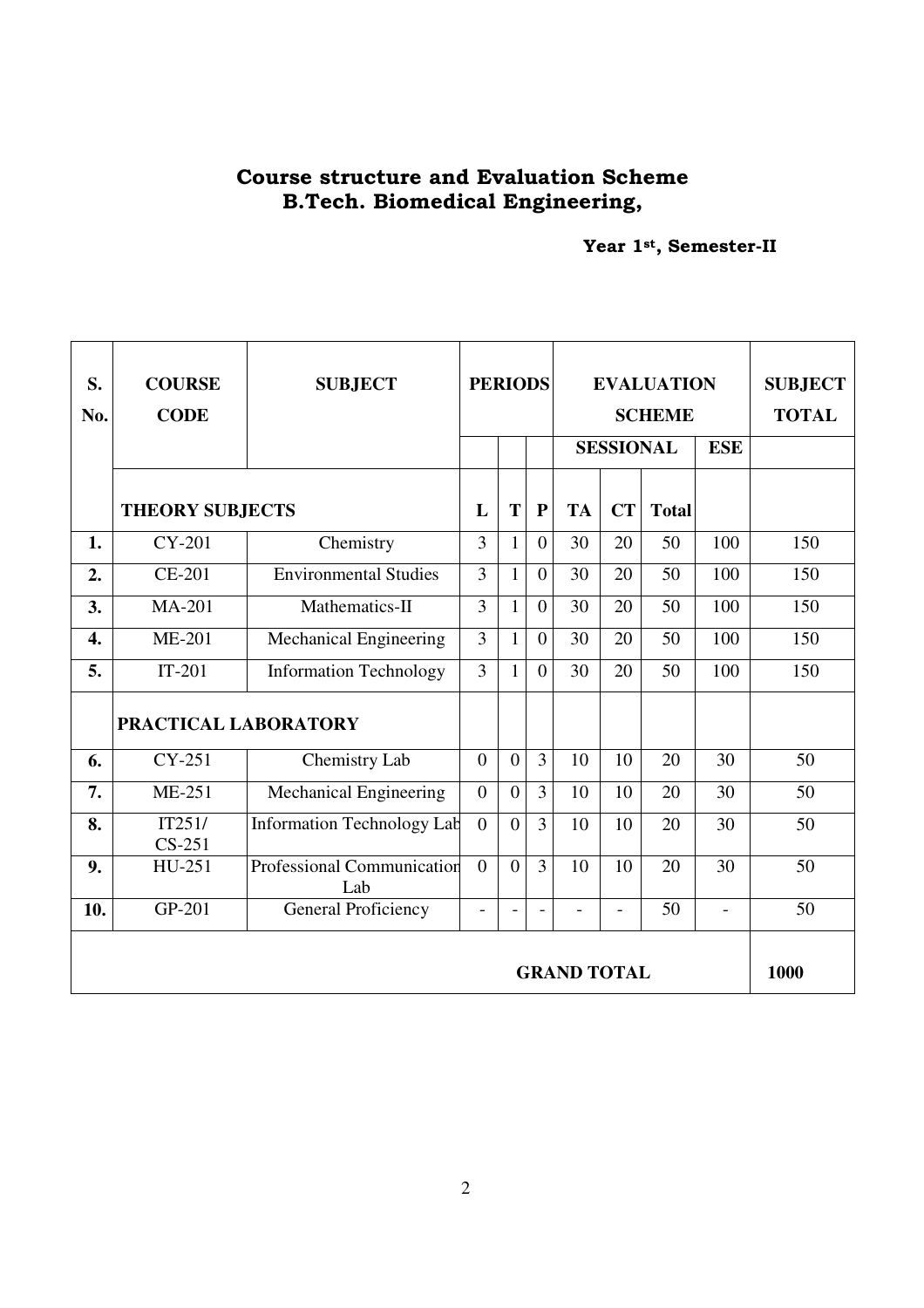## Course structure and Evaluation Scheme B.Tech. Biomedical Engineering,

Year 1st, Semester-II

| S.<br>No.          | <b>COURSE</b><br><b>CODE</b> | <b>SUBJECT</b>                    | <b>PERIODS</b> |                          |                |                | <b>EVALUATION</b><br><b>SCHEME</b> | <b>SUBJECT</b><br><b>TOTAL</b> |                          |      |
|--------------------|------------------------------|-----------------------------------|----------------|--------------------------|----------------|----------------|------------------------------------|--------------------------------|--------------------------|------|
|                    |                              |                                   |                |                          |                |                | <b>SESSIONAL</b>                   |                                | <b>ESE</b>               |      |
|                    | <b>THEORY SUBJECTS</b>       |                                   | L              | T                        | ${\bf P}$      | <b>TA</b>      | <b>CT</b>                          | <b>Total</b>                   |                          |      |
| 1.                 | CY-201                       | Chemistry                         | $\overline{3}$ | $\mathbf{1}$             | $\overline{0}$ | 30             | 20                                 | 50                             | 100                      | 150  |
| 2.                 | <b>CE-201</b>                | <b>Environmental Studies</b>      | 3              | 1                        | $\overline{0}$ | 30             | 20                                 | 50                             | 100                      | 150  |
| 3.                 | <b>MA-201</b>                | Mathematics-II                    | 3              | $\mathbf{1}$             | $\overline{0}$ | 30             | 20                                 | 50                             | 100                      | 150  |
| 4.                 | ME-201                       | Mechanical Engineering            | 3              | $\mathbf{1}$             | $\overline{0}$ | 30             | 20                                 | 50                             | 100                      | 150  |
| 5.                 | $IT-201$                     | <b>Information Technology</b>     | 3              | 1                        | $\overline{0}$ | 30             | 20                                 | 50                             | 100                      | 150  |
|                    | PRACTICAL LABORATORY         |                                   |                |                          |                |                |                                    |                                |                          |      |
| 6.                 | $CY-251$                     | Chemistry Lab                     | $\overline{0}$ | $\overline{0}$           | $\overline{3}$ | 10             | 10                                 | 20                             | 30                       | 50   |
| 7.                 | <b>ME-251</b>                | Mechanical Engineering            | $\overline{0}$ | $\overline{0}$           | $\overline{3}$ | 10             | 10                                 | 20                             | 30                       | 50   |
| 8.                 | IT251/<br>$CS-251$           | <b>Information Technology Lab</b> | $\theta$       | $\theta$                 | $\overline{3}$ | 10             | 10                                 | 20                             | 30                       | 50   |
| 9.                 | HU-251                       | Professional Communication<br>Lab | $\theta$       | $\overline{0}$           | $\overline{3}$ | 10             | 10                                 | 20                             | 30                       | 50   |
| 10.                | GP-201                       | <b>General Proficiency</b>        | ÷              | $\overline{\phantom{a}}$ | $\frac{1}{2}$  | $\overline{a}$ | $\overline{a}$                     | 50                             | $\overline{\phantom{0}}$ | 50   |
| <b>GRAND TOTAL</b> |                              |                                   |                |                          |                |                |                                    |                                |                          | 1000 |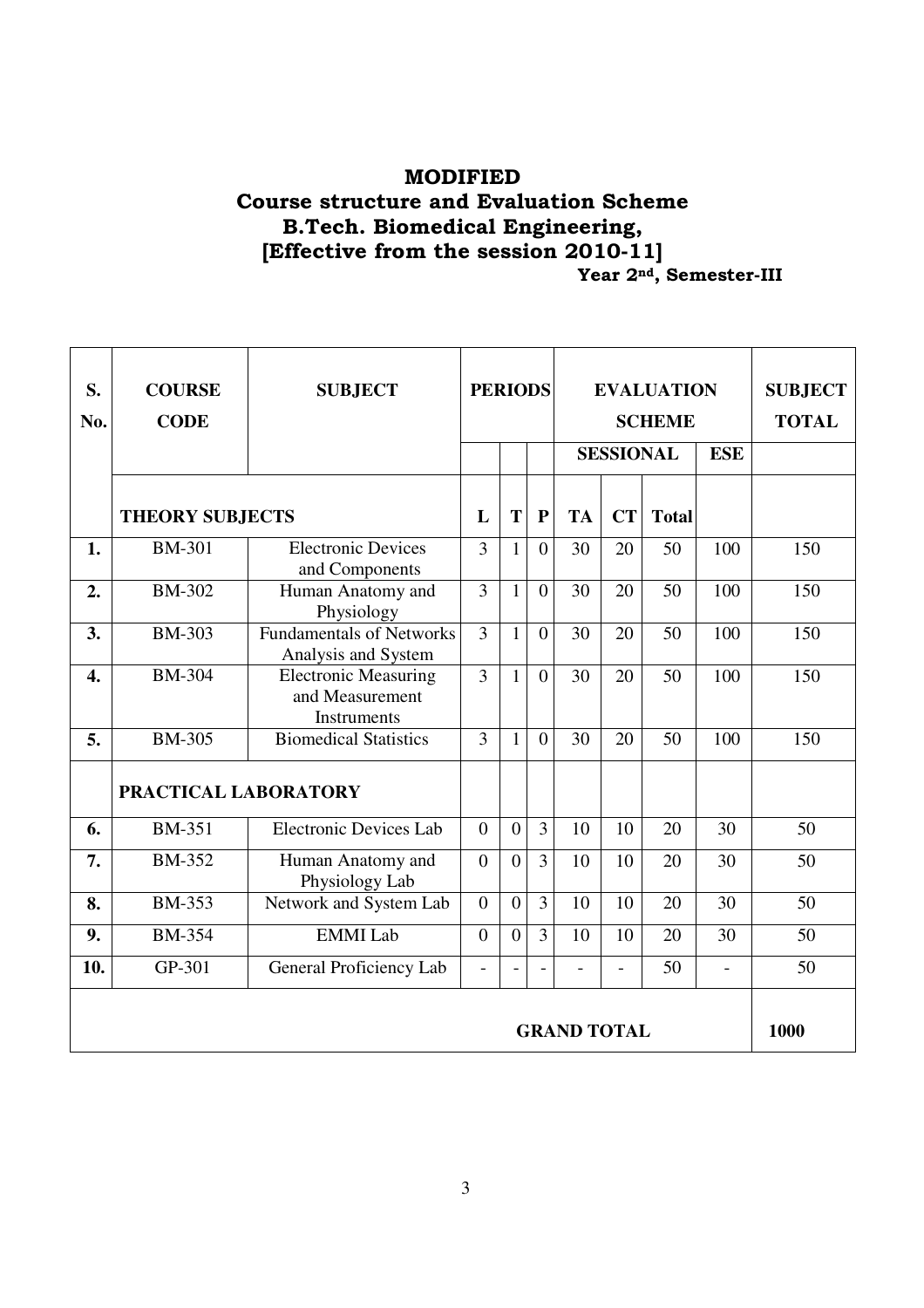## MODIFIED Course structure and Evaluation Scheme B.Tech. Biomedical Engineering, [Effective from the session 2010-11] **The Superior 2nd, Semester-III**

| S.<br>No.          | <b>COURSE</b><br><b>CODE</b> | <b>SUBJECT</b>                                                | <b>PERIODS</b> |                |                |              | <b>EVALUATION</b><br><b>SCHEME</b> | <b>SUBJECT</b><br><b>TOTAL</b> |            |      |
|--------------------|------------------------------|---------------------------------------------------------------|----------------|----------------|----------------|--------------|------------------------------------|--------------------------------|------------|------|
|                    |                              |                                                               |                |                |                |              | <b>SESSIONAL</b>                   |                                | <b>ESE</b> |      |
|                    | <b>THEORY SUBJECTS</b>       |                                                               | L              | $\mathbf T$    | ${\bf P}$      | <b>TA</b>    | <b>CT</b>                          | <b>Total</b>                   |            |      |
| 1.                 | <b>BM-301</b>                | <b>Electronic Devices</b><br>and Components                   | 3              | $\mathbf{1}$   | $\theta$       | 30           | 20                                 | 50                             | 100        | 150  |
| 2.                 | <b>BM-302</b>                | Human Anatomy and<br>Physiology                               | $\overline{3}$ | $\mathbf{1}$   | $\overline{0}$ | 30           | 20                                 | 50                             | 100        | 150  |
| 3.                 | <b>BM-303</b>                | <b>Fundamentals of Networks</b><br>Analysis and System        | $\overline{3}$ | $\mathbf{1}$   | $\overline{0}$ | 30           | 20                                 | 50                             | 100        | 150  |
| $\overline{4}$ .   | <b>BM-304</b>                | <b>Electronic Measuring</b><br>and Measurement<br>Instruments | $\overline{3}$ | $\mathbf{1}$   | $\theta$       | 30           | 20                                 | 50                             | 100        | 150  |
| 5.                 | <b>BM-305</b>                | <b>Biomedical Statistics</b>                                  | $\overline{3}$ | $\mathbf{1}$   | $\overline{0}$ | 30           | 20                                 | 50                             | 100        | 150  |
|                    | PRACTICAL LABORATORY         |                                                               |                |                |                |              |                                    |                                |            |      |
| 6.                 | <b>BM-351</b>                | <b>Electronic Devices Lab</b>                                 | $\overline{0}$ | $\overline{0}$ | $\overline{3}$ | 10           | 10                                 | 20                             | 30         | 50   |
| 7.                 | <b>BM-352</b>                | Human Anatomy and<br>Physiology Lab                           | $\overline{0}$ | $\overline{0}$ | $\overline{3}$ | 10           | 10                                 | 20                             | 30         | 50   |
| 8.                 | <b>BM-353</b>                | Network and System Lab                                        | $\overline{0}$ | $\overline{0}$ | $\overline{3}$ | 10           | 10                                 | 20                             | 30         | 50   |
| 9.                 | <b>BM-354</b>                | <b>EMMI</b> Lab                                               | $\overline{0}$ | $\overline{0}$ | $\overline{3}$ | 10           | 10                                 | 20                             | 30         | 50   |
| 10.                | GP-301                       | General Proficiency Lab                                       | $\blacksquare$ | $\overline{a}$ |                | $\mathbf{r}$ | ÷.                                 | 50                             | ÷.         | 50   |
| <b>GRAND TOTAL</b> |                              |                                                               |                |                |                |              |                                    |                                |            | 1000 |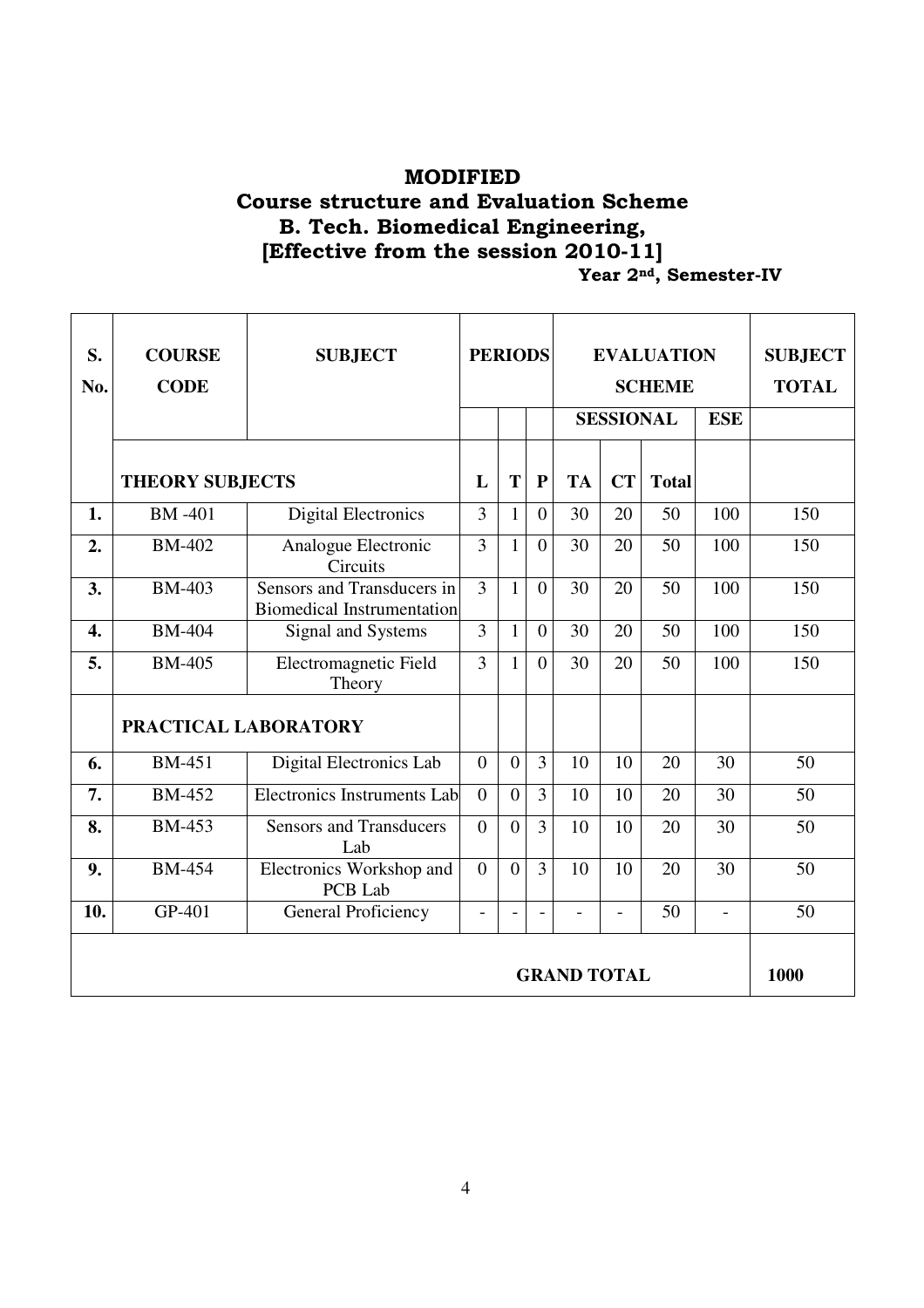## MODIFIED Course structure and Evaluation Scheme B. Tech. Biomedical Engineering, [Effective from the session 2010-11] **The Seme 2nd, Seme Ster-IV**

| S.<br>No.          | <b>COURSE</b><br><b>CODE</b> | <b>SUBJECT</b>                                                  | <b>PERIODS</b> |                |                |           | <b>EVALUATION</b><br><b>SCHEME</b> | <b>SUBJECT</b><br><b>TOTAL</b> |                |     |
|--------------------|------------------------------|-----------------------------------------------------------------|----------------|----------------|----------------|-----------|------------------------------------|--------------------------------|----------------|-----|
|                    |                              |                                                                 |                |                |                |           | <b>SESSIONAL</b>                   |                                | <b>ESE</b>     |     |
|                    | <b>THEORY SUBJECTS</b>       |                                                                 | L              | T              | $\mathbf{P}$   | <b>TA</b> | CT                                 | <b>Total</b>                   |                |     |
| 1.                 | <b>BM-401</b>                | <b>Digital Electronics</b>                                      | $\overline{3}$ | $\mathbf{1}$   | $\overline{0}$ | 30        | 20                                 | 50                             | 100            | 150 |
| 2.                 | <b>BM-402</b>                | Analogue Electronic<br>Circuits                                 | $\overline{3}$ | 1              | $\overline{0}$ | 30        | 20                                 | 50                             | 100            | 150 |
| 3.                 | <b>BM-403</b>                | Sensors and Transducers in<br><b>Biomedical Instrumentation</b> | $\overline{3}$ | $\mathbf{1}$   | $\overline{0}$ | 30        | 20                                 | 50                             | 100            | 150 |
| 4.                 | <b>BM-404</b>                | Signal and Systems                                              | $\overline{3}$ | $\mathbf{1}$   | $\overline{0}$ | 30        | 20                                 | 50                             | 100            | 150 |
| 5.                 | <b>BM-405</b>                | Electromagnetic Field<br>Theory                                 | 3              | 1              | $\Omega$       | 30        | 20                                 | 50                             | 100            | 150 |
|                    | PRACTICAL LABORATORY         |                                                                 |                |                |                |           |                                    |                                |                |     |
| 6.                 | <b>BM-451</b>                | Digital Electronics Lab                                         | $\overline{0}$ | $\overline{0}$ | $\overline{3}$ | 10        | 10                                 | 20                             | 30             | 50  |
| 7.                 | <b>BM-452</b>                | <b>Electronics Instruments Lab</b>                              | $\Omega$       | $\overline{0}$ | $\overline{3}$ | 10        | 10                                 | 20                             | 30             | 50  |
| 8.                 | <b>BM-453</b>                | <b>Sensors and Transducers</b><br>Lab                           | $\theta$       | $\theta$       | $\overline{3}$ | 10        | 10                                 | 20                             | 30             | 50  |
| 9.                 | <b>BM-454</b>                | Electronics Workshop and<br>PCB Lab                             | $\overline{0}$ | $\overline{0}$ | $\overline{3}$ | 10        | 10                                 | 20                             | 30             | 50  |
| 10.                | GP-401                       | <b>General Proficiency</b>                                      | $\blacksquare$ | ä,             |                | $\sim$    | $\overline{a}$                     | 50                             | $\overline{a}$ | 50  |
| <b>GRAND TOTAL</b> |                              |                                                                 |                |                |                |           |                                    |                                |                |     |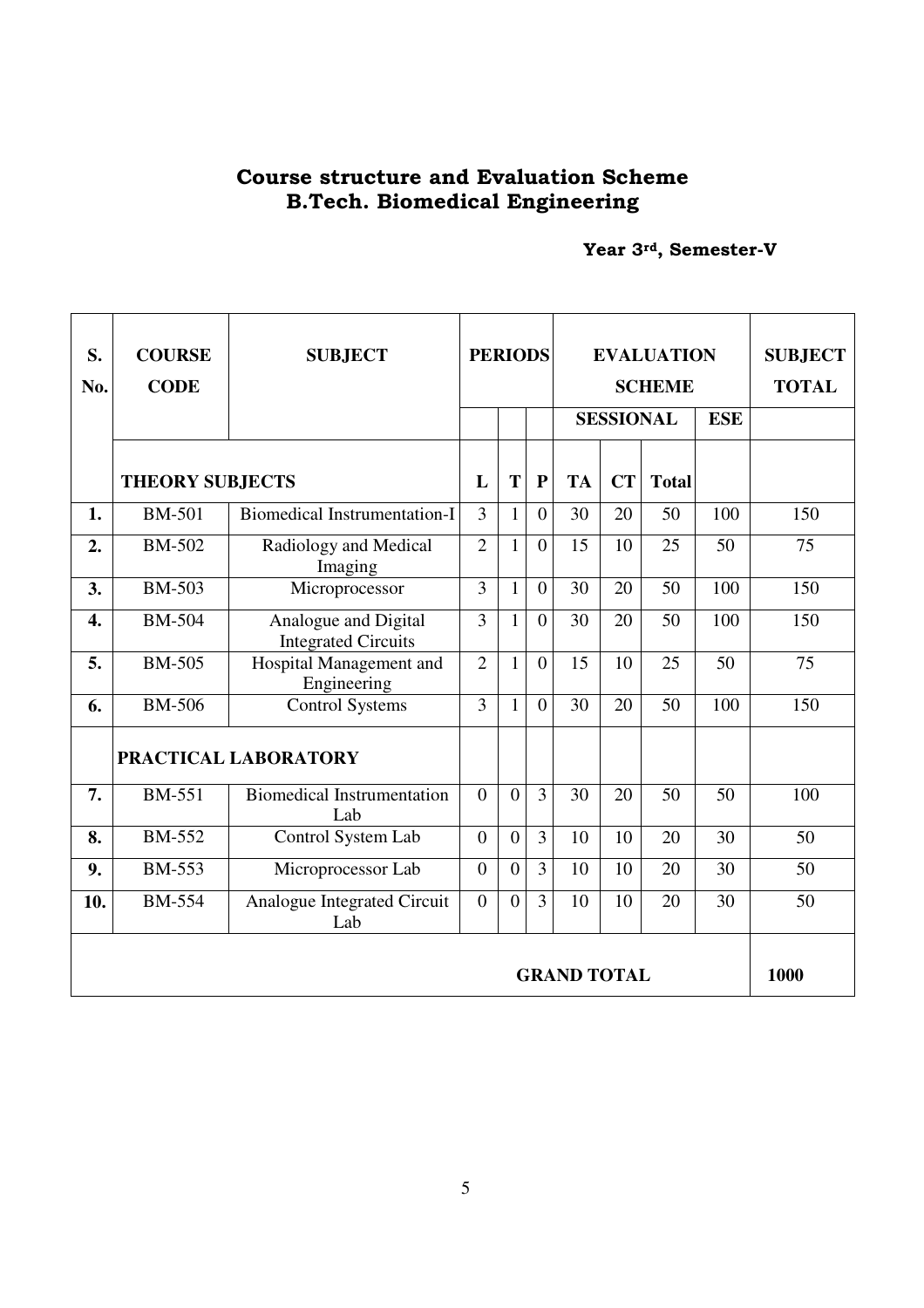## Course structure and Evaluation Scheme B.Tech. Biomedical Engineering

Year 3rd, Semester-V

| S.<br>No.          | <b>COURSE</b><br><b>CODE</b> | <b>SUBJECT</b>                                     | <b>PERIODS</b>   |                |                |           | <b>EVALUATION</b><br><b>SCHEME</b> | <b>SUBJECT</b><br><b>TOTAL</b> |            |      |
|--------------------|------------------------------|----------------------------------------------------|------------------|----------------|----------------|-----------|------------------------------------|--------------------------------|------------|------|
|                    |                              |                                                    |                  |                |                |           | <b>SESSIONAL</b>                   |                                | <b>ESE</b> |      |
|                    | <b>THEORY SUBJECTS</b>       |                                                    | L                | T              | $\mathbf{P}$   | <b>TA</b> | CT                                 | <b>Total</b>                   |            |      |
| 1.                 | <b>BM-501</b>                | <b>Biomedical Instrumentation-I</b>                | 3                | $\mathbf{1}$   | $\overline{0}$ | 30        | 20                                 | 50                             | 100        | 150  |
| 2.                 | <b>BM-502</b>                | Radiology and Medical<br>Imaging                   | $\overline{2}$   | $\mathbf{1}$   | $\overline{0}$ | 15        | 10                                 | 25                             | 50         | 75   |
| 3.                 | <b>BM-503</b>                | Microprocessor                                     | $\overline{3}$   | $\mathbf{1}$   | $\overline{0}$ | 30        | 20                                 | 50                             | 100        | 150  |
| $\overline{4}$ .   | <b>BM-504</b>                | Analogue and Digital<br><b>Integrated Circuits</b> | $\overline{3}$   | $\mathbf{1}$   | $\overline{0}$ | 30        | 20                                 | 50                             | 100        | 150  |
| 5.                 | <b>BM-505</b>                | Hospital Management and<br>Engineering             | $\overline{2}$   | $\mathbf{1}$   | $\overline{0}$ | 15        | 10                                 | 25                             | 50         | 75   |
| 6.                 | <b>BM-506</b>                | <b>Control Systems</b>                             | 3                | $\mathbf{1}$   | $\Omega$       | 30        | 20                                 | 50                             | 100        | 150  |
|                    |                              | PRACTICAL LABORATORY                               |                  |                |                |           |                                    |                                |            |      |
| 7.                 | <b>BM-551</b>                | <b>Biomedical Instrumentation</b><br>Lab           | $\theta$         | $\theta$       | $\overline{3}$ | 30        | 20                                 | 50                             | 50         | 100  |
| 8.                 | <b>BM-552</b>                | Control System Lab                                 | $\overline{0}$   | $\overline{0}$ | $\overline{3}$ | 10        | 10                                 | 20                             | 30         | 50   |
| 9.                 | <b>BM-553</b>                | Microprocessor Lab                                 | $\overline{0}$   | $\theta$       | $\overline{3}$ | 10        | 10                                 | 20                             | 30         | 50   |
| 10.                | <b>BM-554</b>                | Analogue Integrated Circuit<br>Lab                 | $\boldsymbol{0}$ | $\overline{0}$ | $\overline{3}$ | 10        | 10                                 | 20                             | 30         | 50   |
| <b>GRAND TOTAL</b> |                              |                                                    |                  |                |                |           |                                    |                                |            | 1000 |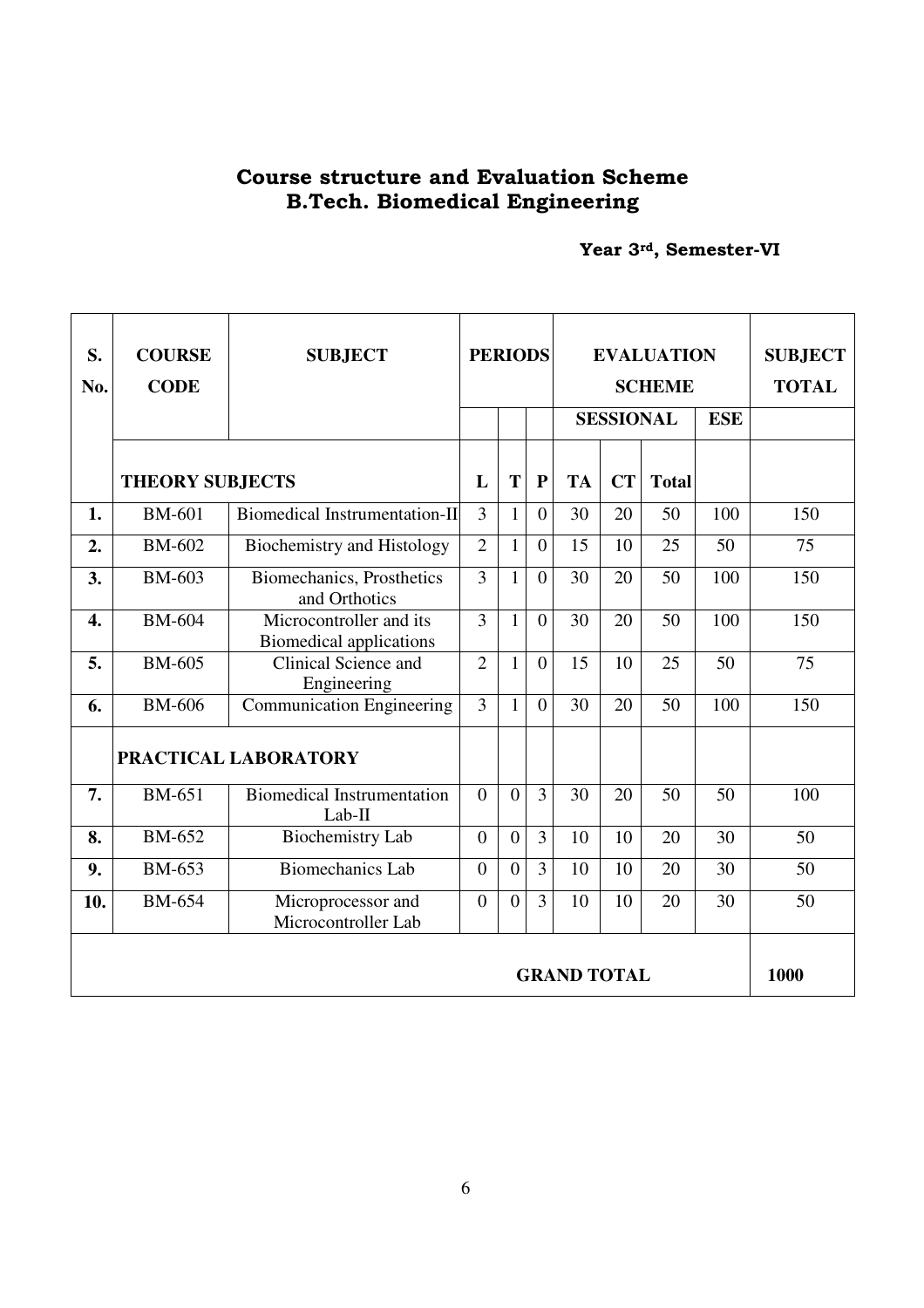## Course structure and Evaluation Scheme B.Tech. Biomedical Engineering

Year 3rd, Semester-VI

| S.<br>No.          | <b>COURSE</b><br><b>CODE</b> | <b>SUBJECT</b>                                            | <b>PERIODS</b>   |                |                |           | <b>EVALUATION</b><br><b>SCHEME</b> | <b>SUBJECT</b><br><b>TOTAL</b> |            |      |
|--------------------|------------------------------|-----------------------------------------------------------|------------------|----------------|----------------|-----------|------------------------------------|--------------------------------|------------|------|
|                    |                              |                                                           |                  |                |                |           | <b>SESSIONAL</b>                   |                                | <b>ESE</b> |      |
|                    | <b>THEORY SUBJECTS</b>       |                                                           | L                | T              | ${\bf P}$      | <b>TA</b> | <b>CT</b>                          | <b>Total</b>                   |            |      |
| 1.                 | <b>BM-601</b>                | <b>Biomedical Instrumentation-II</b>                      | 3                | $\mathbf{1}$   | $\Omega$       | 30        | 20                                 | 50                             | 100        | 150  |
| 2.                 | <b>BM-602</b>                | <b>Biochemistry and Histology</b>                         | $\overline{2}$   | $\mathbf{1}$   | $\overline{0}$ | 15        | 10                                 | 25                             | 50         | 75   |
| 3.                 | <b>BM-603</b>                | Biomechanics, Prosthetics<br>and Orthotics                | 3                | $\mathbf{1}$   | $\overline{0}$ | 30        | 20                                 | 50                             | 100        | 150  |
| 4.                 | <b>BM-604</b>                | Microcontroller and its<br><b>Biomedical applications</b> | 3                | $\mathbf{1}$   | $\overline{0}$ | 30        | 20                                 | 50                             | 100        | 150  |
| 5.                 | <b>BM-605</b>                | Clinical Science and<br>Engineering                       | $\overline{2}$   | $\mathbf{1}$   | $\overline{0}$ | 15        | 10                                 | 25                             | 50         | 75   |
| 6.                 | <b>BM-606</b>                | <b>Communication Engineering</b>                          | 3                | $\mathbf{1}$   | $\theta$       | 30        | 20                                 | 50                             | 100        | 150  |
|                    |                              | PRACTICAL LABORATORY                                      |                  |                |                |           |                                    |                                |            |      |
| 7.                 | <b>BM-651</b>                | <b>Biomedical Instrumentation</b><br>$Lab-II$             | $\overline{0}$   | $\overline{0}$ | 3              | 30        | 20                                 | 50                             | 50         | 100  |
| 8.                 | <b>BM-652</b>                | <b>Biochemistry Lab</b>                                   | $\boldsymbol{0}$ | $\overline{0}$ | $\overline{3}$ | 10        | 10                                 | 20                             | 30         | 50   |
| 9.                 | <b>BM-653</b>                | <b>Biomechanics Lab</b>                                   | $\overline{0}$   | $\overline{0}$ | 3              | 10        | 10                                 | 20                             | 30         | 50   |
| 10.                | <b>BM-654</b>                | Microprocessor and<br>Microcontroller Lab                 | $\overline{0}$   | $\overline{0}$ | $\overline{3}$ | 10        | 10                                 | 20                             | 30         | 50   |
| <b>GRAND TOTAL</b> |                              |                                                           |                  |                |                |           |                                    |                                |            | 1000 |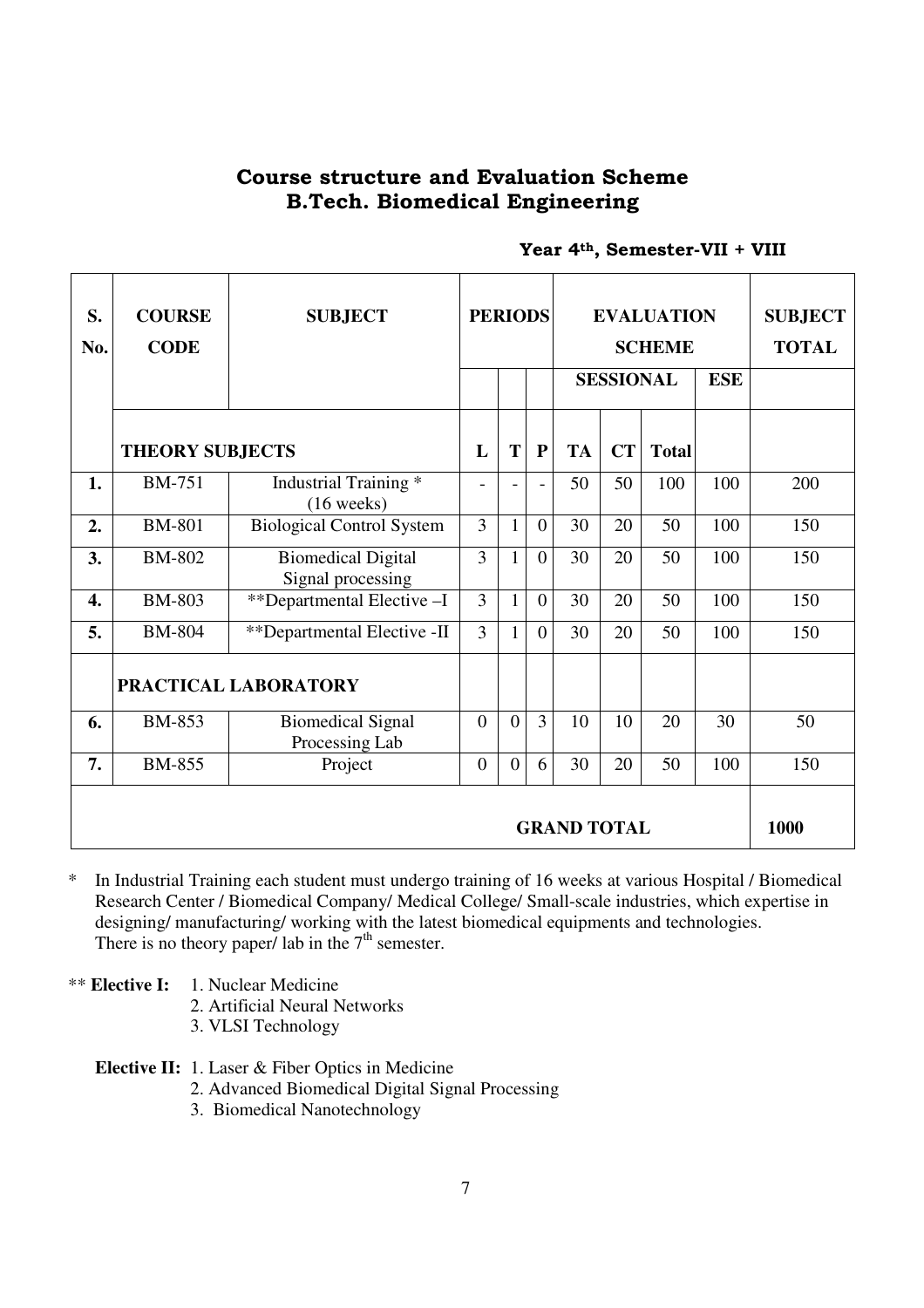## Course structure and Evaluation Scheme B.Tech. Biomedical Engineering

| S.<br>No. | <b>COURSE</b><br><b>CODE</b> | <b>SUBJECT</b>                                 | <b>PERIODS</b>           |                |                | <b>EVALUATION</b><br><b>SCHEME</b><br><b>SESSIONAL</b> | <b>ESE</b> | <b>SUBJECT</b><br><b>TOTAL</b> |     |     |
|-----------|------------------------------|------------------------------------------------|--------------------------|----------------|----------------|--------------------------------------------------------|------------|--------------------------------|-----|-----|
|           |                              |                                                |                          |                |                |                                                        |            |                                |     |     |
|           | <b>THEORY SUBJECTS</b>       |                                                | L                        | T              | ${\bf P}$      | <b>TA</b>                                              | <b>CT</b>  | <b>Total</b>                   |     |     |
| 1.        | <b>BM-751</b>                | Industrial Training *<br>$(16 \text{ weeks})$  | $\overline{\phantom{0}}$ |                |                | 50                                                     | 50         | 100                            | 100 | 200 |
| 2.        | <b>BM-801</b>                | <b>Biological Control System</b>               | 3                        | $\mathbf{1}$   | $\overline{0}$ | 30                                                     | 20         | 50                             | 100 | 150 |
| 3.        | <b>BM-802</b>                | <b>Biomedical Digital</b><br>Signal processing | 3                        | $\mathbf{1}$   | $\overline{0}$ | 30                                                     | 20         | 50                             | 100 | 150 |
| 4.        | <b>BM-803</b>                | **Departmental Elective -I                     | 3                        | $\mathbf{1}$   | $\overline{0}$ | 30                                                     | 20         | 50                             | 100 | 150 |
| 5.        | <b>BM-804</b>                | **Departmental Elective -II                    | 3                        | $\mathbf{1}$   | $\overline{0}$ | 30                                                     | 20         | 50                             | 100 | 150 |
|           | PRACTICAL LABORATORY         |                                                |                          |                |                |                                                        |            |                                |     |     |
| 6.        | <b>BM-853</b>                | <b>Biomedical Signal</b><br>Processing Lab     | $\boldsymbol{0}$         | $\overline{0}$ | $\overline{3}$ | 10                                                     | 10         | 20                             | 30  | 50  |
| 7.        | <b>BM-855</b>                | Project                                        | $\overline{0}$           | $\overline{0}$ | 6              | 30                                                     | 20         | 50                             | 100 | 150 |
|           | <b>GRAND TOTAL</b>           |                                                |                          |                |                |                                                        |            |                                |     |     |

## Year 4<sup>th</sup>, Semester-VII + VIII

\* In Industrial Training each student must undergo training of 16 weeks at various Hospital / Biomedical Research Center / Biomedical Company/ Medical College/ Small-scale industries, which expertise in designing/ manufacturing/ working with the latest biomedical equipments and technologies. There is no theory paper/ lab in the  $7<sup>th</sup>$  semester.

\*\* **Elective I:** 1. Nuclear Medicine

2. Artificial Neural Networks

3. VLSI Technology

**Elective II:** 1. Laser & Fiber Optics in Medicine

2. Advanced Biomedical Digital Signal Processing

3. Biomedical Nanotechnology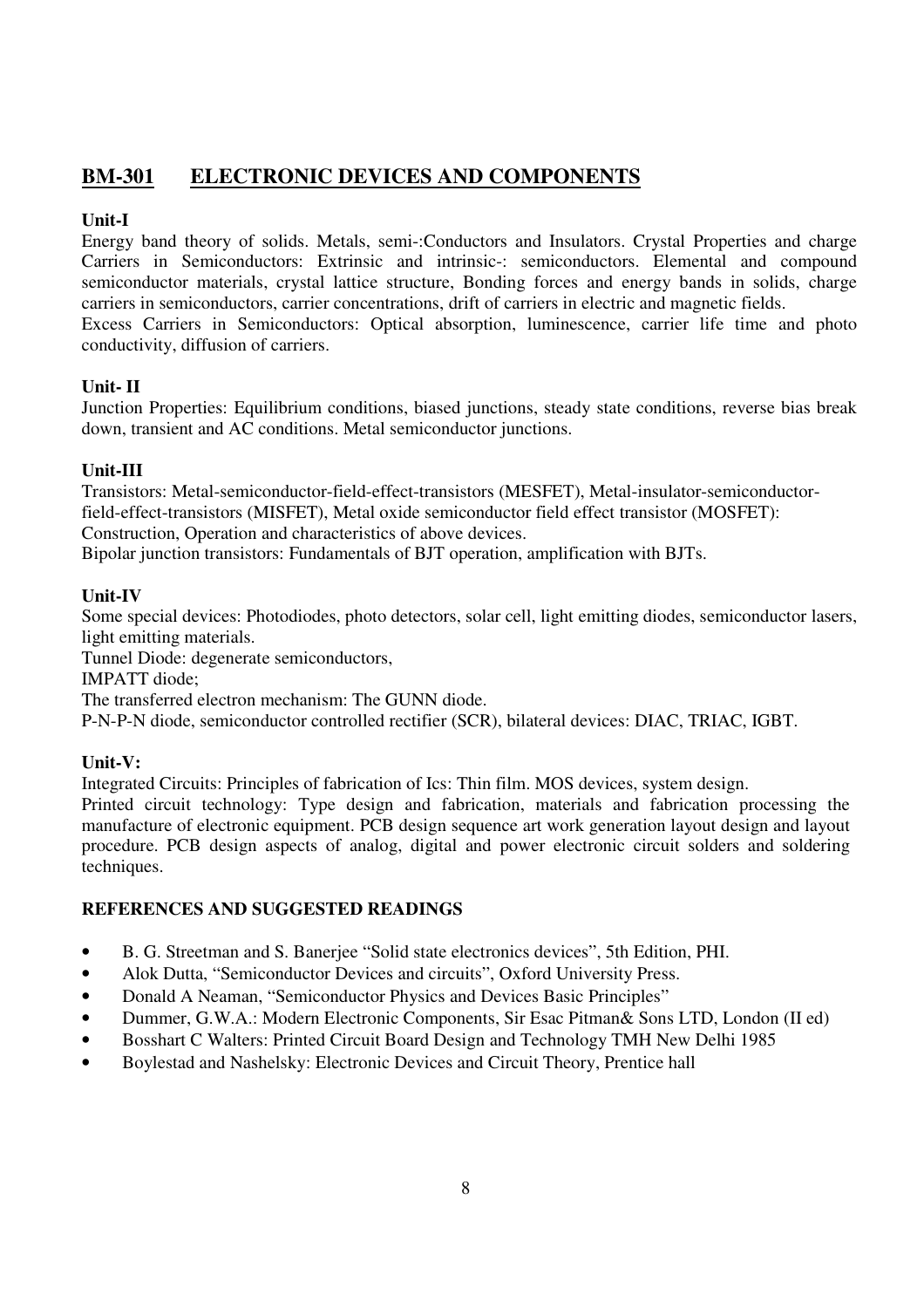## **BM-301 ELECTRONIC DEVICES AND COMPONENTS**

## **Unit-I**

Energy band theory of solids. Metals, semi-:Conductors and Insulators. Crystal Properties and charge Carriers in Semiconductors: Extrinsic and intrinsic-: semiconductors. Elemental and compound semiconductor materials, crystal lattice structure, Bonding forces and energy bands in solids, charge carriers in semiconductors, carrier concentrations, drift of carriers in electric and magnetic fields.

Excess Carriers in Semiconductors: Optical absorption, luminescence, carrier life time and photo conductivity, diffusion of carriers.

## **Unit- II**

Junction Properties: Equilibrium conditions, biased junctions, steady state conditions, reverse bias break down, transient and AC conditions. Metal semiconductor junctions.

## **Unit-III**

Transistors: Metal-semiconductor-field-effect-transistors (MESFET), Metal-insulator-semiconductorfield-effect-transistors (MISFET), Metal oxide semiconductor field effect transistor (MOSFET): Construction, Operation and characteristics of above devices.

Bipolar junction transistors: Fundamentals of BJT operation, amplification with BJTs.

## **Unit-IV**

Some special devices: Photodiodes, photo detectors, solar cell, light emitting diodes, semiconductor lasers, light emitting materials.

Tunnel Diode: degenerate semiconductors,

IMPATT diode;

The transferred electron mechanism: The GUNN diode.

P-N-P-N diode, semiconductor controlled rectifier (SCR), bilateral devices: DIAC, TRIAC, IGBT.

## **Unit-V:**

Integrated Circuits: Principles of fabrication of Ics: Thin film. MOS devices, system design.

Printed circuit technology: Type design and fabrication, materials and fabrication processing the manufacture of electronic equipment. PCB design sequence art work generation layout design and layout procedure. PCB design aspects of analog, digital and power electronic circuit solders and soldering techniques.

- B. G. Streetman and S. Banerjee "Solid state electronics devices", 5th Edition, PHI.
- Alok Dutta, "Semiconductor Devices and circuits", Oxford University Press.
- Donald A Neaman, "Semiconductor Physics and Devices Basic Principles"
- Dummer, G.W.A.: Modern Electronic Components, Sir Esac Pitman& Sons LTD, London (II ed)
- Bosshart C Walters: Printed Circuit Board Design and Technology TMH New Delhi 1985
- Boylestad and Nashelsky: Electronic Devices and Circuit Theory, Prentice hall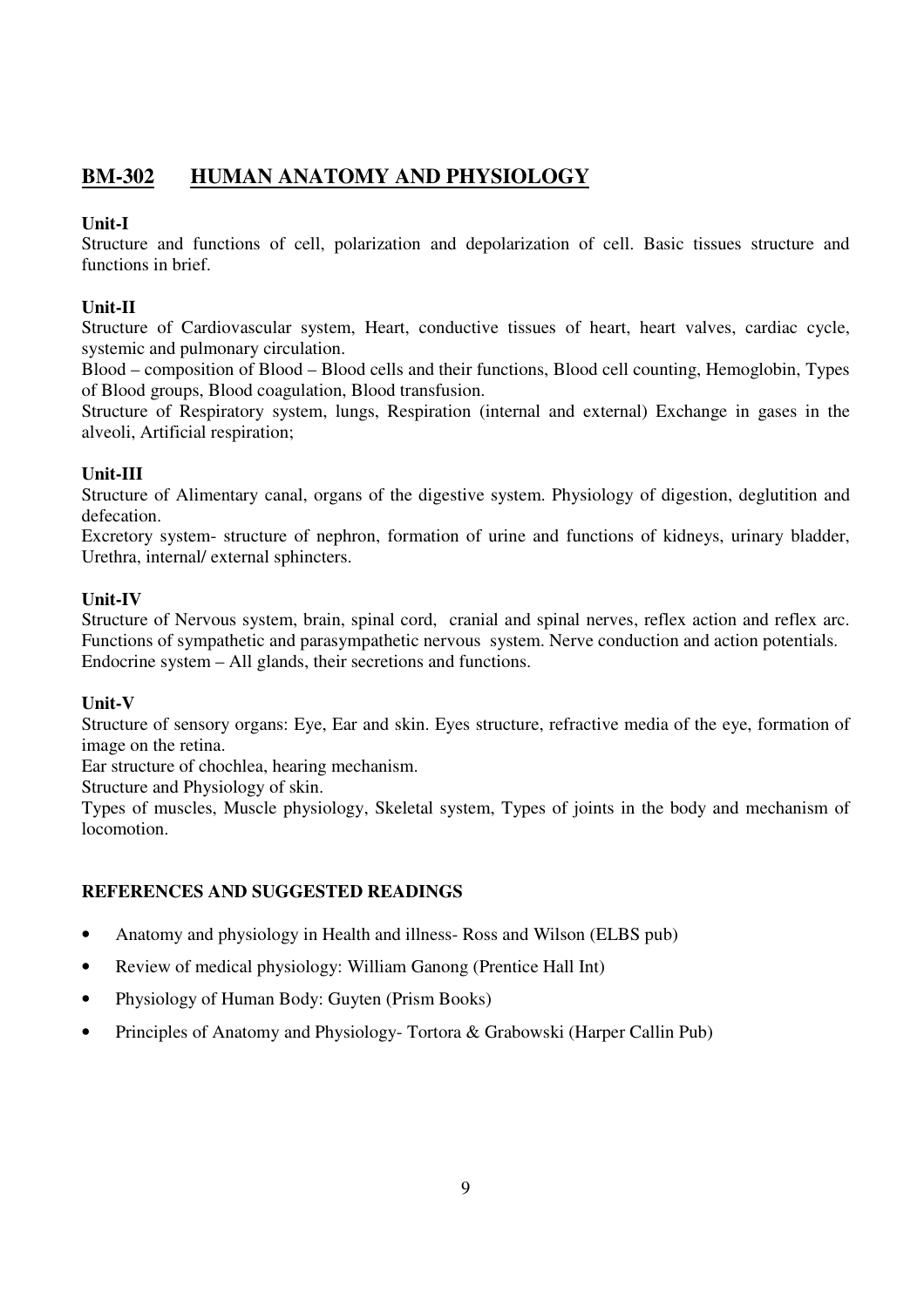## **BM-302 HUMAN ANATOMY AND PHYSIOLOGY**

## **Unit-I**

Structure and functions of cell, polarization and depolarization of cell. Basic tissues structure and functions in brief.

## **Unit-II**

Structure of Cardiovascular system, Heart, conductive tissues of heart, heart valves, cardiac cycle, systemic and pulmonary circulation.

Blood – composition of Blood – Blood cells and their functions, Blood cell counting, Hemoglobin, Types of Blood groups, Blood coagulation, Blood transfusion.

Structure of Respiratory system, lungs, Respiration (internal and external) Exchange in gases in the alveoli, Artificial respiration;

## **Unit-III**

Structure of Alimentary canal, organs of the digestive system. Physiology of digestion, deglutition and defecation.

Excretory system- structure of nephron, formation of urine and functions of kidneys, urinary bladder, Urethra, internal/ external sphincters.

## **Unit-IV**

Structure of Nervous system, brain, spinal cord, cranial and spinal nerves, reflex action and reflex arc. Functions of sympathetic and parasympathetic nervous system. Nerve conduction and action potentials. Endocrine system – All glands, their secretions and functions.

## **Unit-V**

Structure of sensory organs: Eye, Ear and skin. Eyes structure, refractive media of the eye, formation of image on the retina.

Ear structure of chochlea, hearing mechanism.

Structure and Physiology of skin.

Types of muscles, Muscle physiology, Skeletal system, Types of joints in the body and mechanism of locomotion.

- Anatomy and physiology in Health and illness- Ross and Wilson (ELBS pub)
- Review of medical physiology: William Ganong (Prentice Hall Int)
- Physiology of Human Body: Guyten (Prism Books)
- Principles of Anatomy and Physiology- Tortora & Grabowski (Harper Callin Pub)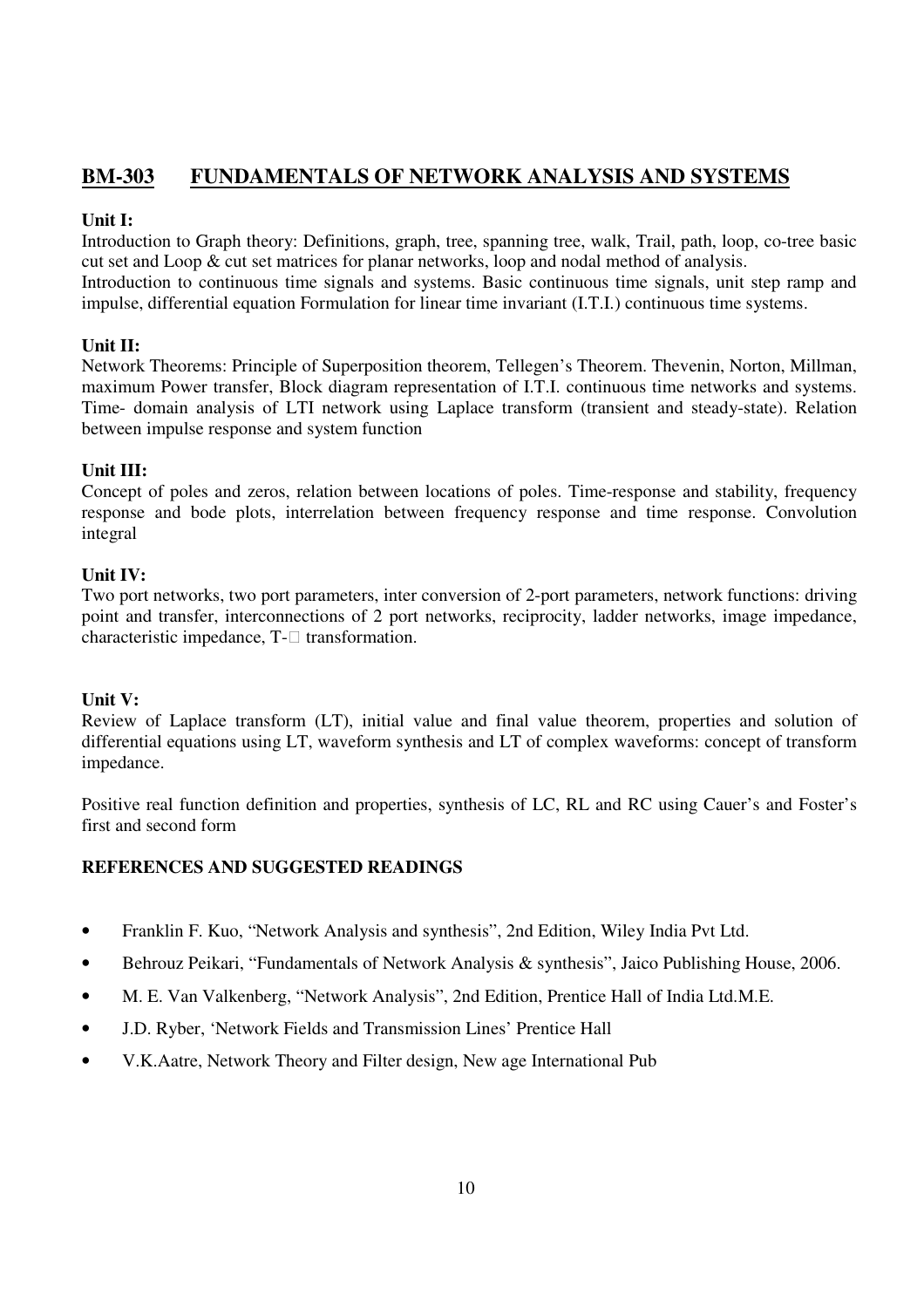## **BM-303 FUNDAMENTALS OF NETWORK ANALYSIS AND SYSTEMS**

## **Unit I:**

Introduction to Graph theory: Definitions, graph, tree, spanning tree, walk, Trail, path, loop, co-tree basic cut set and Loop & cut set matrices for planar networks, loop and nodal method of analysis.

Introduction to continuous time signals and systems. Basic continuous time signals, unit step ramp and impulse, differential equation Formulation for linear time invariant (I.T.I.) continuous time systems.

## **Unit II:**

Network Theorems: Principle of Superposition theorem, Tellegen's Theorem. Thevenin, Norton, Millman, maximum Power transfer, Block diagram representation of I.T.I. continuous time networks and systems. Time- domain analysis of LTI network using Laplace transform (transient and steady-state). Relation between impulse response and system function

## **Unit III:**

Concept of poles and zeros, relation between locations of poles. Time-response and stability, frequency response and bode plots, interrelation between frequency response and time response. Convolution integral

## **Unit IV:**

Two port networks, two port parameters, inter conversion of 2-port parameters, network functions: driving point and transfer, interconnections of 2 port networks, reciprocity, ladder networks, image impedance, characteristic impedance, T- transformation.

## **Unit V:**

Review of Laplace transform (LT), initial value and final value theorem, properties and solution of differential equations using LT, waveform synthesis and LT of complex waveforms: concept of transform impedance.

Positive real function definition and properties, synthesis of LC, RL and RC using Cauer's and Foster's first and second form

- Franklin F. Kuo, "Network Analysis and synthesis", 2nd Edition, Wiley India Pvt Ltd.
- Behrouz Peikari, "Fundamentals of Network Analysis & synthesis", Jaico Publishing House, 2006.
- M. E. Van Valkenberg, "Network Analysis", 2nd Edition, Prentice Hall of India Ltd.M.E.
- J.D. Ryber, 'Network Fields and Transmission Lines' Prentice Hall
- V.K.Aatre, Network Theory and Filter design, New age International Pub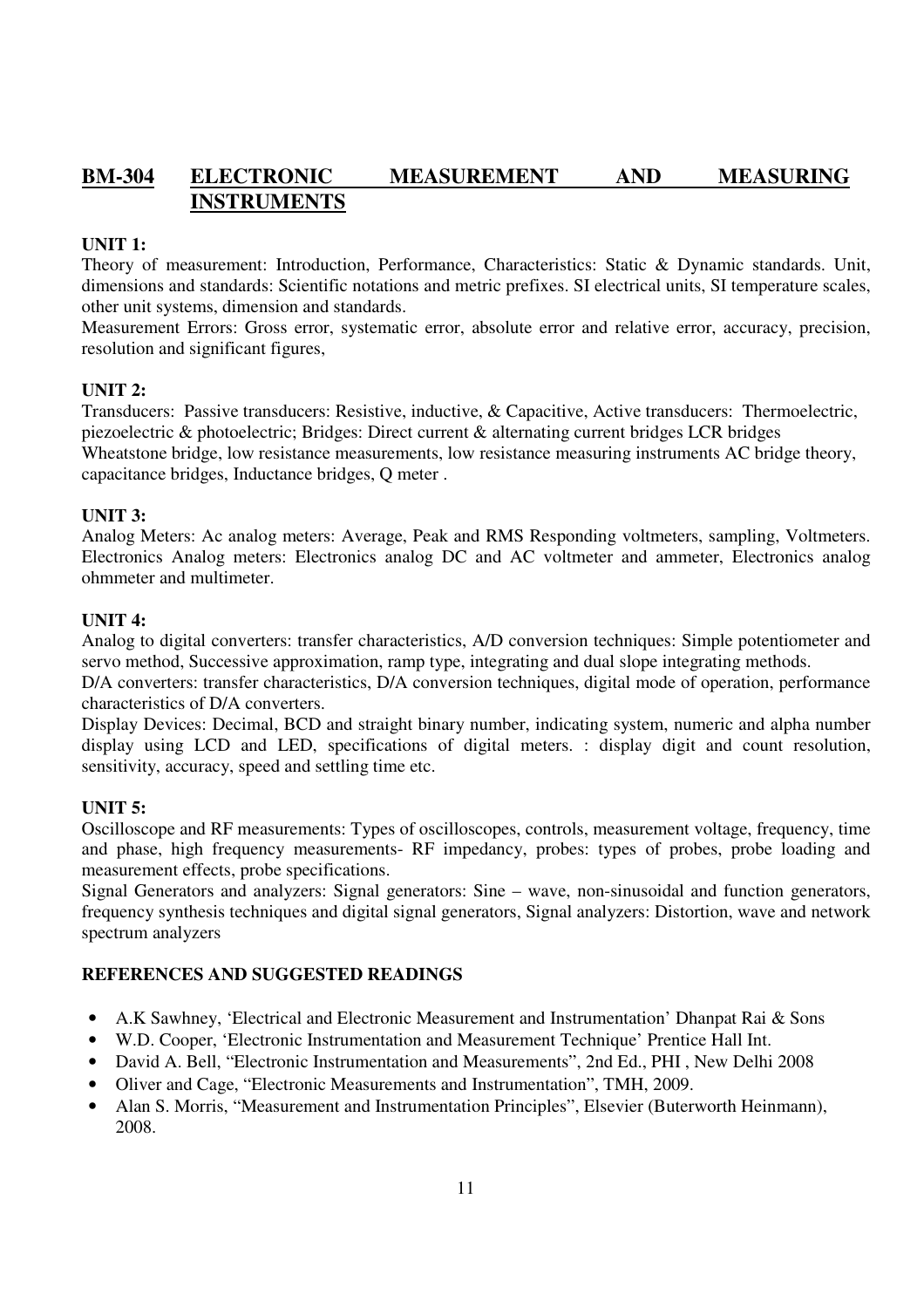## **BM-304 ELECTRONIC MEASUREMENT AND MEASURING INSTRUMENTS**

## **UNIT 1:**

Theory of measurement: Introduction, Performance, Characteristics: Static & Dynamic standards. Unit, dimensions and standards: Scientific notations and metric prefixes. SI electrical units, SI temperature scales, other unit systems, dimension and standards.

Measurement Errors: Gross error, systematic error, absolute error and relative error, accuracy, precision, resolution and significant figures,

## **UNIT 2:**

Transducers: Passive transducers: Resistive, inductive, & Capacitive, Active transducers: Thermoelectric, piezoelectric & photoelectric; Bridges: Direct current & alternating current bridges LCR bridges Wheatstone bridge, low resistance measurements, low resistance measuring instruments AC bridge theory, capacitance bridges, Inductance bridges, Q meter .

#### **UNIT 3:**

Analog Meters: Ac analog meters: Average, Peak and RMS Responding voltmeters, sampling, Voltmeters. Electronics Analog meters: Electronics analog DC and AC voltmeter and ammeter, Electronics analog ohmmeter and multimeter.

#### **UNIT 4:**

Analog to digital converters: transfer characteristics, A/D conversion techniques: Simple potentiometer and servo method, Successive approximation, ramp type, integrating and dual slope integrating methods.

D/A converters: transfer characteristics, D/A conversion techniques, digital mode of operation, performance characteristics of D/A converters.

Display Devices: Decimal, BCD and straight binary number, indicating system, numeric and alpha number display using LCD and LED, specifications of digital meters. : display digit and count resolution, sensitivity, accuracy, speed and settling time etc.

## **UNIT 5:**

Oscilloscope and RF measurements: Types of oscilloscopes, controls, measurement voltage, frequency, time and phase, high frequency measurements- RF impedancy, probes: types of probes, probe loading and measurement effects, probe specifications.

Signal Generators and analyzers: Signal generators: Sine – wave, non-sinusoidal and function generators, frequency synthesis techniques and digital signal generators, Signal analyzers: Distortion, wave and network spectrum analyzers

- A.K Sawhney, 'Electrical and Electronic Measurement and Instrumentation' Dhanpat Rai & Sons
- W.D. Cooper, 'Electronic Instrumentation and Measurement Technique' Prentice Hall Int.
- David A. Bell, "Electronic Instrumentation and Measurements", 2nd Ed., PHI, New Delhi 2008
- Oliver and Cage, "Electronic Measurements and Instrumentation", TMH, 2009.
- Alan S. Morris, "Measurement and Instrumentation Principles", Elsevier (Buterworth Heinmann), 2008.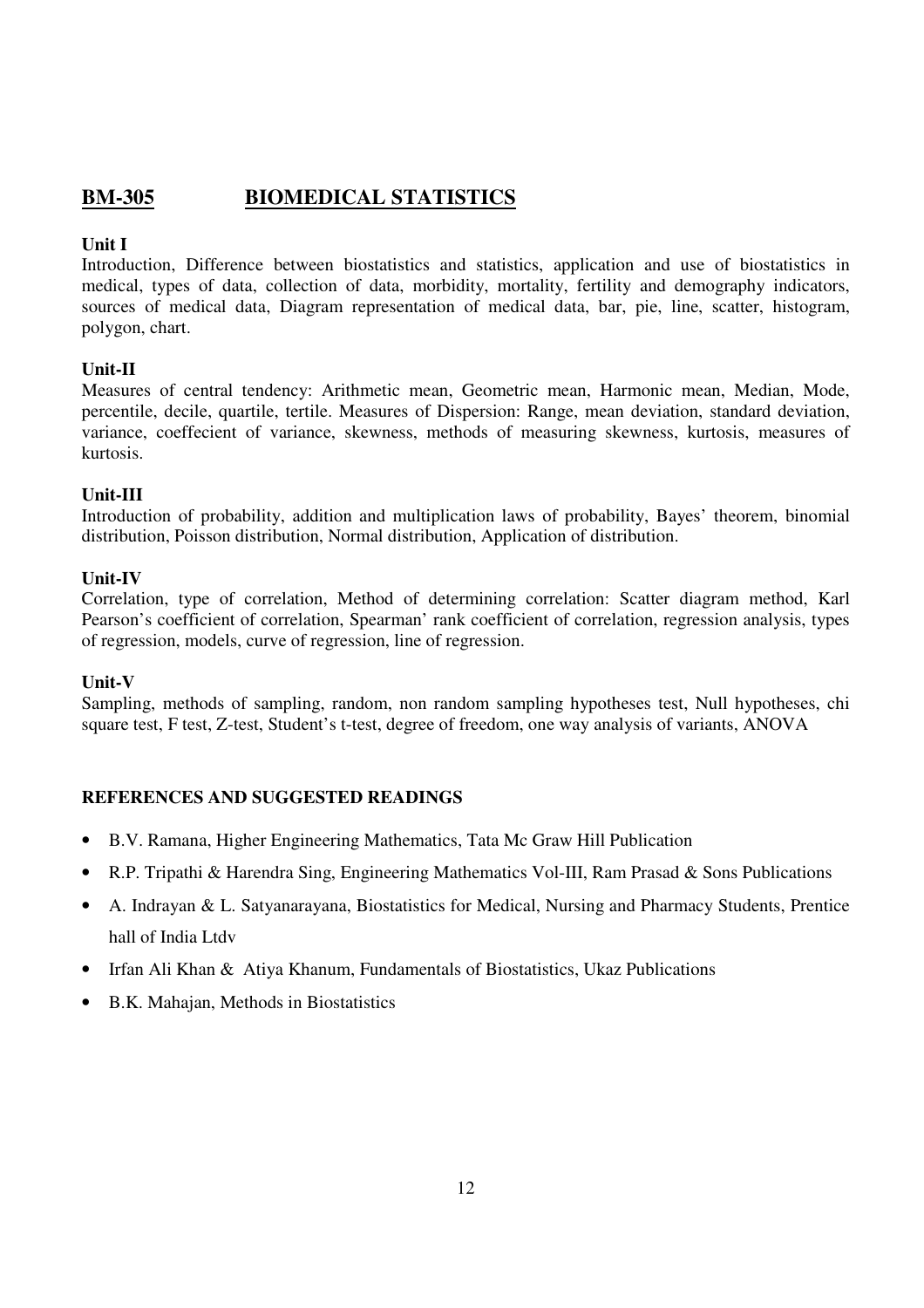## **BM-305 BIOMEDICAL STATISTICS**

## **Unit I**

Introduction, Difference between biostatistics and statistics, application and use of biostatistics in medical, types of data, collection of data, morbidity, mortality, fertility and demography indicators, sources of medical data, Diagram representation of medical data, bar, pie, line, scatter, histogram, polygon, chart.

## **Unit-II**

Measures of central tendency: Arithmetic mean, Geometric mean, Harmonic mean, Median, Mode, percentile, decile, quartile, tertile. Measures of Dispersion: Range, mean deviation, standard deviation, variance, coeffecient of variance, skewness, methods of measuring skewness, kurtosis, measures of kurtosis.

## **Unit-III**

Introduction of probability, addition and multiplication laws of probability, Bayes' theorem, binomial distribution, Poisson distribution, Normal distribution, Application of distribution.

## **Unit-IV**

Correlation, type of correlation, Method of determining correlation: Scatter diagram method, Karl Pearson's coefficient of correlation, Spearman' rank coefficient of correlation, regression analysis, types of regression, models, curve of regression, line of regression.

## **Unit-V**

Sampling, methods of sampling, random, non random sampling hypotheses test, Null hypotheses, chi square test, F test, Z-test, Student's t-test, degree of freedom, one way analysis of variants, ANOVA

- B.V. Ramana, Higher Engineering Mathematics, Tata Mc Graw Hill Publication
- R.P. Tripathi & Harendra Sing, Engineering Mathematics Vol-III, Ram Prasad & Sons Publications
- A. Indrayan & L. Satyanarayana, Biostatistics for Medical, Nursing and Pharmacy Students, Prentice hall of India Ltdv
- Irfan Ali Khan & Atiya Khanum, Fundamentals of Biostatistics, Ukaz Publications
- B.K. Mahajan, Methods in Biostatistics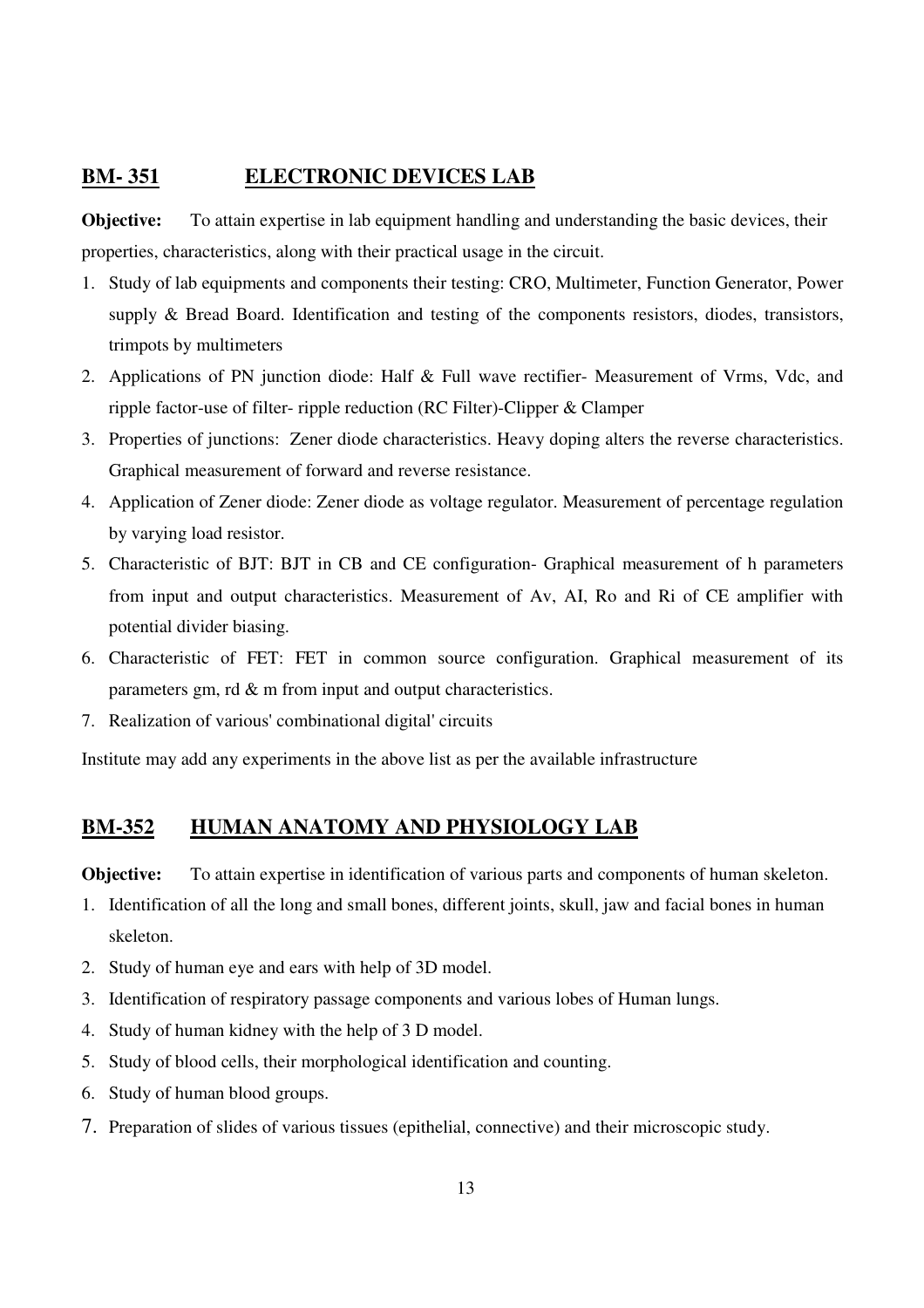## **BM- 351 ELECTRONIC DEVICES LAB**

**Objective:** To attain expertise in lab equipment handling and understanding the basic devices, their properties, characteristics, along with their practical usage in the circuit.

- 1. Study of lab equipments and components their testing: CRO, Multimeter, Function Generator, Power supply & Bread Board. Identification and testing of the components resistors, diodes, transistors, trimpots by multimeters
- 2. Applications of PN junction diode: Half & Full wave rectifier- Measurement of Vrms, Vdc, and ripple factor-use of filter- ripple reduction (RC Filter)-Clipper & Clamper
- 3. Properties of junctions: Zener diode characteristics. Heavy doping alters the reverse characteristics. Graphical measurement of forward and reverse resistance.
- 4. Application of Zener diode: Zener diode as voltage regulator. Measurement of percentage regulation by varying load resistor.
- 5. Characteristic of BJT: BJT in CB and CE configuration- Graphical measurement of h parameters from input and output characteristics. Measurement of Av, AI, Ro and Ri of CE amplifier with potential divider biasing.
- 6. Characteristic of FET: FET in common source configuration. Graphical measurement of its parameters gm, rd & m from input and output characteristics.
- 7. Realization of various' combinational digital' circuits

Institute may add any experiments in the above list as per the available infrastructure

## **BM-352 HUMAN ANATOMY AND PHYSIOLOGY LAB**

**Objective:** To attain expertise in identification of various parts and components of human skeleton.

- 1. Identification of all the long and small bones, different joints, skull, jaw and facial bones in human skeleton.
- 2. Study of human eye and ears with help of 3D model.
- 3. Identification of respiratory passage components and various lobes of Human lungs.
- 4. Study of human kidney with the help of 3 D model.
- 5. Study of blood cells, their morphological identification and counting.
- 6. Study of human blood groups.
- 7. Preparation of slides of various tissues (epithelial, connective) and their microscopic study.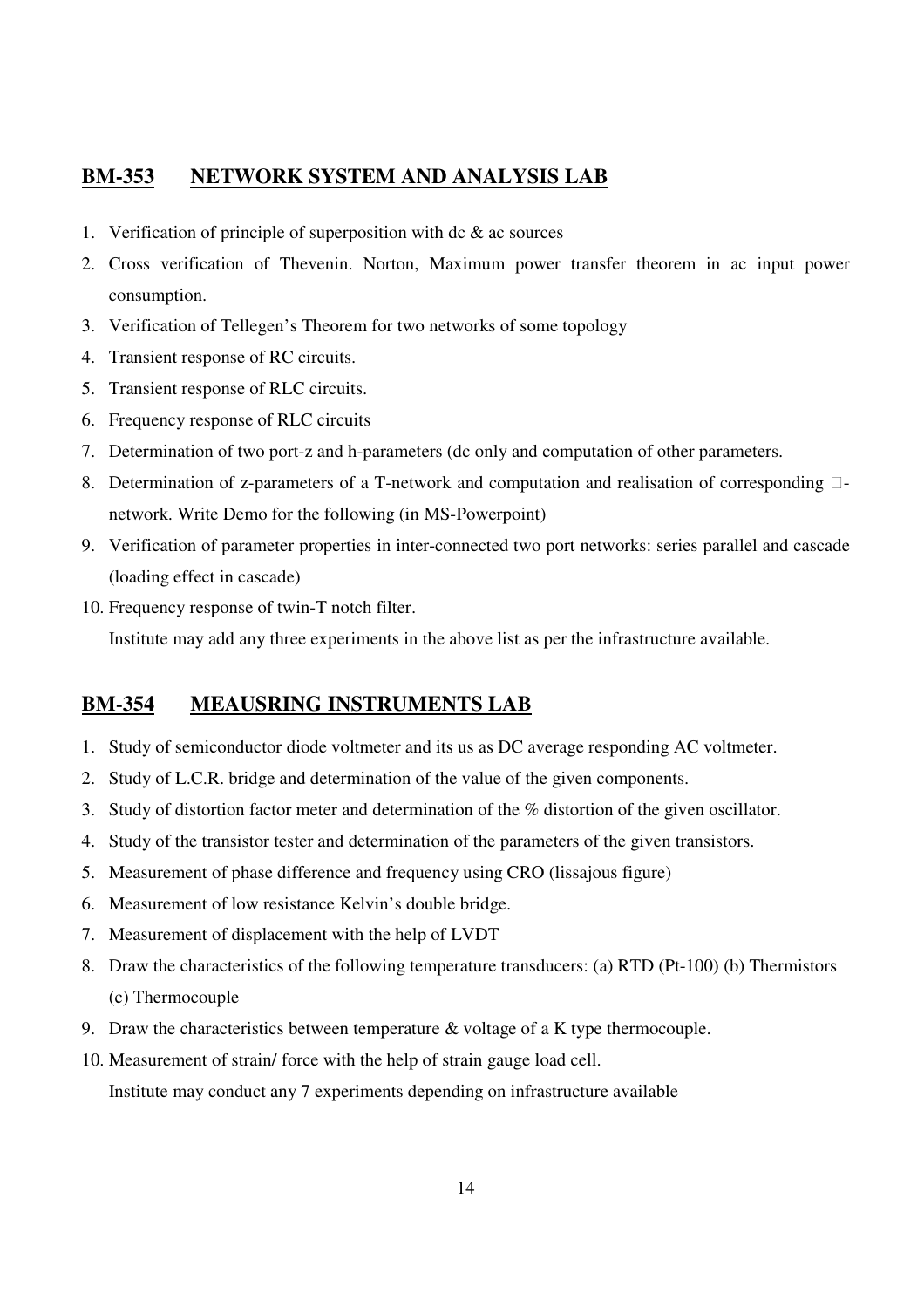## **BM-353 NETWORK SYSTEM AND ANALYSIS LAB**

- 1. Verification of principle of superposition with  $dc & ac$  sources
- 2. Cross verification of Thevenin. Norton, Maximum power transfer theorem in ac input power consumption.
- 3. Verification of Tellegen's Theorem for two networks of some topology
- 4. Transient response of RC circuits.
- 5. Transient response of RLC circuits.
- 6. Frequency response of RLC circuits
- 7. Determination of two port-z and h-parameters (dc only and computation of other parameters.
- 8. Determination of z-parameters of a T-network and computation and realisation of corresponding network. Write Demo for the following (in MS-Powerpoint)
- 9. Verification of parameter properties in inter-connected two port networks: series parallel and cascade (loading effect in cascade)
- 10. Frequency response of twin-T notch filter.

Institute may add any three experiments in the above list as per the infrastructure available.

## **BM-354 MEAUSRING INSTRUMENTS LAB**

- 1. Study of semiconductor diode voltmeter and its us as DC average responding AC voltmeter.
- 2. Study of L.C.R. bridge and determination of the value of the given components.
- 3. Study of distortion factor meter and determination of the % distortion of the given oscillator.
- 4. Study of the transistor tester and determination of the parameters of the given transistors.
- 5. Measurement of phase difference and frequency using CRO (lissajous figure)
- 6. Measurement of low resistance Kelvin's double bridge.
- 7. Measurement of displacement with the help of LVDT
- 8. Draw the characteristics of the following temperature transducers: (a) RTD (Pt-100) (b) Thermistors (c) Thermocouple
- 9. Draw the characteristics between temperature & voltage of a K type thermocouple.
- 10. Measurement of strain/ force with the help of strain gauge load cell.

Institute may conduct any 7 experiments depending on infrastructure available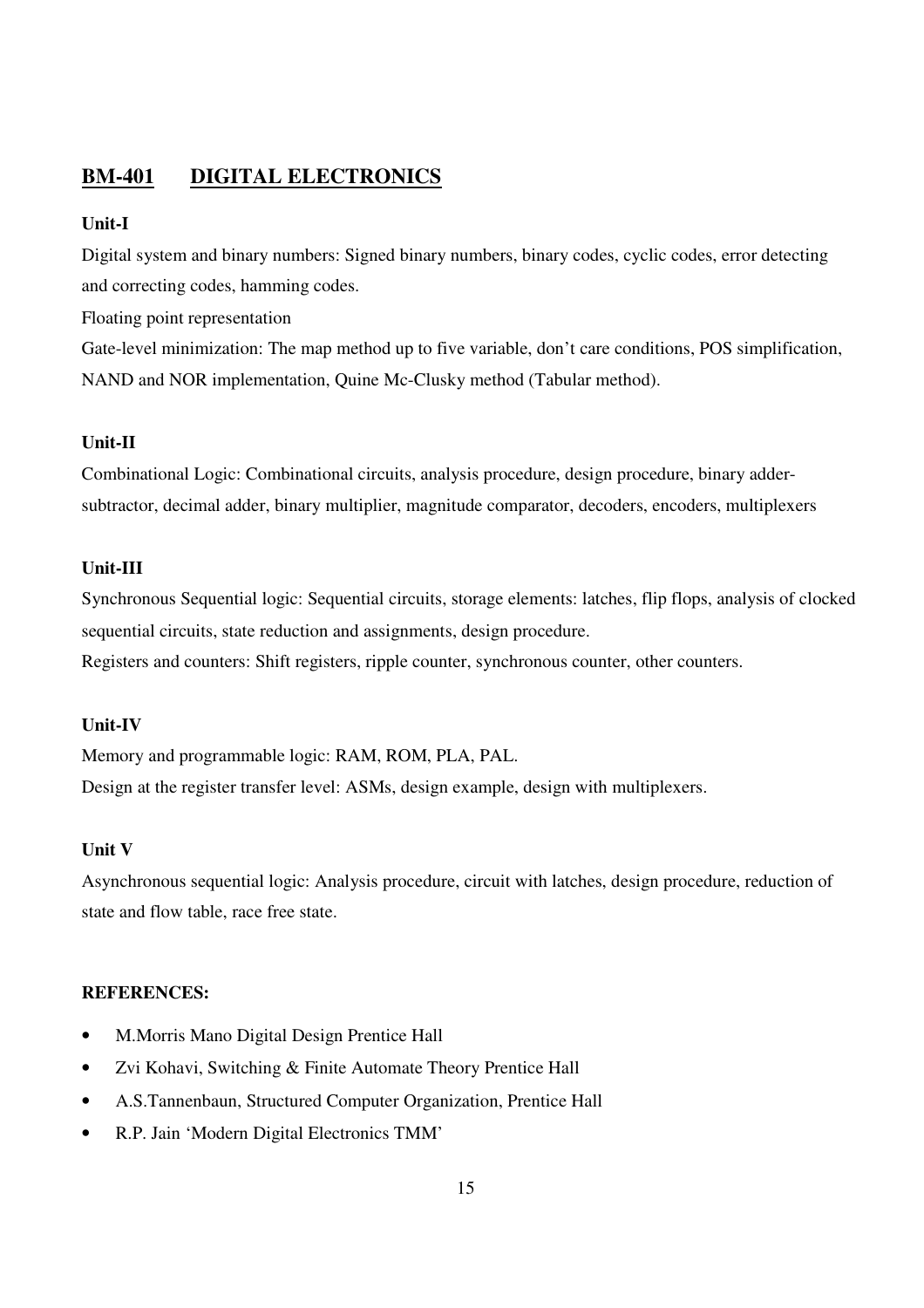## **BM-401 DIGITAL ELECTRONICS**

#### **Unit-I**

Digital system and binary numbers: Signed binary numbers, binary codes, cyclic codes, error detecting and correcting codes, hamming codes.

Floating point representation

Gate-level minimization: The map method up to five variable, don't care conditions, POS simplification, NAND and NOR implementation, Quine Mc-Clusky method (Tabular method).

## **Unit-II**

Combinational Logic: Combinational circuits, analysis procedure, design procedure, binary addersubtractor, decimal adder, binary multiplier, magnitude comparator, decoders, encoders, multiplexers

#### **Unit-III**

Synchronous Sequential logic: Sequential circuits, storage elements: latches, flip flops, analysis of clocked sequential circuits, state reduction and assignments, design procedure. Registers and counters: Shift registers, ripple counter, synchronous counter, other counters.

#### **Unit-IV**

Memory and programmable logic: RAM, ROM, PLA, PAL. Design at the register transfer level: ASMs, design example, design with multiplexers.

#### **Unit V**

Asynchronous sequential logic: Analysis procedure, circuit with latches, design procedure, reduction of state and flow table, race free state.

#### **REFERENCES:**

- M.Morris Mano Digital Design Prentice Hall
- Zvi Kohavi, Switching & Finite Automate Theory Prentice Hall
- A.S.Tannenbaun, Structured Computer Organization, Prentice Hall
- R.P. Jain 'Modern Digital Electronics TMM'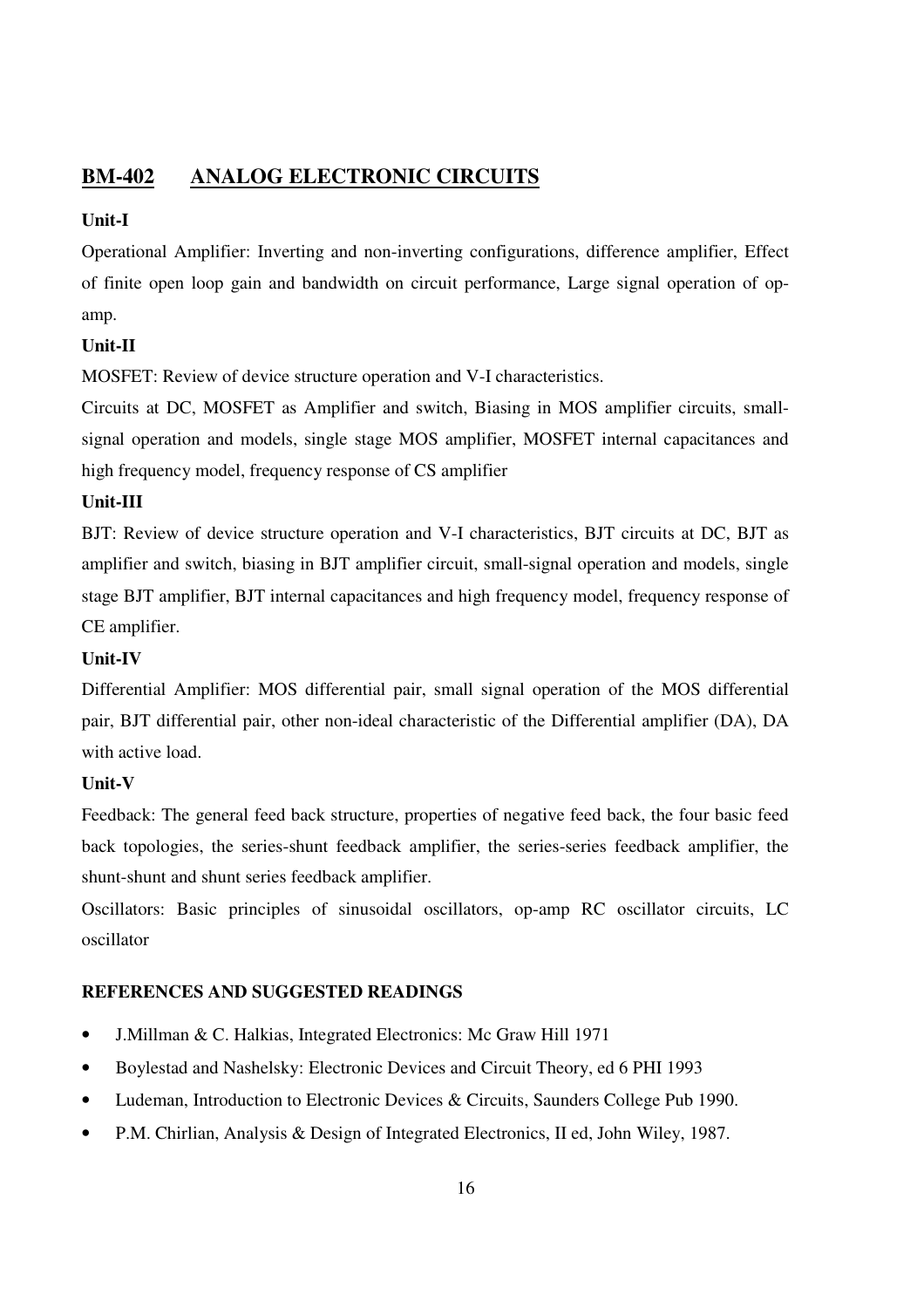## **BM-402 ANALOG ELECTRONIC CIRCUITS**

## **Unit-I**

Operational Amplifier: Inverting and non-inverting configurations, difference amplifier, Effect of finite open loop gain and bandwidth on circuit performance, Large signal operation of opamp.

## **Unit-II**

MOSFET: Review of device structure operation and V-I characteristics.

Circuits at DC, MOSFET as Amplifier and switch, Biasing in MOS amplifier circuits, smallsignal operation and models, single stage MOS amplifier, MOSFET internal capacitances and high frequency model, frequency response of CS amplifier

## **Unit-III**

BJT: Review of device structure operation and V-I characteristics, BJT circuits at DC, BJT as amplifier and switch, biasing in BJT amplifier circuit, small-signal operation and models, single stage BJT amplifier, BJT internal capacitances and high frequency model, frequency response of CE amplifier.

## **Unit-IV**

Differential Amplifier: MOS differential pair, small signal operation of the MOS differential pair, BJT differential pair, other non-ideal characteristic of the Differential amplifier (DA), DA with active load.

## **Unit-V**

Feedback: The general feed back structure, properties of negative feed back, the four basic feed back topologies, the series-shunt feedback amplifier, the series-series feedback amplifier, the shunt-shunt and shunt series feedback amplifier.

Oscillators: Basic principles of sinusoidal oscillators, op-amp RC oscillator circuits, LC oscillator

- J.Millman & C. Halkias, Integrated Electronics: Mc Graw Hill 1971
- Boylestad and Nashelsky: Electronic Devices and Circuit Theory, ed 6 PHI 1993
- Ludeman, Introduction to Electronic Devices & Circuits, Saunders College Pub 1990.
- P.M. Chirlian, Analysis & Design of Integrated Electronics, II ed, John Wiley, 1987.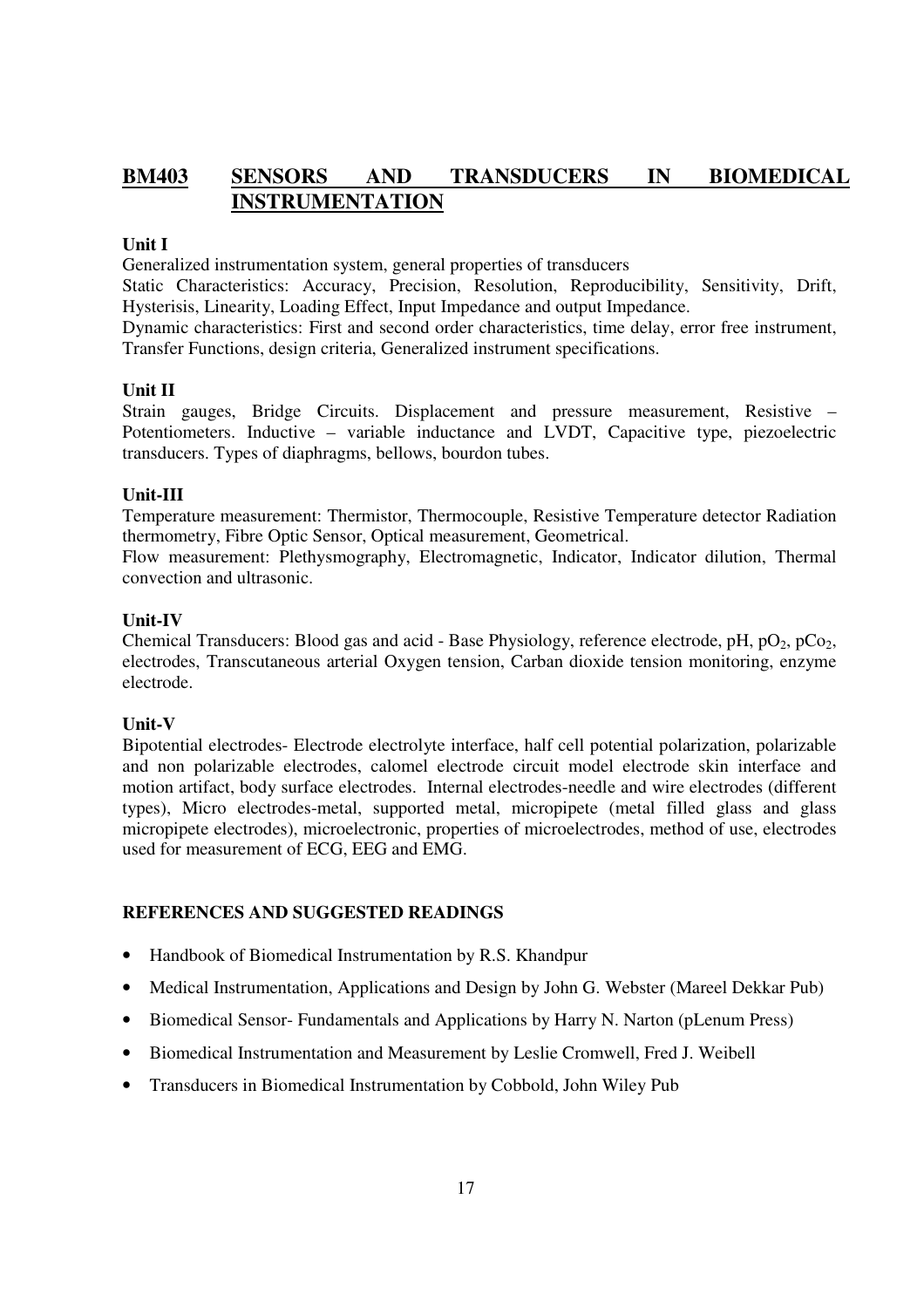## **BM403 SENSORS AND TRANSDUCERS IN BIOMEDICAL INSTRUMENTATION**

#### **Unit I**

Generalized instrumentation system, general properties of transducers

Static Characteristics: Accuracy, Precision, Resolution, Reproducibility, Sensitivity, Drift, Hysterisis, Linearity, Loading Effect, Input Impedance and output Impedance.

Dynamic characteristics: First and second order characteristics, time delay, error free instrument, Transfer Functions, design criteria, Generalized instrument specifications.

#### **Unit II**

Strain gauges, Bridge Circuits. Displacement and pressure measurement, Resistive – Potentiometers. Inductive – variable inductance and LVDT, Capacitive type, piezoelectric transducers. Types of diaphragms, bellows, bourdon tubes.

#### **Unit-III**

Temperature measurement: Thermistor, Thermocouple, Resistive Temperature detector Radiation thermometry, Fibre Optic Sensor, Optical measurement, Geometrical.

Flow measurement: Plethysmography, Electromagnetic, Indicator, Indicator dilution, Thermal convection and ultrasonic.

#### **Unit-IV**

Chemical Transducers: Blood gas and acid - Base Physiology, reference electrode, pH,  $pO_2$ ,  $pCo_2$ , electrodes, Transcutaneous arterial Oxygen tension, Carban dioxide tension monitoring, enzyme electrode.

## **Unit-V**

Bipotential electrodes- Electrode electrolyte interface, half cell potential polarization, polarizable and non polarizable electrodes, calomel electrode circuit model electrode skin interface and motion artifact, body surface electrodes. Internal electrodes-needle and wire electrodes (different types), Micro electrodes-metal, supported metal, micropipete (metal filled glass and glass micropipete electrodes), microelectronic, properties of microelectrodes, method of use, electrodes used for measurement of ECG, EEG and EMG.

- Handbook of Biomedical Instrumentation by R.S. Khandpur
- Medical Instrumentation, Applications and Design by John G. Webster (Mareel Dekkar Pub)
- Biomedical Sensor- Fundamentals and Applications by Harry N. Narton (pLenum Press)
- Biomedical Instrumentation and Measurement by Leslie Cromwell, Fred J. Weibell
- Transducers in Biomedical Instrumentation by Cobbold, John Wiley Pub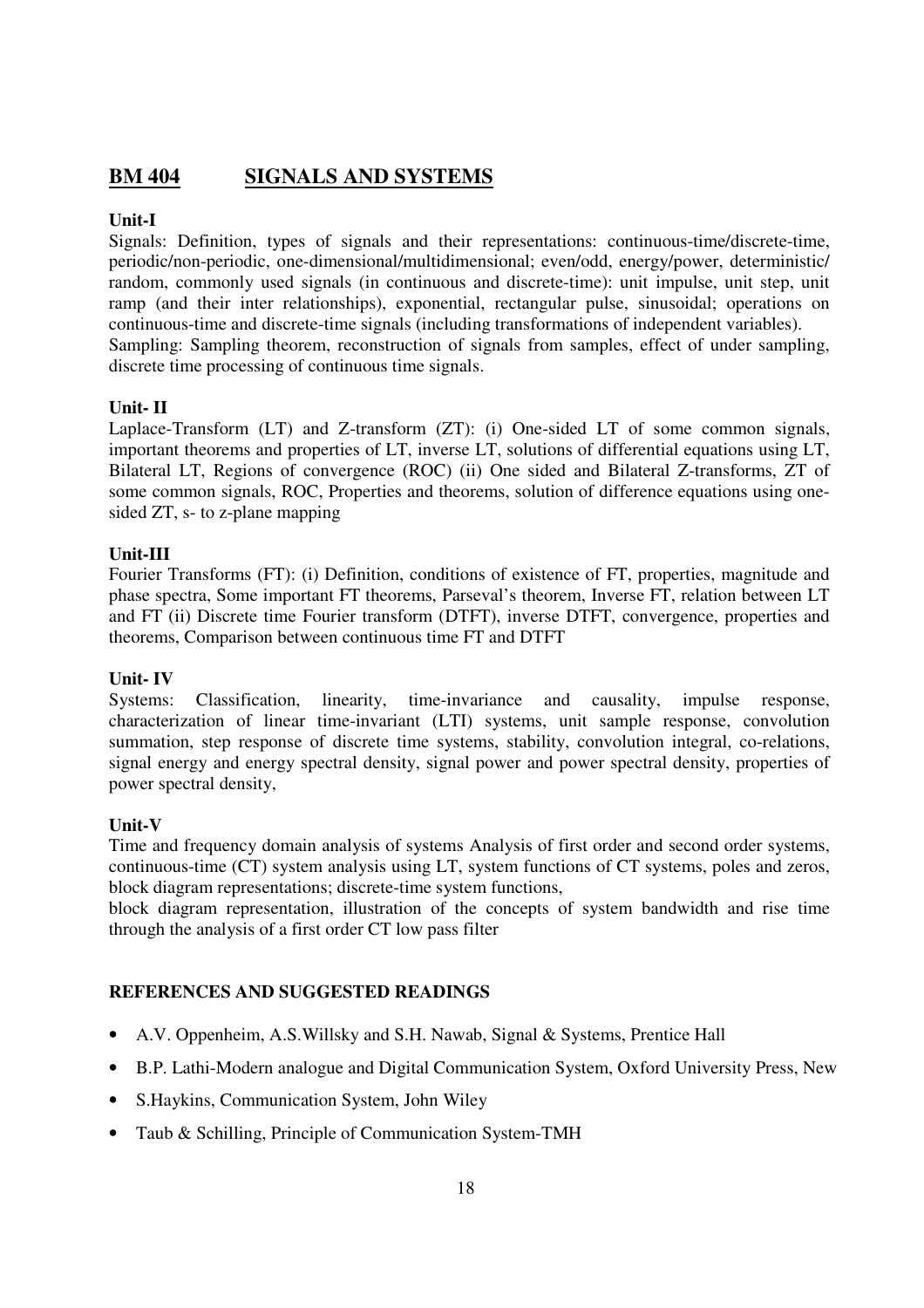## **BM 404 SIGNALS AND SYSTEMS**

## **Unit-I**

Signals: Definition, types of signals and their representations: continuous-time/discrete-time, periodic/non-periodic, one-dimensional/multidimensional; even/odd, energy/power, deterministic/ random, commonly used signals (in continuous and discrete-time): unit impulse, unit step, unit ramp (and their inter relationships), exponential, rectangular pulse, sinusoidal; operations on continuous-time and discrete-time signals (including transformations of independent variables). Sampling: Sampling theorem, reconstruction of signals from samples, effect of under sampling, discrete time processing of continuous time signals.

## **Unit- II**

Laplace-Transform (LT) and Z-transform (ZT): (i) One-sided LT of some common signals, important theorems and properties of LT, inverse LT, solutions of differential equations using LT, Bilateral LT, Regions of convergence (ROC) (ii) One sided and Bilateral Z-transforms, ZT of some common signals, ROC, Properties and theorems, solution of difference equations using onesided ZT, s- to z-plane mapping

## **Unit-III**

Fourier Transforms (FT): (i) Definition, conditions of existence of FT, properties, magnitude and phase spectra, Some important FT theorems, Parseval's theorem, Inverse FT, relation between LT and FT (ii) Discrete time Fourier transform (DTFT), inverse DTFT, convergence, properties and theorems, Comparison between continuous time FT and DTFT

## **Unit- IV**

Systems: Classification, linearity, time-invariance and causality, impulse response, characterization of linear time-invariant (LTI) systems, unit sample response, convolution summation, step response of discrete time systems, stability, convolution integral, co-relations, signal energy and energy spectral density, signal power and power spectral density, properties of power spectral density,

## **Unit-V**

Time and frequency domain analysis of systems Analysis of first order and second order systems, continuous-time (CT) system analysis using LT, system functions of CT systems, poles and zeros, block diagram representations; discrete-time system functions,

block diagram representation, illustration of the concepts of system bandwidth and rise time through the analysis of a first order CT low pass filter

- A.V. Oppenheim, A.S.Willsky and S.H. Nawab, Signal & Systems, Prentice Hall
- B.P. Lathi-Modern analogue and Digital Communication System, Oxford University Press, New
- S.Haykins, Communication System, John Wiley
- Taub & Schilling, Principle of Communication System-TMH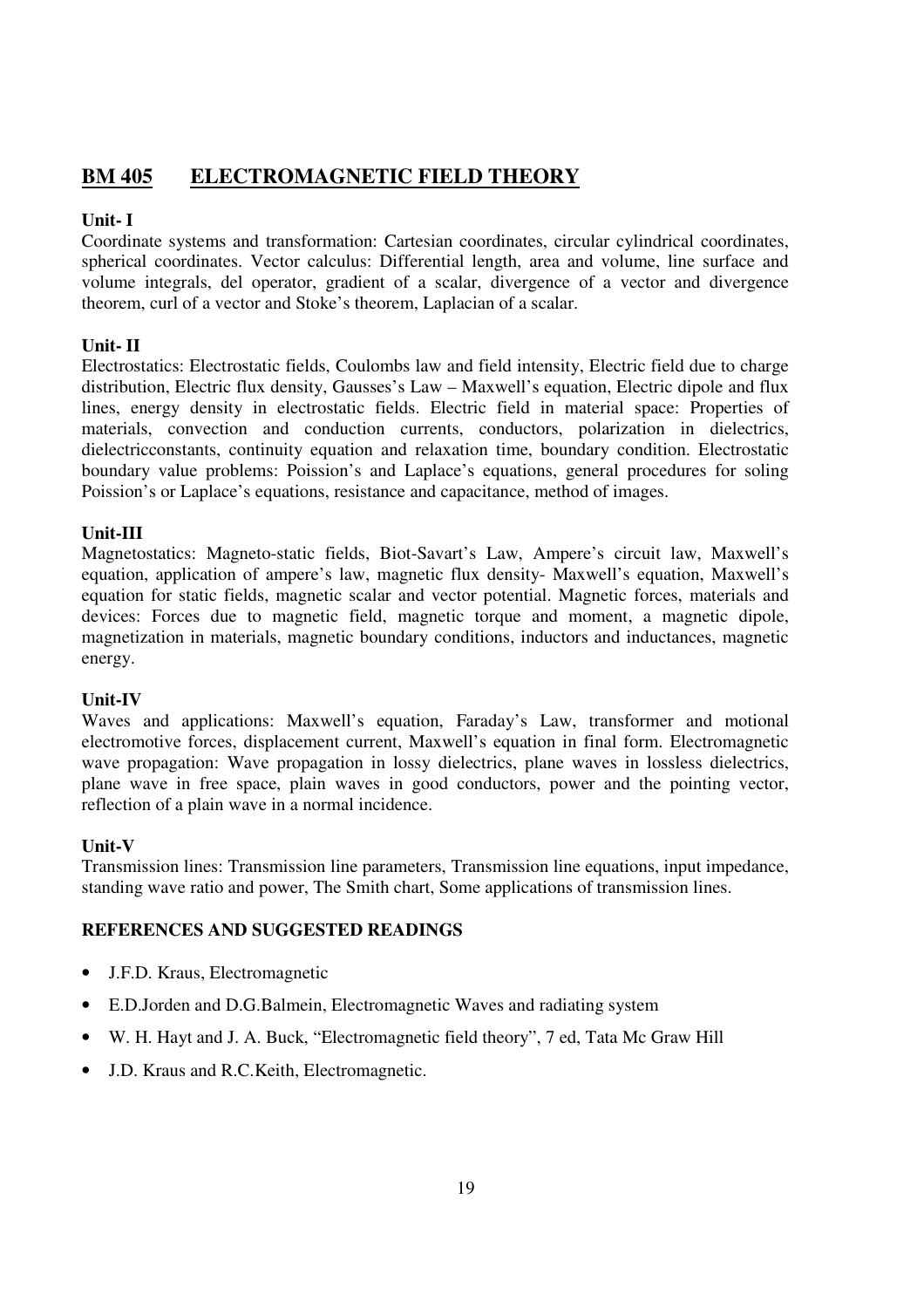## **BM 405 ELECTROMAGNETIC FIELD THEORY**

## **Unit- I**

Coordinate systems and transformation: Cartesian coordinates, circular cylindrical coordinates, spherical coordinates. Vector calculus: Differential length, area and volume, line surface and volume integrals, del operator, gradient of a scalar, divergence of a vector and divergence theorem, curl of a vector and Stoke's theorem, Laplacian of a scalar.

## **Unit- II**

Electrostatics: Electrostatic fields, Coulombs law and field intensity, Electric field due to charge distribution, Electric flux density, Gausses's Law – Maxwell's equation, Electric dipole and flux lines, energy density in electrostatic fields. Electric field in material space: Properties of materials, convection and conduction currents, conductors, polarization in dielectrics, dielectricconstants, continuity equation and relaxation time, boundary condition. Electrostatic boundary value problems: Poission's and Laplace's equations, general procedures for soling Poission's or Laplace's equations, resistance and capacitance, method of images.

## **Unit-III**

Magnetostatics: Magneto-static fields, Biot-Savart's Law, Ampere's circuit law, Maxwell's equation, application of ampere's law, magnetic flux density- Maxwell's equation, Maxwell's equation for static fields, magnetic scalar and vector potential. Magnetic forces, materials and devices: Forces due to magnetic field, magnetic torque and moment, a magnetic dipole, magnetization in materials, magnetic boundary conditions, inductors and inductances, magnetic energy.

## **Unit-IV**

Waves and applications: Maxwell's equation, Faraday's Law, transformer and motional electromotive forces, displacement current, Maxwell's equation in final form. Electromagnetic wave propagation: Wave propagation in lossy dielectrics, plane waves in lossless dielectrics, plane wave in free space, plain waves in good conductors, power and the pointing vector, reflection of a plain wave in a normal incidence.

## **Unit-V**

Transmission lines: Transmission line parameters, Transmission line equations, input impedance, standing wave ratio and power, The Smith chart, Some applications of transmission lines.

- J.F.D. Kraus, Electromagnetic
- E.D.Jorden and D.G.Balmein, Electromagnetic Waves and radiating system
- W. H. Hayt and J. A. Buck, "Electromagnetic field theory", 7 ed, Tata Mc Graw Hill
- J.D. Kraus and R.C.Keith, Electromagnetic.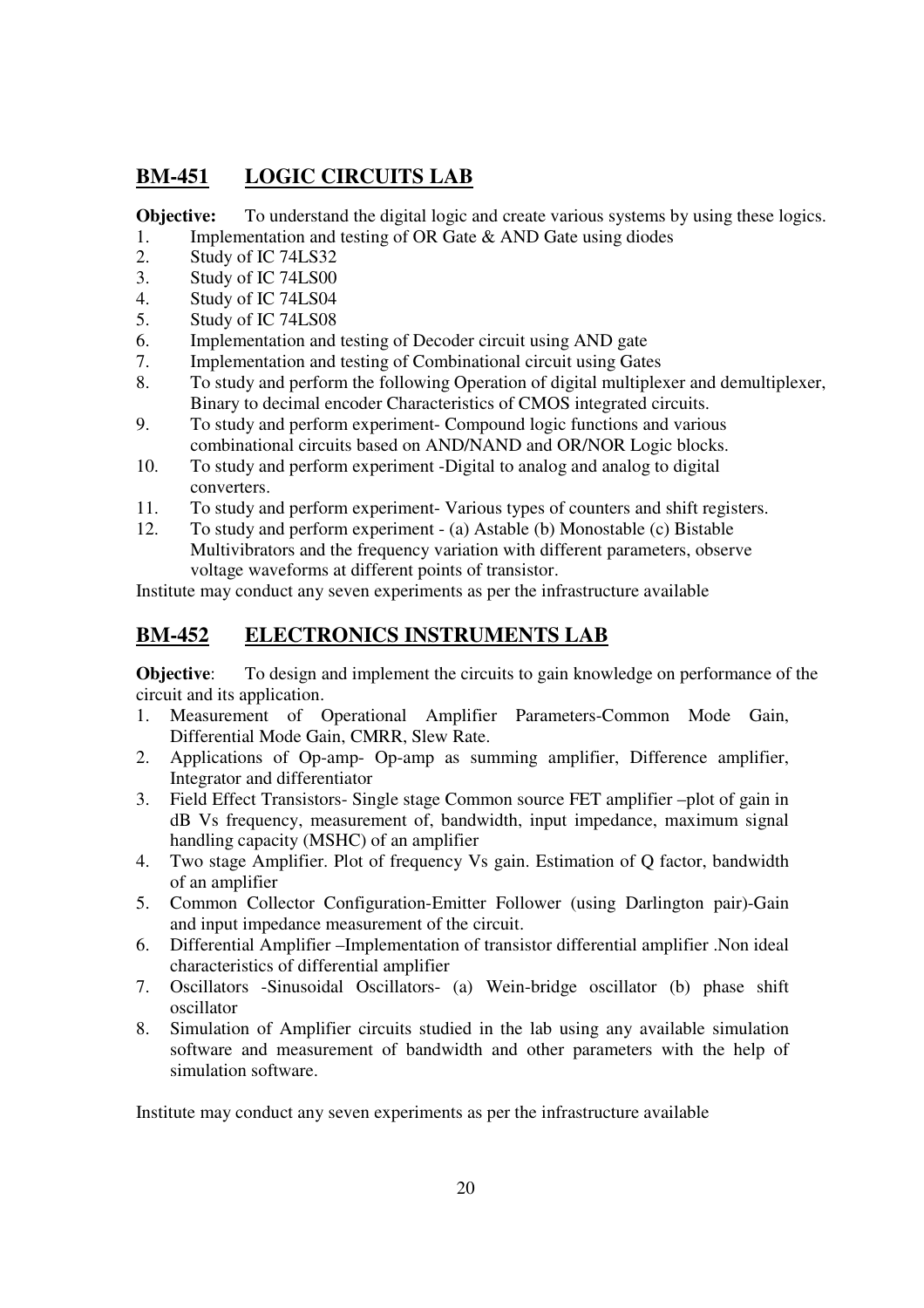## **BM-451 LOGIC CIRCUITS LAB**

**Objective:** To understand the digital logic and create various systems by using these logics. 1. Implementation and testing of OR Gate & AND Gate using diodes

- 2. Study of IC 74LS32
- 3. Study of IC 74LS00
- 4. Study of IC 74LS04
- 5. Study of IC 74LS08
- 6. Implementation and testing of Decoder circuit using AND gate
- 7. Implementation and testing of Combinational circuit using Gates
- 8. To study and perform the following Operation of digital multiplexer and demultiplexer, Binary to decimal encoder Characteristics of CMOS integrated circuits.
- 9. To study and perform experiment- Compound logic functions and various combinational circuits based on AND/NAND and OR/NOR Logic blocks.
- 10. To study and perform experiment -Digital to analog and analog to digital converters.
- 11. To study and perform experiment- Various types of counters and shift registers.
- 12. To study and perform experiment (a) Astable (b) Monostable (c) Bistable Multivibrators and the frequency variation with different parameters, observe voltage waveforms at different points of transistor.

Institute may conduct any seven experiments as per the infrastructure available

## **BM-452 ELECTRONICS INSTRUMENTS LAB**

**Objective:** To design and implement the circuits to gain knowledge on performance of the circuit and its application.

- 1. Measurement of Operational Amplifier Parameters-Common Mode Gain, Differential Mode Gain, CMRR, Slew Rate.
- 2. Applications of Op-amp- Op-amp as summing amplifier, Difference amplifier, Integrator and differentiator
- 3. Field Effect Transistors- Single stage Common source FET amplifier –plot of gain in dB Vs frequency, measurement of, bandwidth, input impedance, maximum signal handling capacity (MSHC) of an amplifier
- 4. Two stage Amplifier. Plot of frequency Vs gain. Estimation of Q factor, bandwidth of an amplifier
- 5. Common Collector Configuration-Emitter Follower (using Darlington pair)-Gain and input impedance measurement of the circuit.
- 6. Differential Amplifier –Implementation of transistor differential amplifier .Non ideal characteristics of differential amplifier
- 7. Oscillators -Sinusoidal Oscillators- (a) Wein-bridge oscillator (b) phase shift oscillator
- 8. Simulation of Amplifier circuits studied in the lab using any available simulation software and measurement of bandwidth and other parameters with the help of simulation software.

Institute may conduct any seven experiments as per the infrastructure available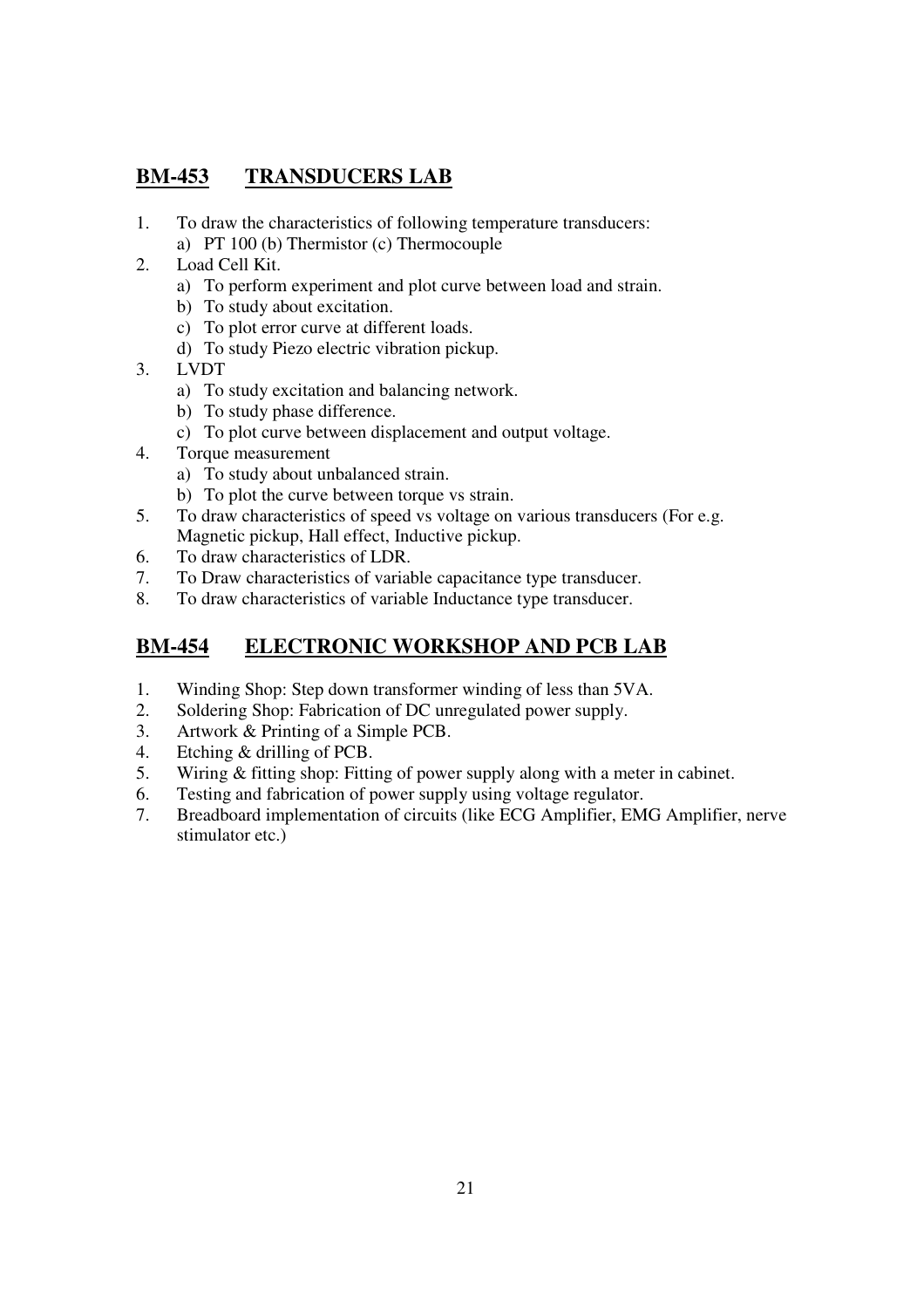## **BM-453 TRANSDUCERS LAB**

- 1. To draw the characteristics of following temperature transducers: a) PT 100 (b) Thermistor (c) Thermocouple
- 2. Load Cell Kit.
	- a) To perform experiment and plot curve between load and strain.
	- b) To study about excitation.
	- c) To plot error curve at different loads.
	- d) To study Piezo electric vibration pickup.
- 3. LVDT
	- a) To study excitation and balancing network.
	- b) To study phase difference.
	- c) To plot curve between displacement and output voltage.
- 4. Torque measurement
	- a) To study about unbalanced strain.
	- b) To plot the curve between torque vs strain.
- 5. To draw characteristics of speed vs voltage on various transducers (For e.g. Magnetic pickup, Hall effect, Inductive pickup.
- 6. To draw characteristics of LDR.
- 7. To Draw characteristics of variable capacitance type transducer.
- 8. To draw characteristics of variable Inductance type transducer.

## **BM-454 ELECTRONIC WORKSHOP AND PCB LAB**

- 1. Winding Shop: Step down transformer winding of less than 5VA.
- 2. Soldering Shop: Fabrication of DC unregulated power supply.
- 3. Artwork & Printing of a Simple PCB.
- 4. Etching & drilling of PCB.
- 5. Wiring & fitting shop: Fitting of power supply along with a meter in cabinet.
- 6. Testing and fabrication of power supply using voltage regulator.
- 7. Breadboard implementation of circuits (like ECG Amplifier, EMG Amplifier, nerve stimulator etc.)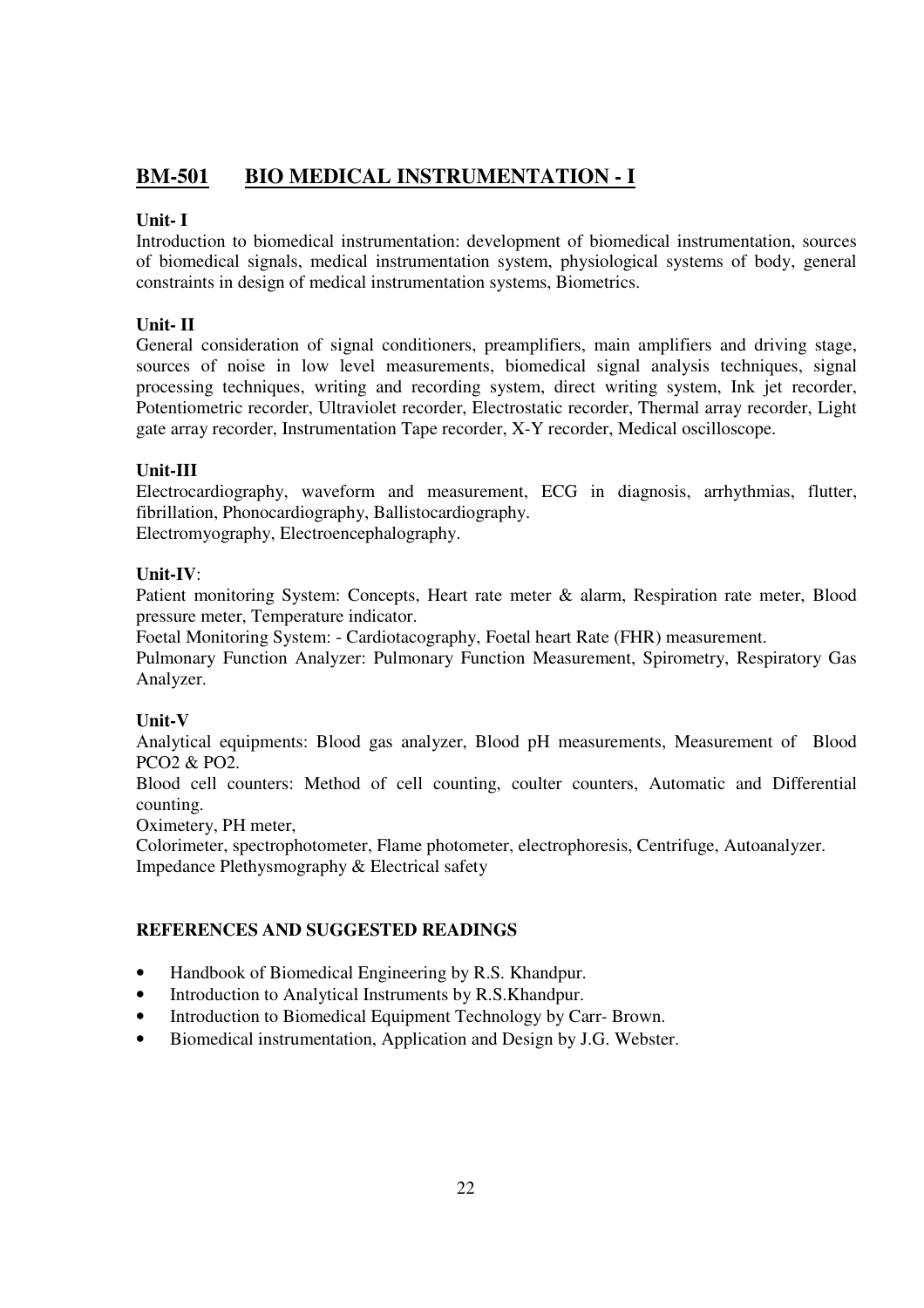## **BM-501 BIO MEDICAL INSTRUMENTATION - I**

## **Unit- I**

Introduction to biomedical instrumentation: development of biomedical instrumentation, sources of biomedical signals, medical instrumentation system, physiological systems of body, general constraints in design of medical instrumentation systems, Biometrics.

## **Unit- II**

General consideration of signal conditioners, preamplifiers, main amplifiers and driving stage, sources of noise in low level measurements, biomedical signal analysis techniques, signal processing techniques, writing and recording system, direct writing system, Ink jet recorder, Potentiometric recorder, Ultraviolet recorder, Electrostatic recorder, Thermal array recorder, Light gate array recorder, Instrumentation Tape recorder, X-Y recorder, Medical oscilloscope.

## **Unit-III**

Electrocardiography, waveform and measurement, ECG in diagnosis, arrhythmias, flutter, fibrillation, Phonocardiography, Ballistocardiography. Electromyography, Electroencephalography.

## **Unit-IV**:

Patient monitoring System: Concepts, Heart rate meter & alarm, Respiration rate meter, Blood pressure meter, Temperature indicator.

Foetal Monitoring System: - Cardiotacography, Foetal heart Rate (FHR) measurement.

Pulmonary Function Analyzer: Pulmonary Function Measurement, Spirometry, Respiratory Gas Analyzer.

## **Unit-V**

Analytical equipments: Blood gas analyzer, Blood pH measurements, Measurement of Blood PCO2 & PO2.

Blood cell counters: Method of cell counting, coulter counters, Automatic and Differential counting.

Oximetery, PH meter,

Colorimeter, spectrophotometer, Flame photometer, electrophoresis, Centrifuge, Autoanalyzer. Impedance Plethysmography & Electrical safety

- Handbook of Biomedical Engineering by R.S. Khandpur.
- Introduction to Analytical Instruments by R.S.Khandpur.
- Introduction to Biomedical Equipment Technology by Carr- Brown.
- Biomedical instrumentation, Application and Design by J.G. Webster.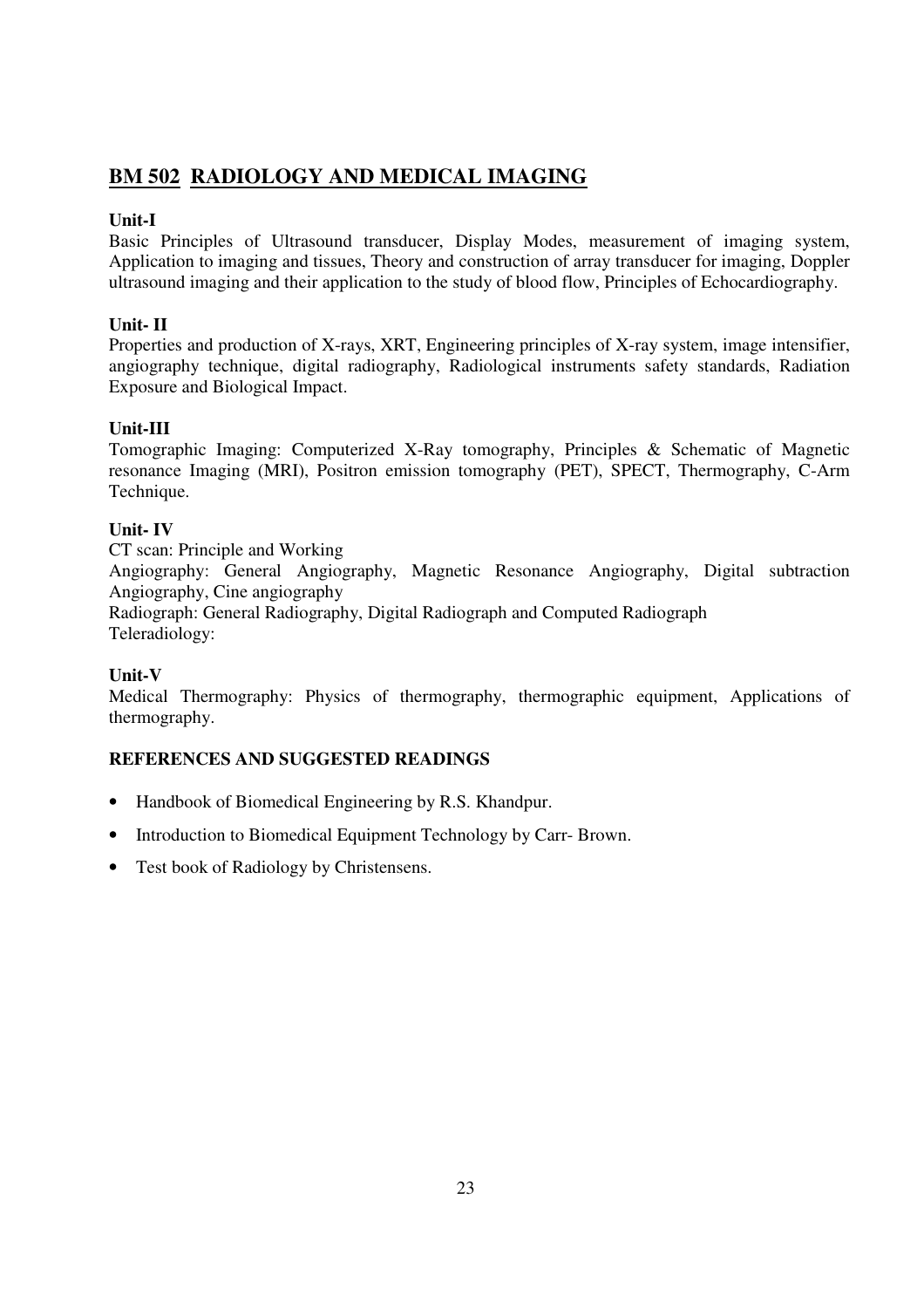## **BM 502 RADIOLOGY AND MEDICAL IMAGING**

## **Unit-I**

Basic Principles of Ultrasound transducer, Display Modes, measurement of imaging system, Application to imaging and tissues, Theory and construction of array transducer for imaging, Doppler ultrasound imaging and their application to the study of blood flow, Principles of Echocardiography.

## **Unit- II**

Properties and production of X-rays, XRT, Engineering principles of X-ray system, image intensifier, angiography technique, digital radiography, Radiological instruments safety standards, Radiation Exposure and Biological Impact.

## **Unit-III**

Tomographic Imaging: Computerized X-Ray tomography, Principles & Schematic of Magnetic resonance Imaging (MRI), Positron emission tomography (PET), SPECT, Thermography, C-Arm Technique.

## **Unit- IV**

CT scan: Principle and Working

Angiography: General Angiography, Magnetic Resonance Angiography, Digital subtraction Angiography, Cine angiography

Radiograph: General Radiography, Digital Radiograph and Computed Radiograph Teleradiology:

## **Unit-V**

Medical Thermography: Physics of thermography, thermographic equipment, Applications of thermography.

- Handbook of Biomedical Engineering by R.S. Khandpur.
- Introduction to Biomedical Equipment Technology by Carr- Brown.
- Test book of Radiology by Christensens.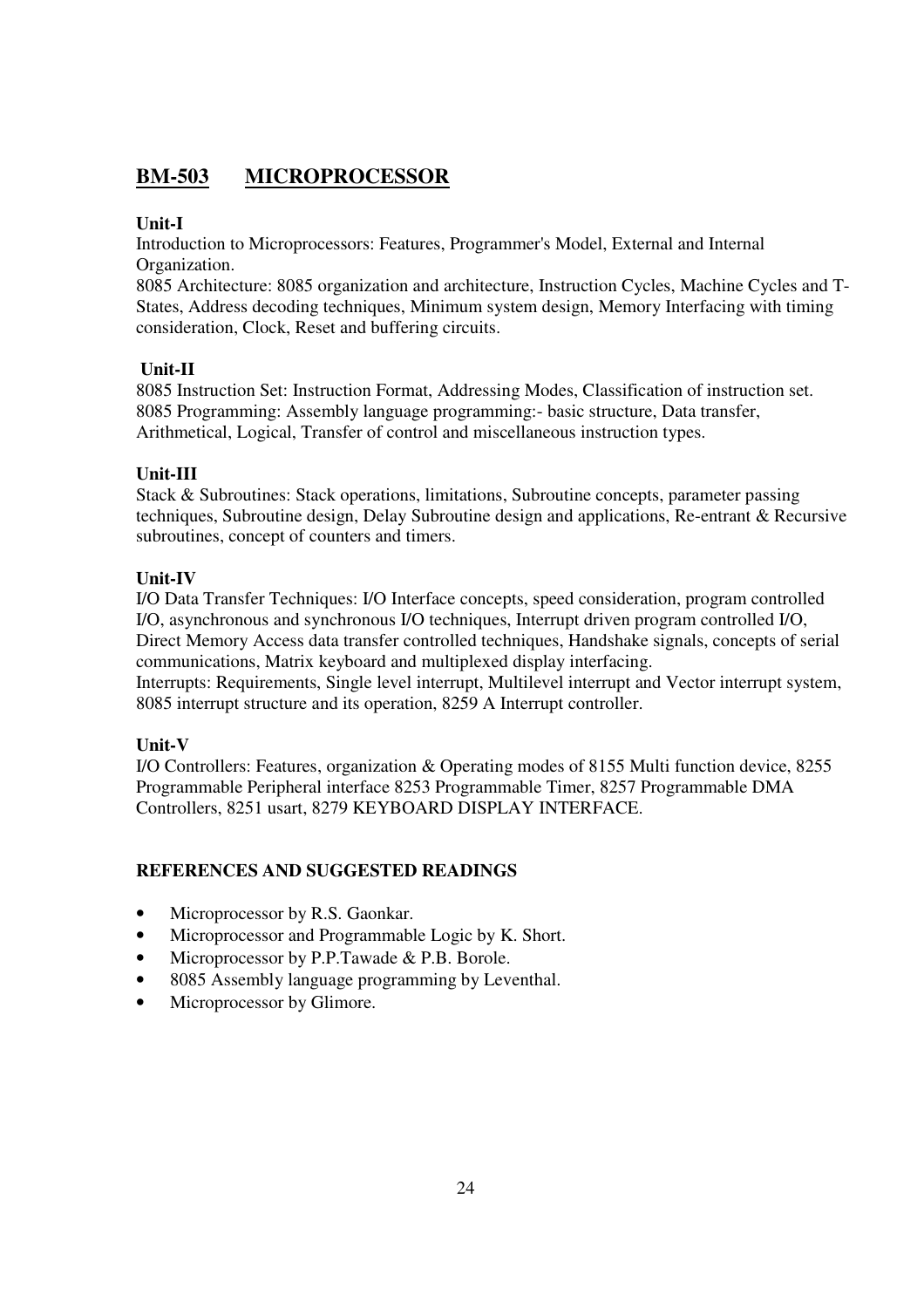## **BM-503 MICROPROCESSOR**

## **Unit-I**

Introduction to Microprocessors: Features, Programmer's Model, External and Internal Organization.

8085 Architecture: 8085 organization and architecture, Instruction Cycles, Machine Cycles and T-States, Address decoding techniques, Minimum system design, Memory Interfacing with timing consideration, Clock, Reset and buffering circuits.

## **Unit-II**

8085 Instruction Set: Instruction Format, Addressing Modes, Classification of instruction set. 8085 Programming: Assembly language programming:- basic structure, Data transfer, Arithmetical, Logical, Transfer of control and miscellaneous instruction types.

## **Unit-III**

Stack & Subroutines: Stack operations, limitations, Subroutine concepts, parameter passing techniques, Subroutine design, Delay Subroutine design and applications, Re-entrant & Recursive subroutines, concept of counters and timers.

## **Unit-IV**

I/O Data Transfer Techniques: I/O Interface concepts, speed consideration, program controlled I/O, asynchronous and synchronous I/O techniques, Interrupt driven program controlled I/O, Direct Memory Access data transfer controlled techniques, Handshake signals, concepts of serial communications, Matrix keyboard and multiplexed display interfacing. Interrupts: Requirements, Single level interrupt, Multilevel interrupt and Vector interrupt system, 8085 interrupt structure and its operation, 8259 A Interrupt controller.

## **Unit-V**

I/O Controllers: Features, organization & Operating modes of 8155 Multi function device, 8255 Programmable Peripheral interface 8253 Programmable Timer, 8257 Programmable DMA Controllers, 8251 usart, 8279 KEYBOARD DISPLAY INTERFACE.

- Microprocessor by R.S. Gaonkar.
- Microprocessor and Programmable Logic by K. Short.
- Microprocessor by P.P.Tawade & P.B. Borole.
- 8085 Assembly language programming by Leventhal.
- Microprocessor by Glimore.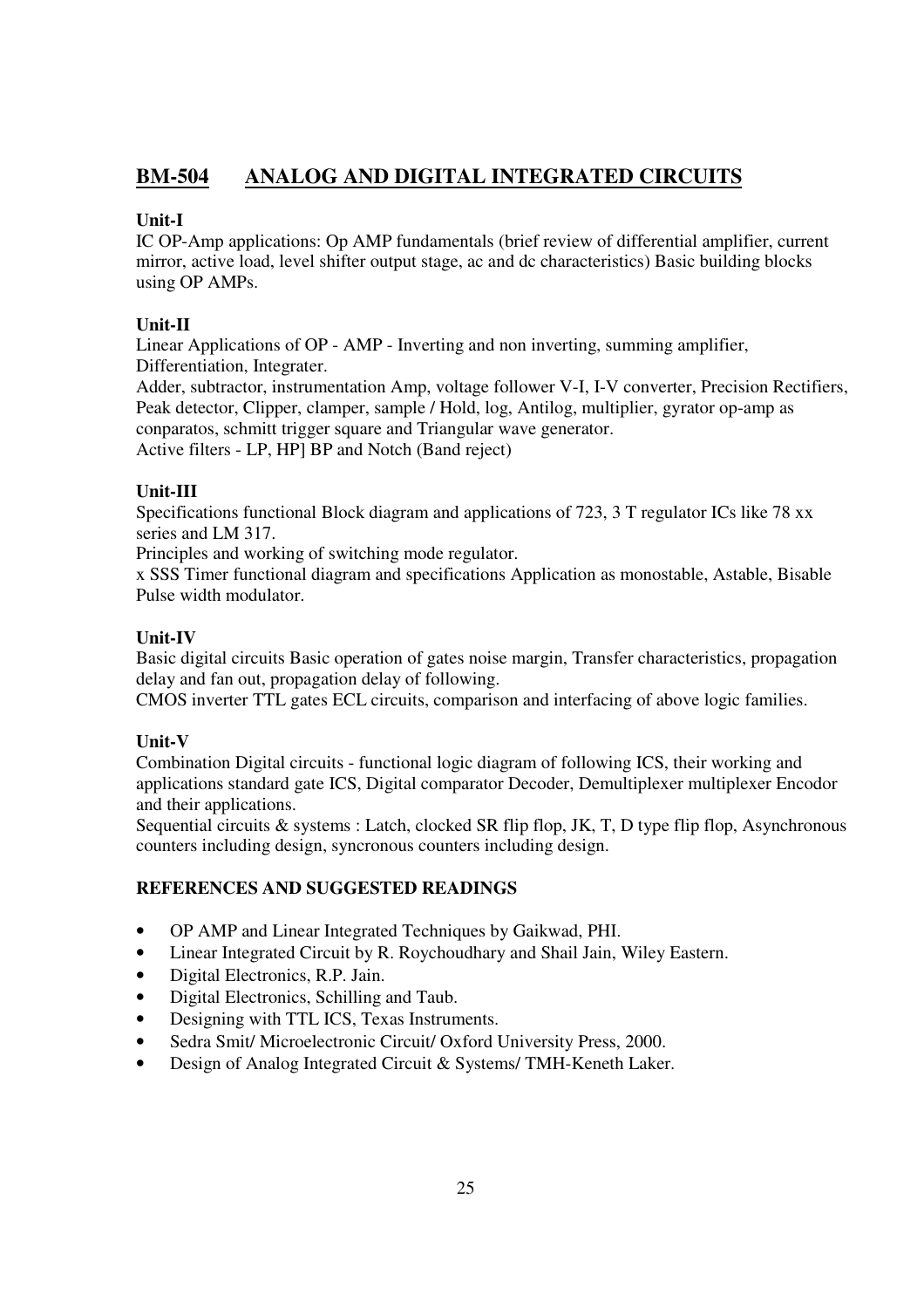## **BM-504 ANALOG AND DIGITAL INTEGRATED CIRCUITS**

## **Unit-I**

IC OP-Amp applications: Op AMP fundamentals (brief review of differential amplifier, current mirror, active load, level shifter output stage, ac and dc characteristics) Basic building blocks using OP AMPs.

## **Unit-II**

Linear Applications of OP - AMP - Inverting and non inverting, summing amplifier, Differentiation, Integrater.

Adder, subtractor, instrumentation Amp, voltage follower V-I, I-V converter, Precision Rectifiers, Peak detector, Clipper, clamper, sample / Hold, log, Antilog, multiplier, gyrator op-amp as conparatos, schmitt trigger square and Triangular wave generator. Active filters - LP, HP] BP and Notch (Band reject)

## **Unit-III**

Specifications functional Block diagram and applications of 723, 3 T regulator ICs like 78 xx series and LM 317.

Principles and working of switching mode regulator.

x SSS Timer functional diagram and specifications Application as monostable, Astable, Bisable Pulse width modulator.

## **Unit-IV**

Basic digital circuits Basic operation of gates noise margin, Transfer characteristics, propagation delay and fan out, propagation delay of following.

CMOS inverter TTL gates ECL circuits, comparison and interfacing of above logic families.

## **Unit-V**

Combination Digital circuits - functional logic diagram of following ICS, their working and applications standard gate ICS, Digital comparator Decoder, Demultiplexer multiplexer Encodor and their applications.

Sequential circuits & systems : Latch, clocked SR flip flop, JK, T, D type flip flop, Asynchronous counters including design, syncronous counters including design.

- OP AMP and Linear Integrated Techniques by Gaikwad, PHI.
- Linear Integrated Circuit by R. Roychoudhary and Shail Jain, Wiley Eastern.
- Digital Electronics, R.P. Jain.
- Digital Electronics, Schilling and Taub.
- Designing with TTL ICS, Texas Instruments.
- Sedra Smit/ Microelectronic Circuit/ Oxford University Press, 2000.
- Design of Analog Integrated Circuit & Systems/TMH-Keneth Laker.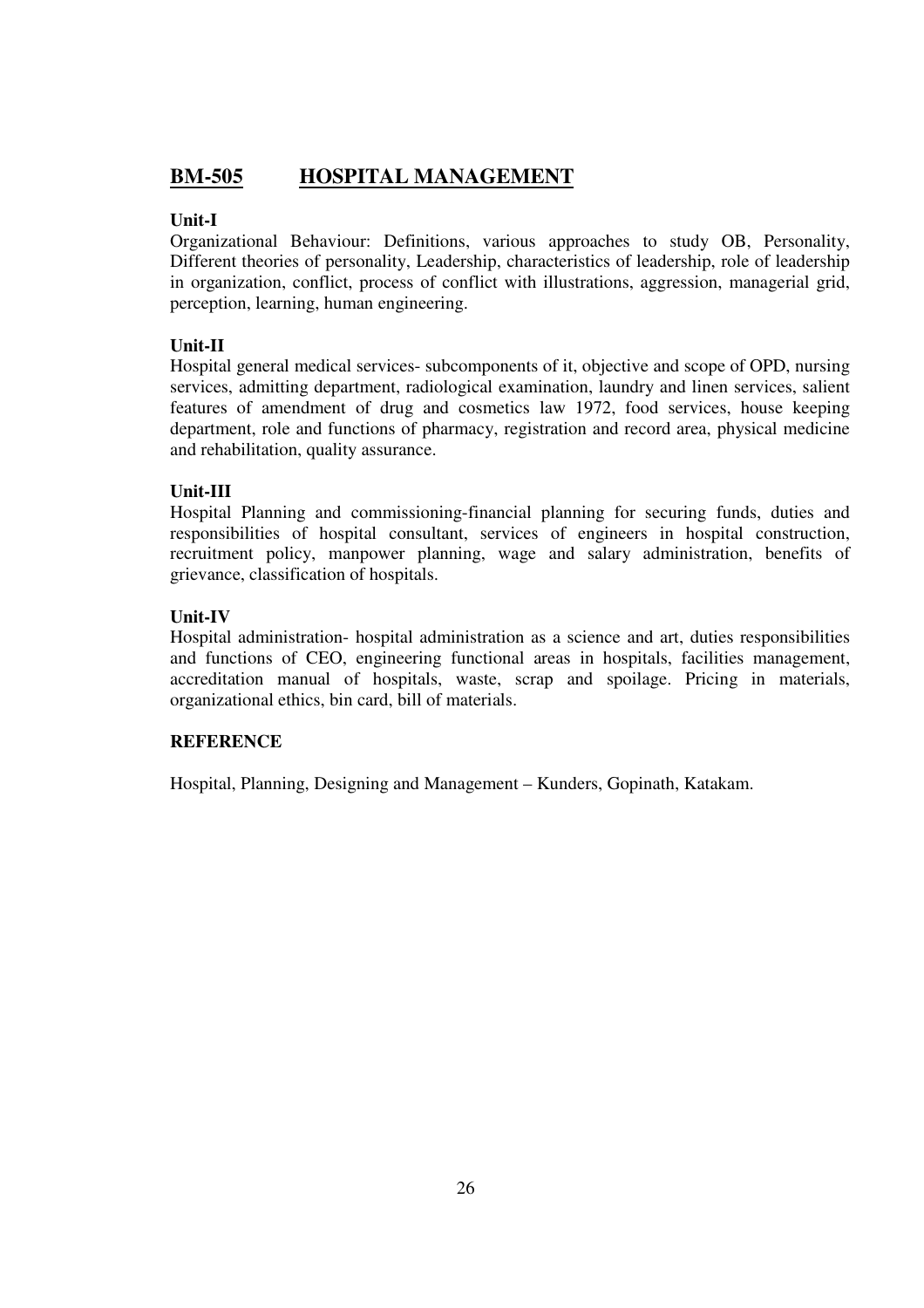## **BM-505 HOSPITAL MANAGEMENT**

## **Unit-I**

Organizational Behaviour: Definitions, various approaches to study OB, Personality, Different theories of personality, Leadership, characteristics of leadership, role of leadership in organization, conflict, process of conflict with illustrations, aggression, managerial grid, perception, learning, human engineering.

## **Unit-II**

Hospital general medical services- subcomponents of it, objective and scope of OPD, nursing services, admitting department, radiological examination, laundry and linen services, salient features of amendment of drug and cosmetics law 1972, food services, house keeping department, role and functions of pharmacy, registration and record area, physical medicine and rehabilitation, quality assurance.

## **Unit-III**

Hospital Planning and commissioning-financial planning for securing funds, duties and responsibilities of hospital consultant, services of engineers in hospital construction, recruitment policy, manpower planning, wage and salary administration, benefits of grievance, classification of hospitals.

## **Unit-IV**

Hospital administration- hospital administration as a science and art, duties responsibilities and functions of CEO, engineering functional areas in hospitals, facilities management, accreditation manual of hospitals, waste, scrap and spoilage. Pricing in materials, organizational ethics, bin card, bill of materials.

## **REFERENCE**

Hospital, Planning, Designing and Management – Kunders, Gopinath, Katakam.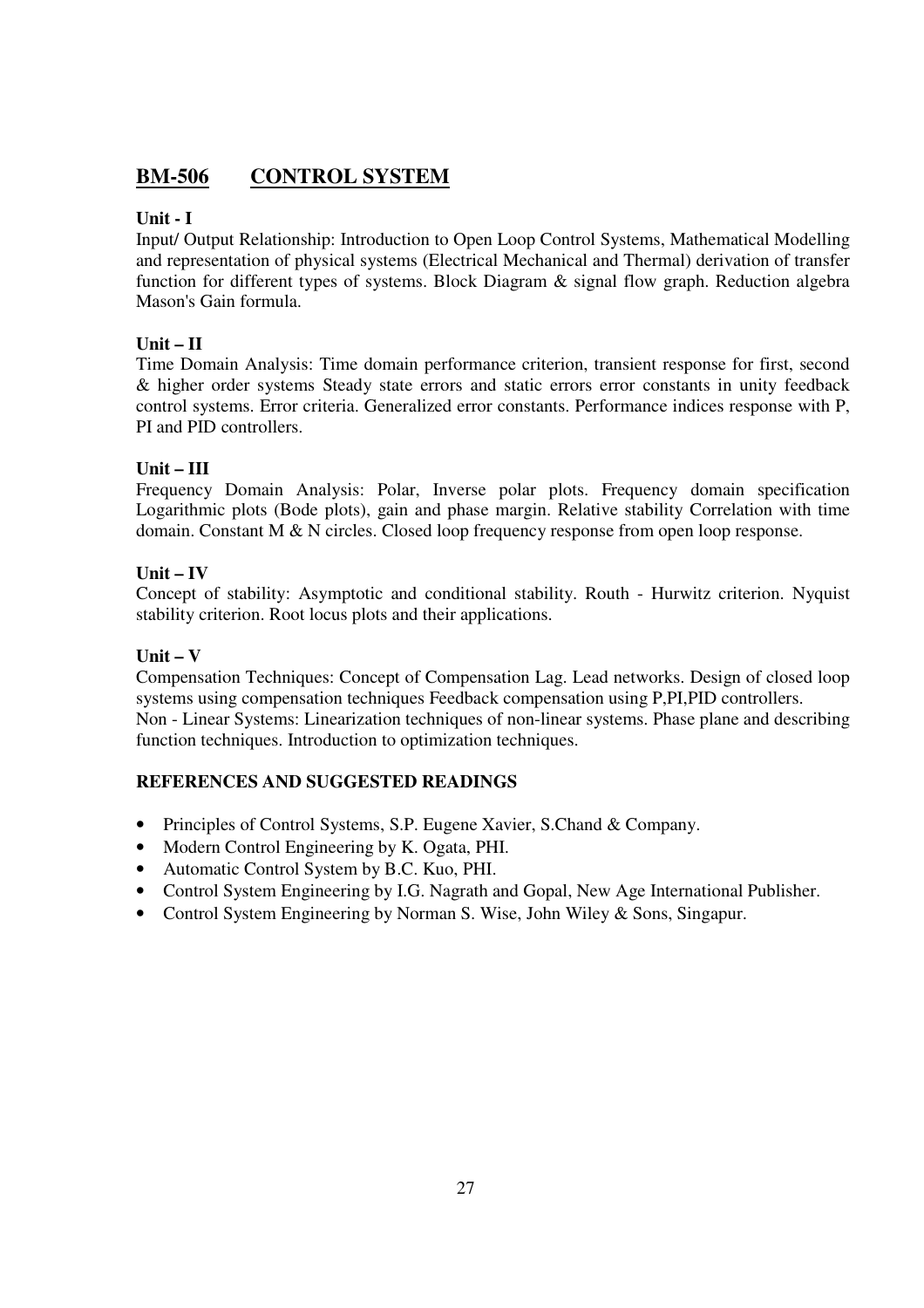## **BM-506 CONTROL SYSTEM**

## **Unit - I**

Input/ Output Relationship: Introduction to Open Loop Control Systems, Mathematical Modelling and representation of physical systems (Electrical Mechanical and Thermal) derivation of transfer function for different types of systems. Block Diagram & signal flow graph. Reduction algebra Mason's Gain formula.

## **Unit – II**

Time Domain Analysis: Time domain performance criterion, transient response for first, second & higher order systems Steady state errors and static errors error constants in unity feedback control systems. Error criteria. Generalized error constants. Performance indices response with P, PI and PID controllers.

## **Unit – III**

Frequency Domain Analysis: Polar, Inverse polar plots. Frequency domain specification Logarithmic plots (Bode plots), gain and phase margin. Relative stability Correlation with time domain. Constant M & N circles. Closed loop frequency response from open loop response.

## **Unit – IV**

Concept of stability: Asymptotic and conditional stability. Routh - Hurwitz criterion. Nyquist stability criterion. Root locus plots and their applications.

## **Unit – V**

Compensation Techniques: Concept of Compensation Lag. Lead networks. Design of closed loop systems using compensation techniques Feedback compensation using P,PI,PID controllers. Non - Linear Systems: Linearization techniques of non-linear systems. Phase plane and describing function techniques. Introduction to optimization techniques.

- Principles of Control Systems, S.P. Eugene Xavier, S.Chand & Company.
- Modern Control Engineering by K. Ogata, PHI.
- Automatic Control System by B.C. Kuo, PHI.
- Control System Engineering by I.G. Nagrath and Gopal, New Age International Publisher.
- Control System Engineering by Norman S. Wise, John Wiley & Sons, Singapur.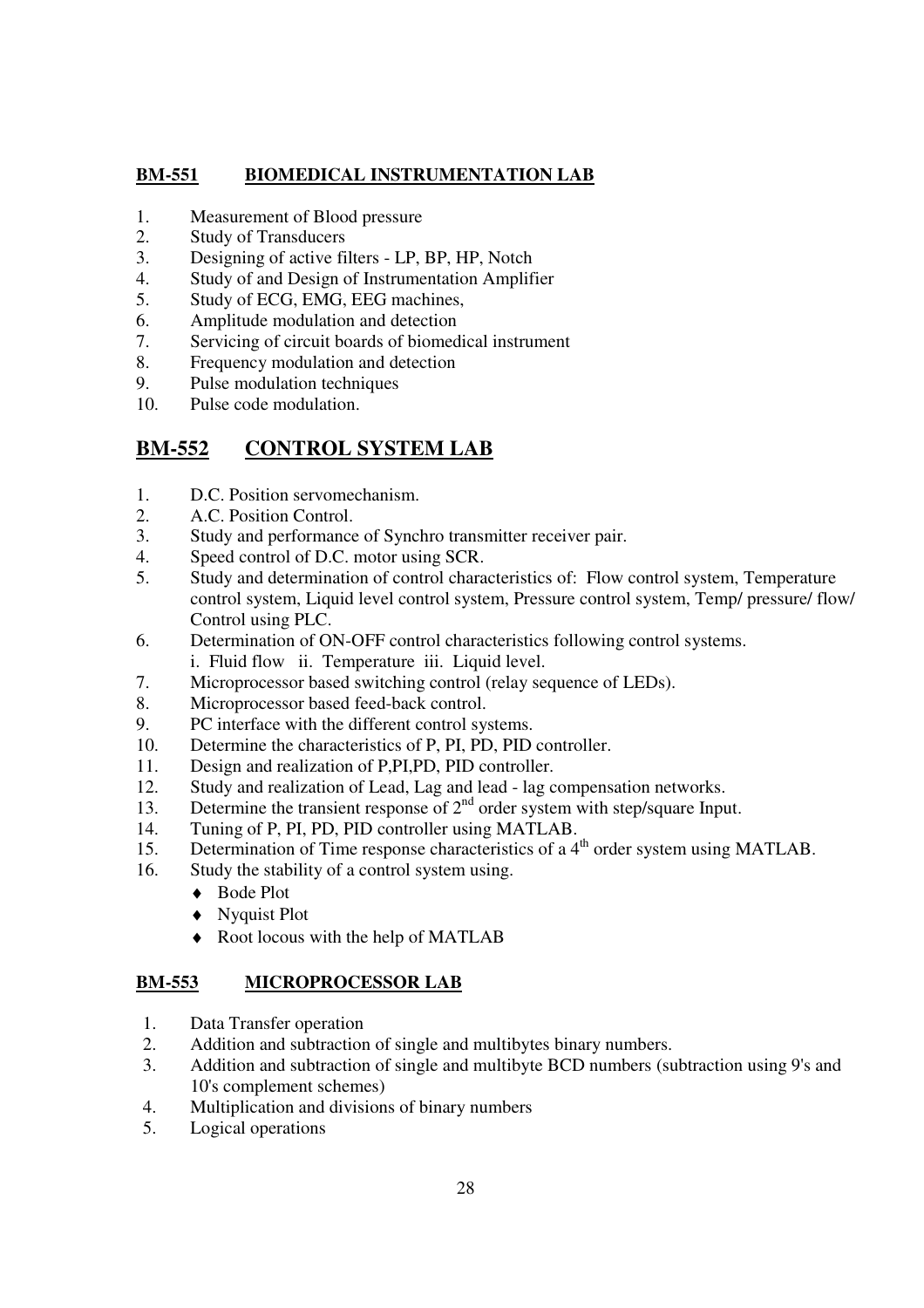## **BM-551 BIOMEDICAL INSTRUMENTATION LAB**

- 1. Measurement of Blood pressure
- 2. Study of Transducers
- 3. Designing of active filters LP, BP, HP, Notch
- 4. Study of and Design of Instrumentation Amplifier
- 5. Study of ECG, EMG, EEG machines,
- 6. Amplitude modulation and detection
- 7. Servicing of circuit boards of biomedical instrument
- 8. Frequency modulation and detection
- 9. Pulse modulation techniques
- 10. Pulse code modulation.

## **BM-552 CONTROL SYSTEM LAB**

- 1. D.C. Position servomechanism.
- 2. A.C. Position Control.
- 3. Study and performance of Synchro transmitter receiver pair.
- 4. Speed control of D.C. motor using SCR.
- 5. Study and determination of control characteristics of: Flow control system, Temperature control system, Liquid level control system, Pressure control system, Temp/ pressure/ flow/ Control using PLC.
- 6. Determination of ON-OFF control characteristics following control systems. i. Fluid flow ii. Temperature iii. Liquid level.
- 7. Microprocessor based switching control (relay sequence of LEDs).
- 8. Microprocessor based feed-back control.
- 9. PC interface with the different control systems.
- 10. Determine the characteristics of P, PI, PD, PID controller.
- 11. Design and realization of P,PI,PD, PID controller.
- 12. Study and realization of Lead, Lag and lead lag compensation networks.
- 13. Determine the transient response of  $2<sup>nd</sup>$  order system with step/square Input.
- 14. Tuning of P, PI, PD, PID controller using MATLAB.
- 15. Determination of Time response characteristics of a  $4<sup>th</sup>$  order system using MATLAB.
- 16. Study the stability of a control system using.
	- ◆ Bode Plot
	- ♦ Nyquist Plot
	- ♦ Root locous with the help of MATLAB

## **BM-553 MICROPROCESSOR LAB**

- 1. Data Transfer operation
- 2. Addition and subtraction of single and multibytes binary numbers.
- 3. Addition and subtraction of single and multibyte BCD numbers (subtraction using 9's and 10's complement schemes)
- 4. Multiplication and divisions of binary numbers
- 5. Logical operations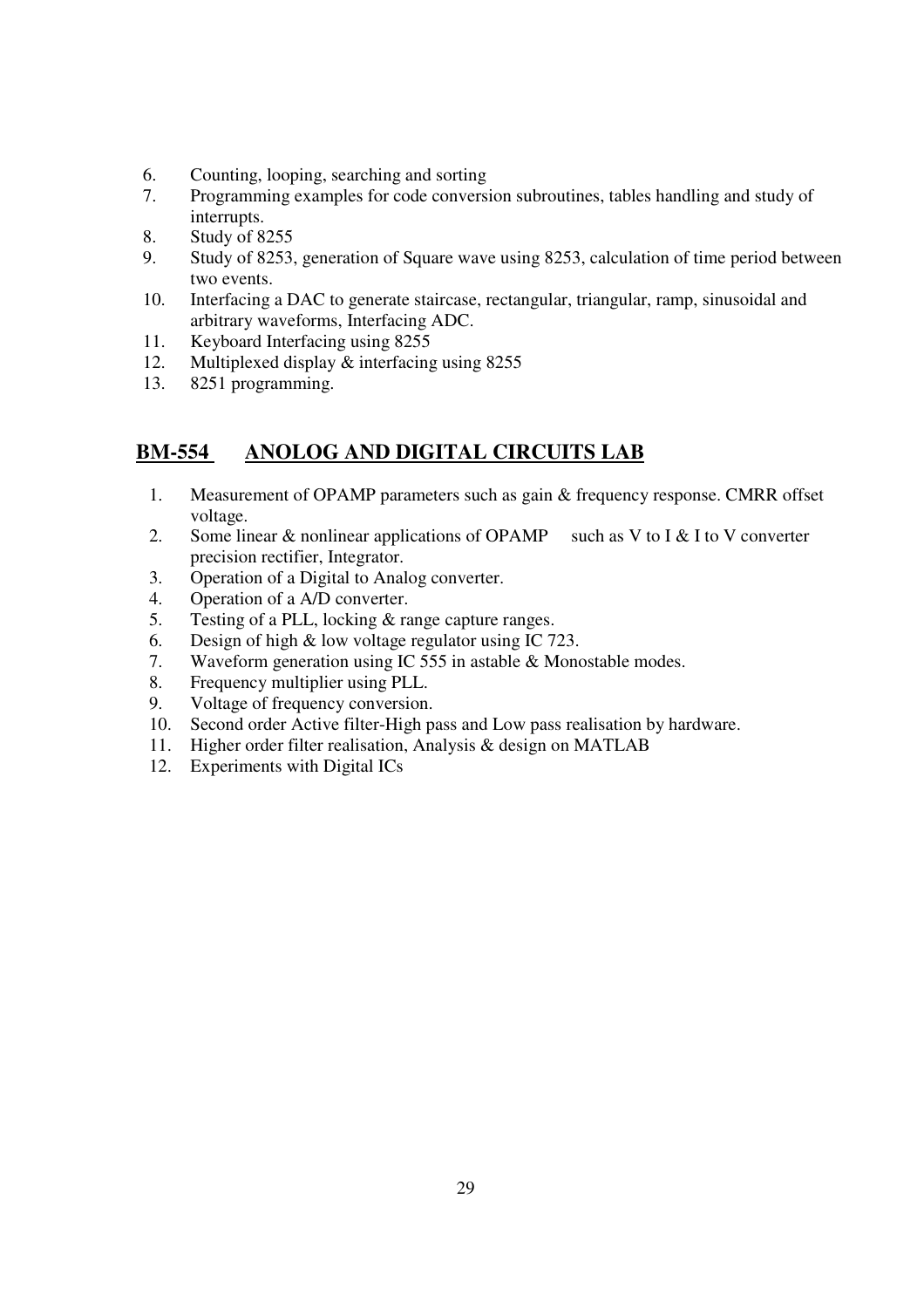- 6. Counting, looping, searching and sorting
- 7. Programming examples for code conversion subroutines, tables handling and study of interrupts.
- 8. Study of 8255
- 9. Study of 8253, generation of Square wave using 8253, calculation of time period between two events.
- 10. Interfacing a DAC to generate staircase, rectangular, triangular, ramp, sinusoidal and arbitrary waveforms, Interfacing ADC.
- 11. Keyboard Interfacing using 8255
- 12. Multiplexed display & interfacing using 8255<br>13. 8251 programming.
- 8251 programming.

## **BM-554 ANOLOG AND DIGITAL CIRCUITS LAB**

- 1. Measurement of OPAMP parameters such as gain & frequency response. CMRR offset voltage.
- 2. Some linear  $\&$  nonlinear applications of OPAMP such as V to I  $\&$  I to V converter precision rectifier, Integrator.
- 3. Operation of a Digital to Analog converter.
- 4. Operation of a A/D converter.
- 5. Testing of a PLL, locking & range capture ranges.
- 6. Design of high & low voltage regulator using IC 723.
- 7. Waveform generation using IC 555 in astable & Monostable modes.
- 8. Frequency multiplier using PLL.
- 9. Voltage of frequency conversion.
- 10. Second order Active filter-High pass and Low pass realisation by hardware.
- 11. Higher order filter realisation, Analysis & design on MATLAB
- 12. Experiments with Digital ICs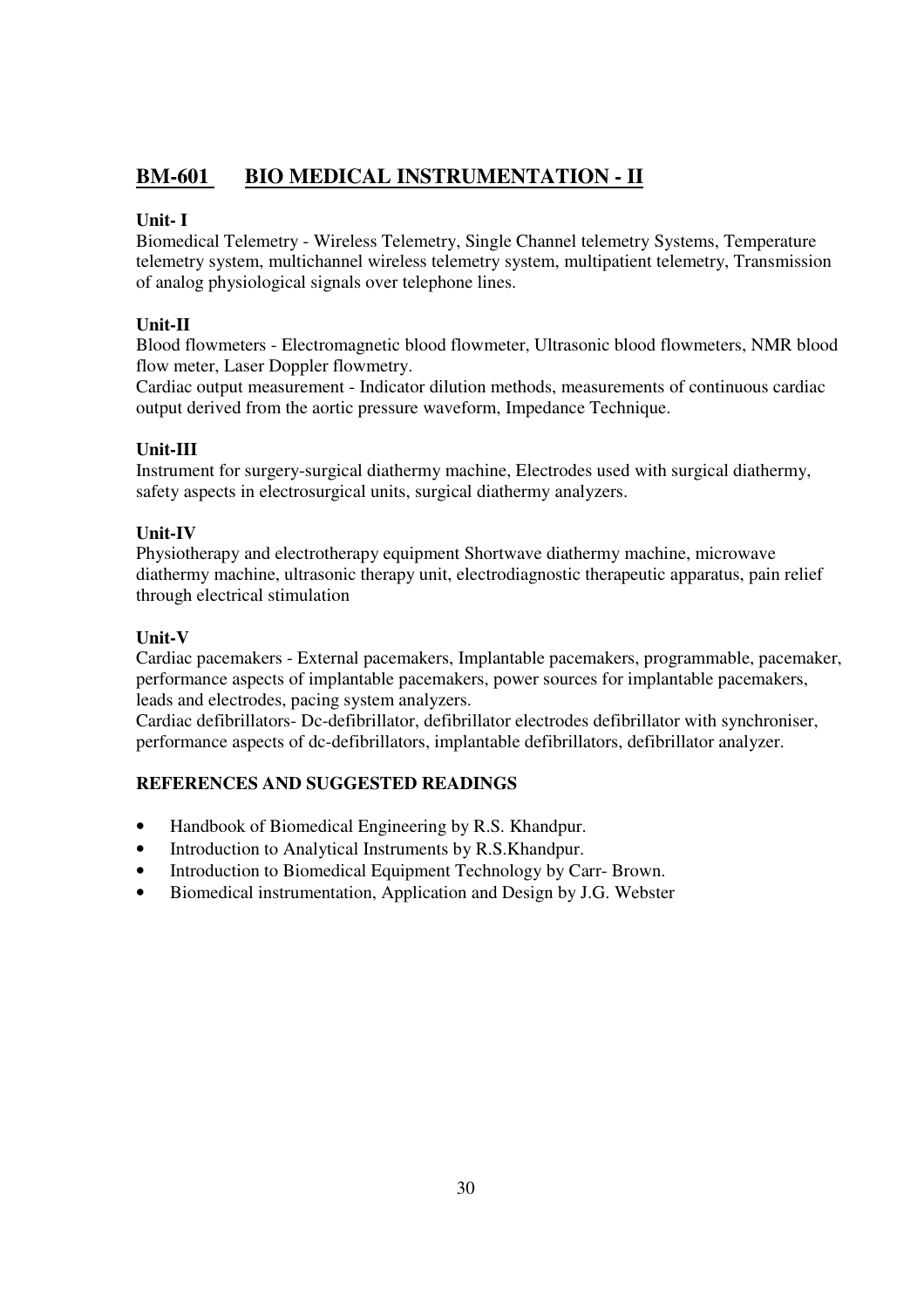## **BM-601 BIO MEDICAL INSTRUMENTATION - II**

## **Unit- I**

Biomedical Telemetry - Wireless Telemetry, Single Channel telemetry Systems, Temperature telemetry system, multichannel wireless telemetry system, multipatient telemetry, Transmission of analog physiological signals over telephone lines.

## **Unit-II**

Blood flowmeters - Electromagnetic blood flowmeter, Ultrasonic blood flowmeters, NMR blood flow meter, Laser Doppler flowmetry.

Cardiac output measurement - Indicator dilution methods, measurements of continuous cardiac output derived from the aortic pressure waveform, Impedance Technique.

## **Unit-III**

Instrument for surgery-surgical diathermy machine, Electrodes used with surgical diathermy, safety aspects in electrosurgical units, surgical diathermy analyzers.

## **Unit-IV**

Physiotherapy and electrotherapy equipment Shortwave diathermy machine, microwave diathermy machine, ultrasonic therapy unit, electrodiagnostic therapeutic apparatus, pain relief through electrical stimulation

## **Unit-V**

Cardiac pacemakers - External pacemakers, Implantable pacemakers, programmable, pacemaker, performance aspects of implantable pacemakers, power sources for implantable pacemakers, leads and electrodes, pacing system analyzers.

Cardiac defibrillators- Dc-defibrillator, defibrillator electrodes defibrillator with synchroniser, performance aspects of dc-defibrillators, implantable defibrillators, defibrillator analyzer.

- Handbook of Biomedical Engineering by R.S. Khandpur.
- Introduction to Analytical Instruments by R.S.Khandpur.
- Introduction to Biomedical Equipment Technology by Carr- Brown.
- Biomedical instrumentation, Application and Design by J.G. Webster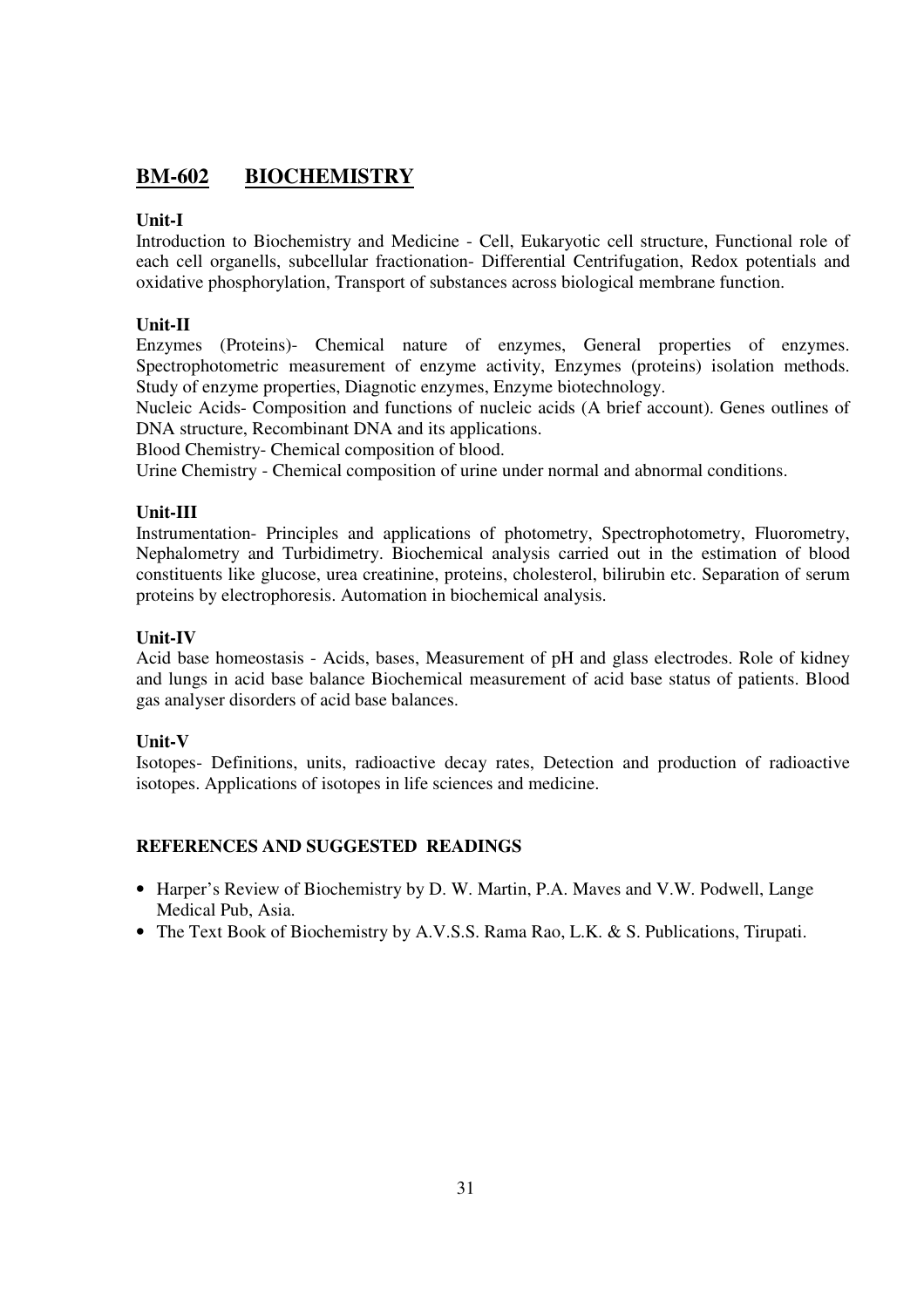## **BM-602 BIOCHEMISTRY**

## **Unit-I**

Introduction to Biochemistry and Medicine - Cell, Eukaryotic cell structure, Functional role of each cell organells, subcellular fractionation- Differential Centrifugation, Redox potentials and oxidative phosphorylation, Transport of substances across biological membrane function.

## **Unit-II**

Enzymes (Proteins)- Chemical nature of enzymes, General properties of enzymes. Spectrophotometric measurement of enzyme activity, Enzymes (proteins) isolation methods. Study of enzyme properties, Diagnotic enzymes, Enzyme biotechnology.

Nucleic Acids- Composition and functions of nucleic acids (A brief account). Genes outlines of DNA structure, Recombinant DNA and its applications.

Blood Chemistry- Chemical composition of blood.

Urine Chemistry - Chemical composition of urine under normal and abnormal conditions.

## **Unit-III**

Instrumentation- Principles and applications of photometry, Spectrophotometry, Fluorometry, Nephalometry and Turbidimetry. Biochemical analysis carried out in the estimation of blood constituents like glucose, urea creatinine, proteins, cholesterol, bilirubin etc. Separation of serum proteins by electrophoresis. Automation in biochemical analysis.

## **Unit-IV**

Acid base homeostasis - Acids, bases, Measurement of pH and glass electrodes. Role of kidney and lungs in acid base balance Biochemical measurement of acid base status of patients. Blood gas analyser disorders of acid base balances.

## **Unit-V**

Isotopes- Definitions, units, radioactive decay rates, Detection and production of radioactive isotopes. Applications of isotopes in life sciences and medicine.

- Harper's Review of Biochemistry by D. W. Martin, P.A. Maves and V.W. Podwell, Lange Medical Pub, Asia.
- The Text Book of Biochemistry by A.V.S.S. Rama Rao, L.K. & S. Publications, Tirupati.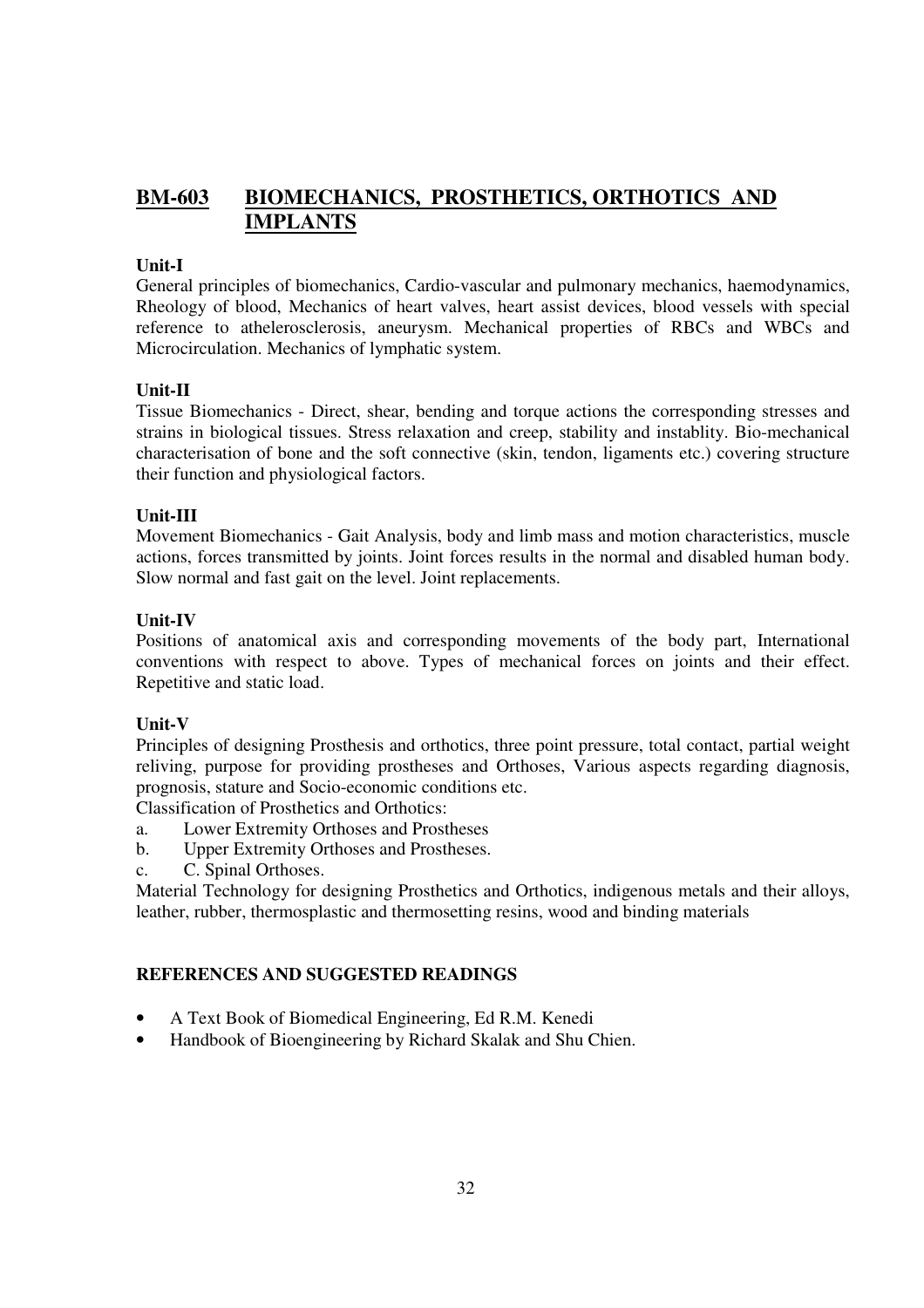## **BM-603 BIOMECHANICS, PROSTHETICS, ORTHOTICS AND IMPLANTS**

#### **Unit-I**

General principles of biomechanics, Cardio-vascular and pulmonary mechanics, haemodynamics, Rheology of blood, Mechanics of heart valves, heart assist devices, blood vessels with special reference to athelerosclerosis, aneurysm. Mechanical properties of RBCs and WBCs and Microcirculation. Mechanics of lymphatic system.

#### **Unit-II**

Tissue Biomechanics - Direct, shear, bending and torque actions the corresponding stresses and strains in biological tissues. Stress relaxation and creep, stability and instablity. Bio-mechanical characterisation of bone and the soft connective (skin, tendon, ligaments etc.) covering structure their function and physiological factors.

#### **Unit-III**

Movement Biomechanics - Gait Analysis, body and limb mass and motion characteristics, muscle actions, forces transmitted by joints. Joint forces results in the normal and disabled human body. Slow normal and fast gait on the level. Joint replacements.

#### **Unit-IV**

Positions of anatomical axis and corresponding movements of the body part, International conventions with respect to above. Types of mechanical forces on joints and their effect. Repetitive and static load.

## **Unit-V**

Principles of designing Prosthesis and orthotics, three point pressure, total contact, partial weight reliving, purpose for providing prostheses and Orthoses, Various aspects regarding diagnosis, prognosis, stature and Socio-economic conditions etc.

Classification of Prosthetics and Orthotics:

- a. Lower Extremity Orthoses and Prostheses
- b. Upper Extremity Orthoses and Prostheses.
- c. C. Spinal Orthoses.

Material Technology for designing Prosthetics and Orthotics, indigenous metals and their alloys, leather, rubber, thermosplastic and thermosetting resins, wood and binding materials

- A Text Book of Biomedical Engineering, Ed R.M. Kenedi
- Handbook of Bioengineering by Richard Skalak and Shu Chien.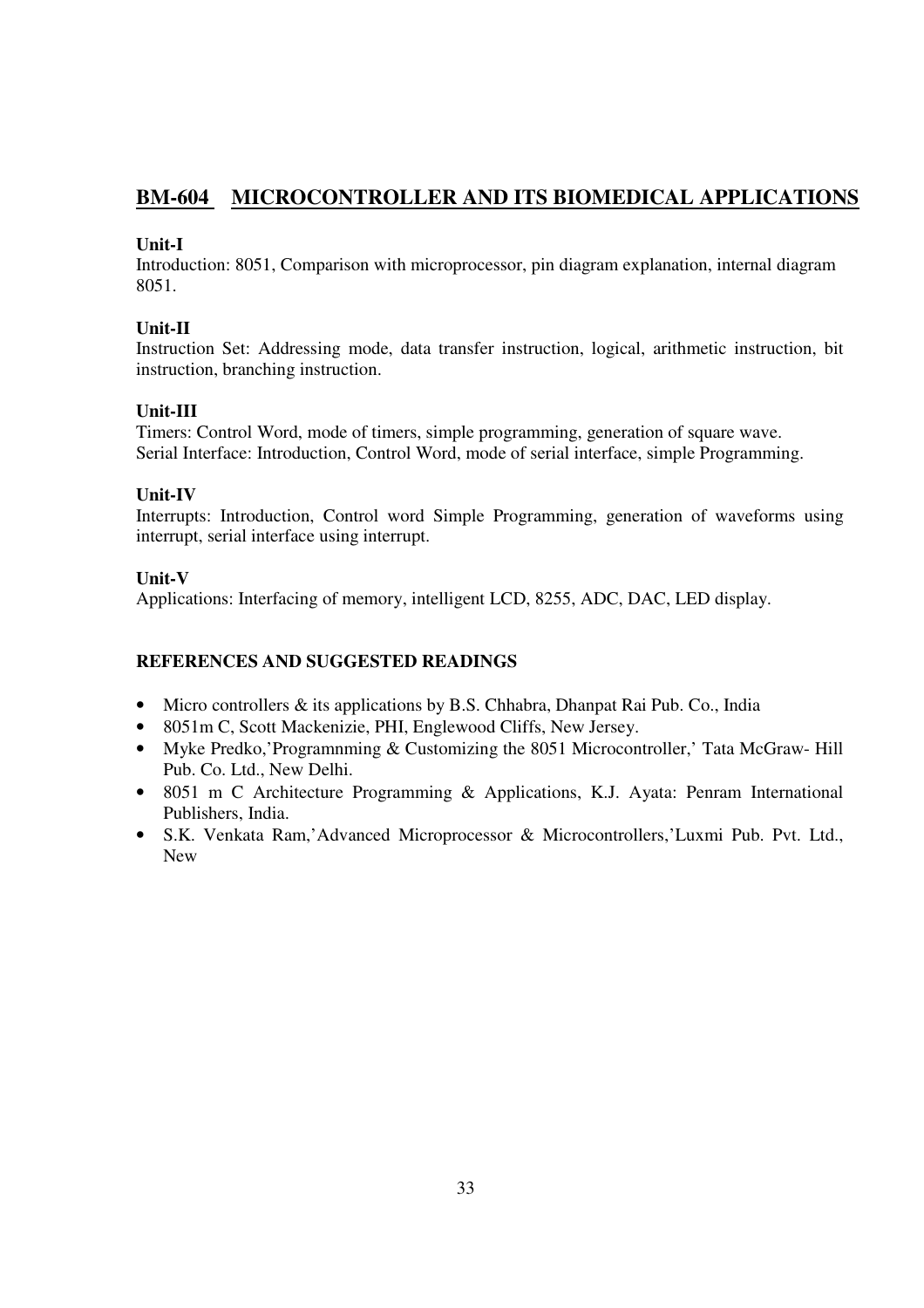## **BM-604 MICROCONTROLLER AND ITS BIOMEDICAL APPLICATIONS**

## **Unit-I**

Introduction: 8051, Comparison with microprocessor, pin diagram explanation, internal diagram 8051.

## **Unit-II**

Instruction Set: Addressing mode, data transfer instruction, logical, arithmetic instruction, bit instruction, branching instruction.

## **Unit-III**

Timers: Control Word, mode of timers, simple programming, generation of square wave. Serial Interface: Introduction, Control Word, mode of serial interface, simple Programming.

## **Unit-IV**

Interrupts: Introduction, Control word Simple Programming, generation of waveforms using interrupt, serial interface using interrupt.

## **Unit-V**

Applications: Interfacing of memory, intelligent LCD, 8255, ADC, DAC, LED display.

- Micro controllers & its applications by B.S. Chhabra, Dhanpat Rai Pub. Co., India
- 8051m C, Scott Mackenizie, PHI, Englewood Cliffs, New Jersey.
- Myke Predko,'Programnming & Customizing the 8051 Microcontroller,' Tata McGraw-Hill Pub. Co. Ltd., New Delhi.
- 8051 m C Architecture Programming & Applications, K.J. Avata: Penram International Publishers, India.
- S.K. Venkata Ram,'Advanced Microprocessor & Microcontrollers,'Luxmi Pub. Pvt. Ltd., New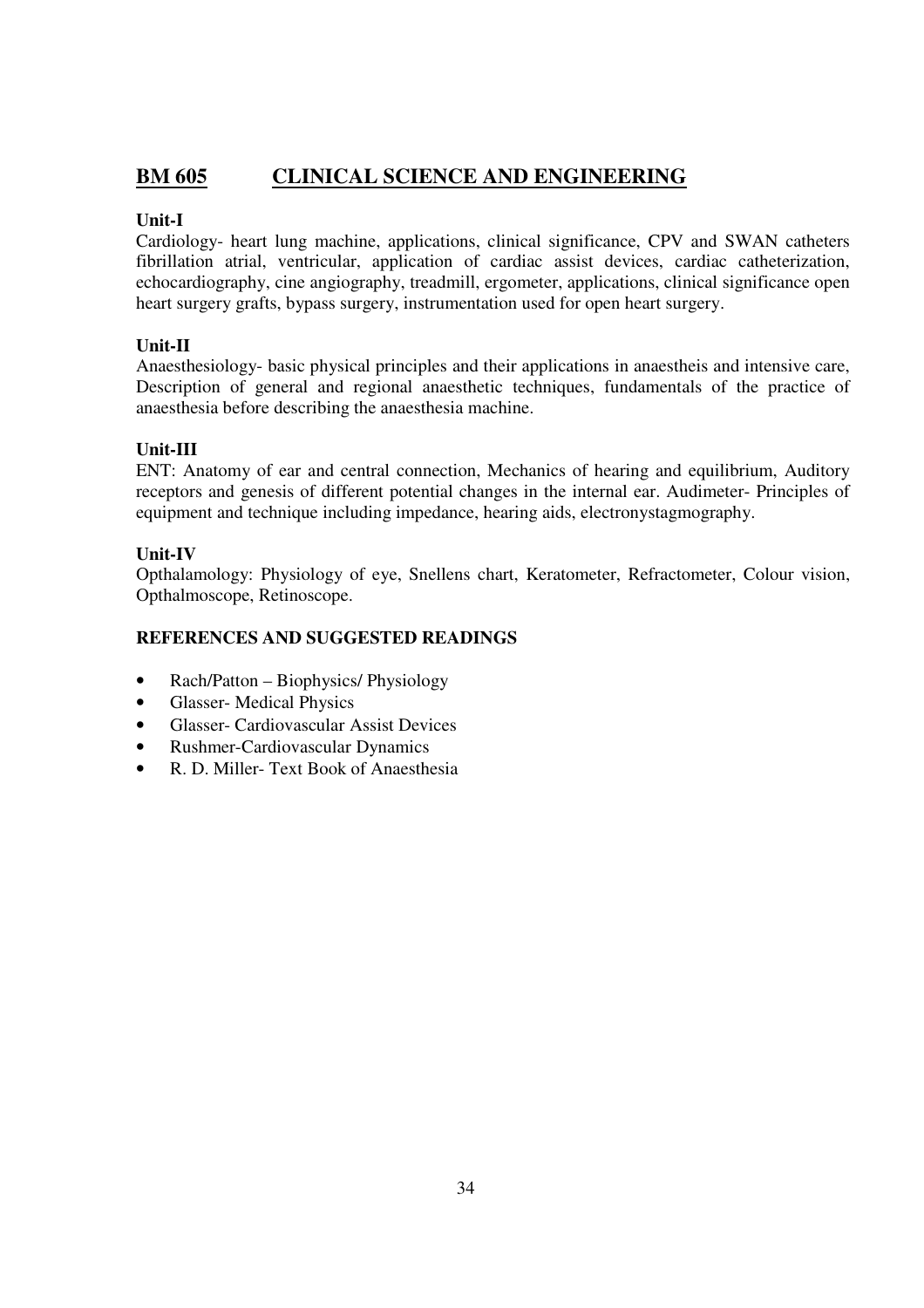## **BM 605 CLINICAL SCIENCE AND ENGINEERING**

## **Unit-I**

Cardiology- heart lung machine, applications, clinical significance, CPV and SWAN catheters fibrillation atrial, ventricular, application of cardiac assist devices, cardiac catheterization, echocardiography, cine angiography, treadmill, ergometer, applications, clinical significance open heart surgery grafts, bypass surgery, instrumentation used for open heart surgery.

## **Unit-II**

Anaesthesiology- basic physical principles and their applications in anaestheis and intensive care, Description of general and regional anaesthetic techniques, fundamentals of the practice of anaesthesia before describing the anaesthesia machine.

## **Unit-III**

ENT: Anatomy of ear and central connection, Mechanics of hearing and equilibrium, Auditory receptors and genesis of different potential changes in the internal ear. Audimeter- Principles of equipment and technique including impedance, hearing aids, electronystagmography.

## **Unit-IV**

Opthalamology: Physiology of eye, Snellens chart, Keratometer, Refractometer, Colour vision, Opthalmoscope, Retinoscope.

- Rach/Patton Biophysics/ Physiology
- Glasser- Medical Physics
- Glasser- Cardiovascular Assist Devices
- Rushmer-Cardiovascular Dynamics
- R. D. Miller- Text Book of Anaesthesia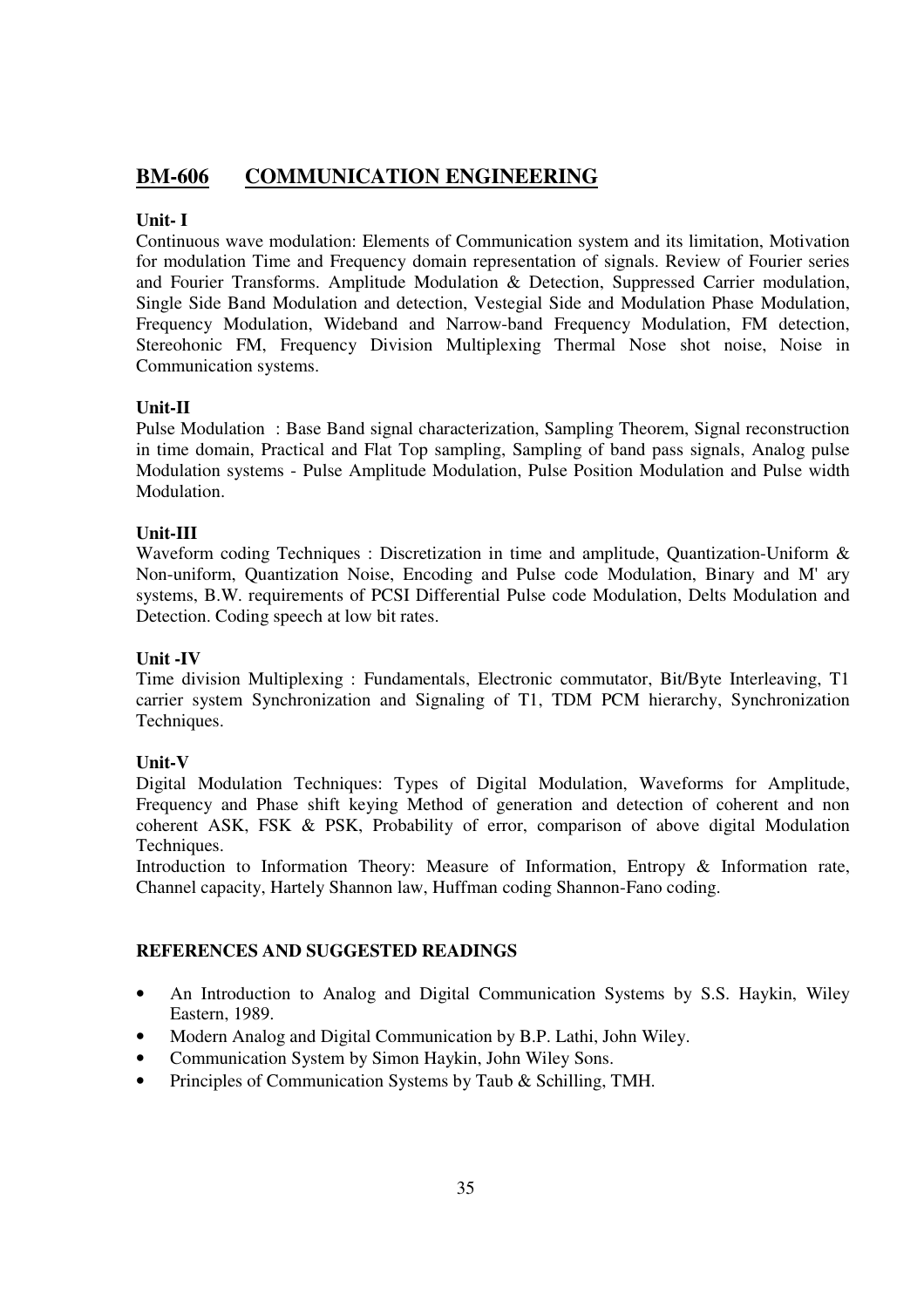## **BM-606 COMMUNICATION ENGINEERING**

## **Unit- I**

Continuous wave modulation: Elements of Communication system and its limitation, Motivation for modulation Time and Frequency domain representation of signals. Review of Fourier series and Fourier Transforms. Amplitude Modulation & Detection, Suppressed Carrier modulation, Single Side Band Modulation and detection, Vestegial Side and Modulation Phase Modulation, Frequency Modulation, Wideband and Narrow-band Frequency Modulation, FM detection, Stereohonic FM, Frequency Division Multiplexing Thermal Nose shot noise, Noise in Communication systems.

## **Unit-II**

Pulse Modulation : Base Band signal characterization, Sampling Theorem, Signal reconstruction in time domain, Practical and Flat Top sampling, Sampling of band pass signals, Analog pulse Modulation systems - Pulse Amplitude Modulation, Pulse Position Modulation and Pulse width Modulation.

## **Unit-III**

Waveform coding Techniques : Discretization in time and amplitude, Quantization-Uniform & Non-uniform, Quantization Noise, Encoding and Pulse code Modulation, Binary and M' ary systems, B.W. requirements of PCSI Differential Pulse code Modulation, Delts Modulation and Detection. Coding speech at low bit rates.

## **Unit -IV**

Time division Multiplexing : Fundamentals, Electronic commutator, Bit/Byte Interleaving, T1 carrier system Synchronization and Signaling of T1, TDM PCM hierarchy, Synchronization Techniques.

## **Unit-V**

Digital Modulation Techniques: Types of Digital Modulation, Waveforms for Amplitude, Frequency and Phase shift keying Method of generation and detection of coherent and non coherent ASK, FSK & PSK, Probability of error, comparison of above digital Modulation Techniques.

Introduction to Information Theory: Measure of Information, Entropy & Information rate, Channel capacity, Hartely Shannon law, Huffman coding Shannon-Fano coding.

- An Introduction to Analog and Digital Communication Systems by S.S. Haykin, Wiley Eastern, 1989.
- Modern Analog and Digital Communication by B.P. Lathi, John Wiley.
- Communication System by Simon Haykin, John Wiley Sons.
- Principles of Communication Systems by Taub & Schilling, TMH.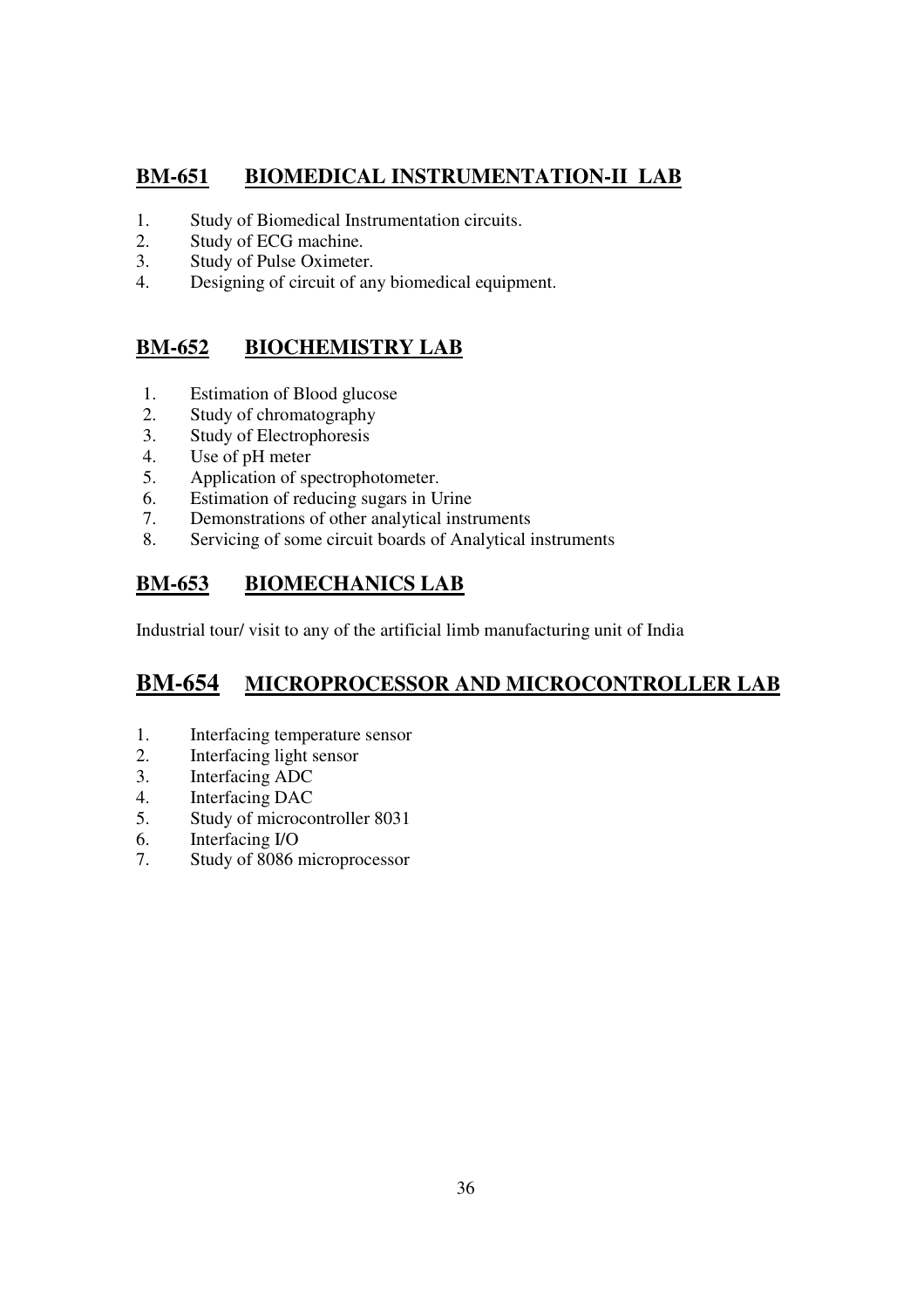## **BM-651 BIOMEDICAL INSTRUMENTATION-II LAB**

- 1. Study of Biomedical Instrumentation circuits.
- 2. Study of ECG machine.
- 3. Study of Pulse Oximeter.
- 4. Designing of circuit of any biomedical equipment.

## **BM-652 BIOCHEMISTRY LAB**

- 1. Estimation of Blood glucose
- 2. Study of chromatography
- 3. Study of Electrophoresis
- 4. Use of pH meter
- 5. Application of spectrophotometer.
- 6. Estimation of reducing sugars in Urine
- 7. Demonstrations of other analytical instruments
- 8. Servicing of some circuit boards of Analytical instruments

## **BM-653 BIOMECHANICS LAB**

Industrial tour/ visit to any of the artificial limb manufacturing unit of India

## **BM-654 MICROPROCESSOR AND MICROCONTROLLER LAB**

- 1. Interfacing temperature sensor
- 2. Interfacing light sensor
- 3. Interfacing ADC
- 4. Interfacing DAC
- 5. Study of microcontroller 8031
- 6. Interfacing I/O
- 7. Study of 8086 microprocessor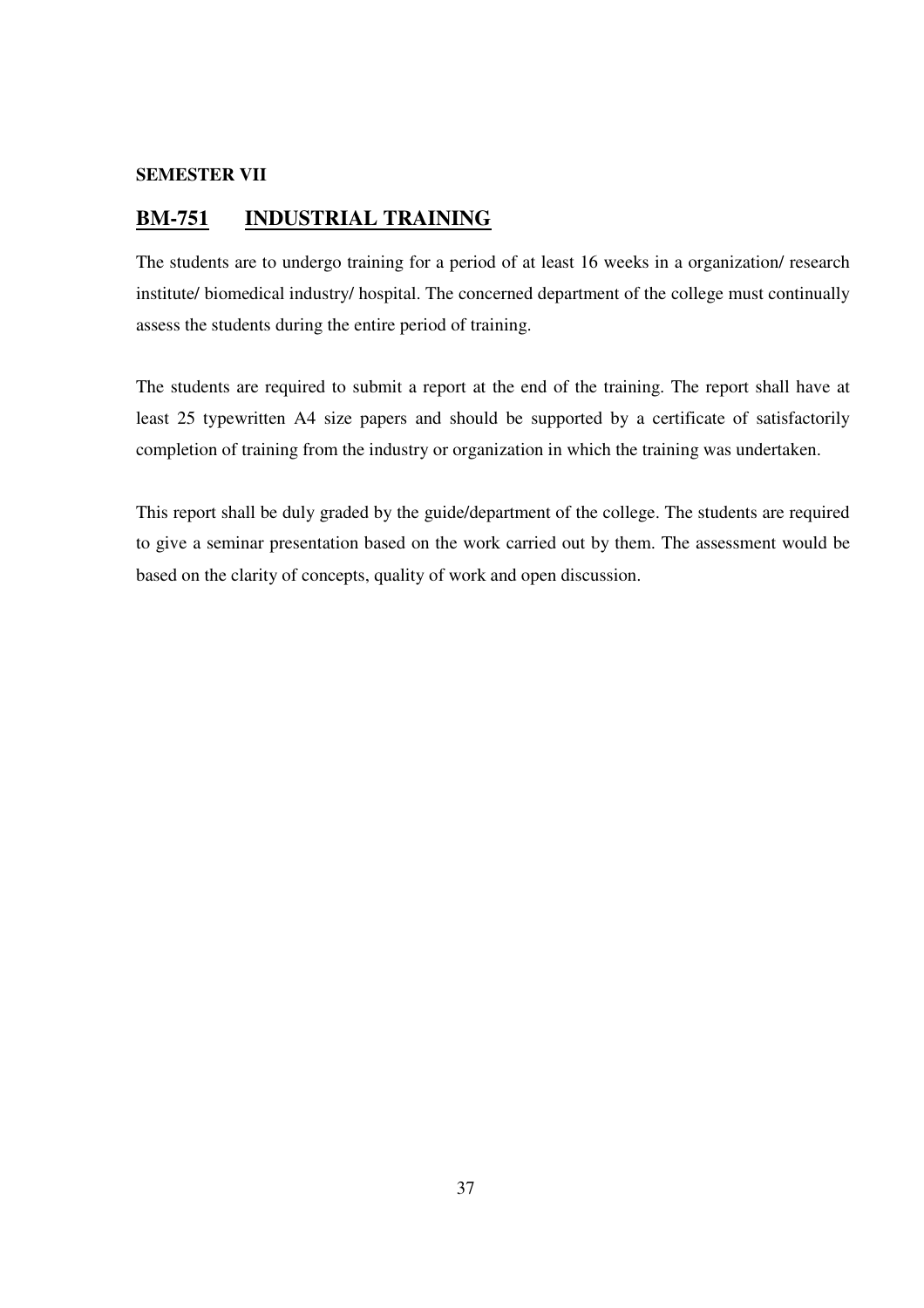#### **SEMESTER VII**

## **BM-751 INDUSTRIAL TRAINING**

The students are to undergo training for a period of at least 16 weeks in a organization/ research institute/ biomedical industry/ hospital. The concerned department of the college must continually assess the students during the entire period of training.

The students are required to submit a report at the end of the training. The report shall have at least 25 typewritten A4 size papers and should be supported by a certificate of satisfactorily completion of training from the industry or organization in which the training was undertaken.

This report shall be duly graded by the guide/department of the college. The students are required to give a seminar presentation based on the work carried out by them. The assessment would be based on the clarity of concepts, quality of work and open discussion.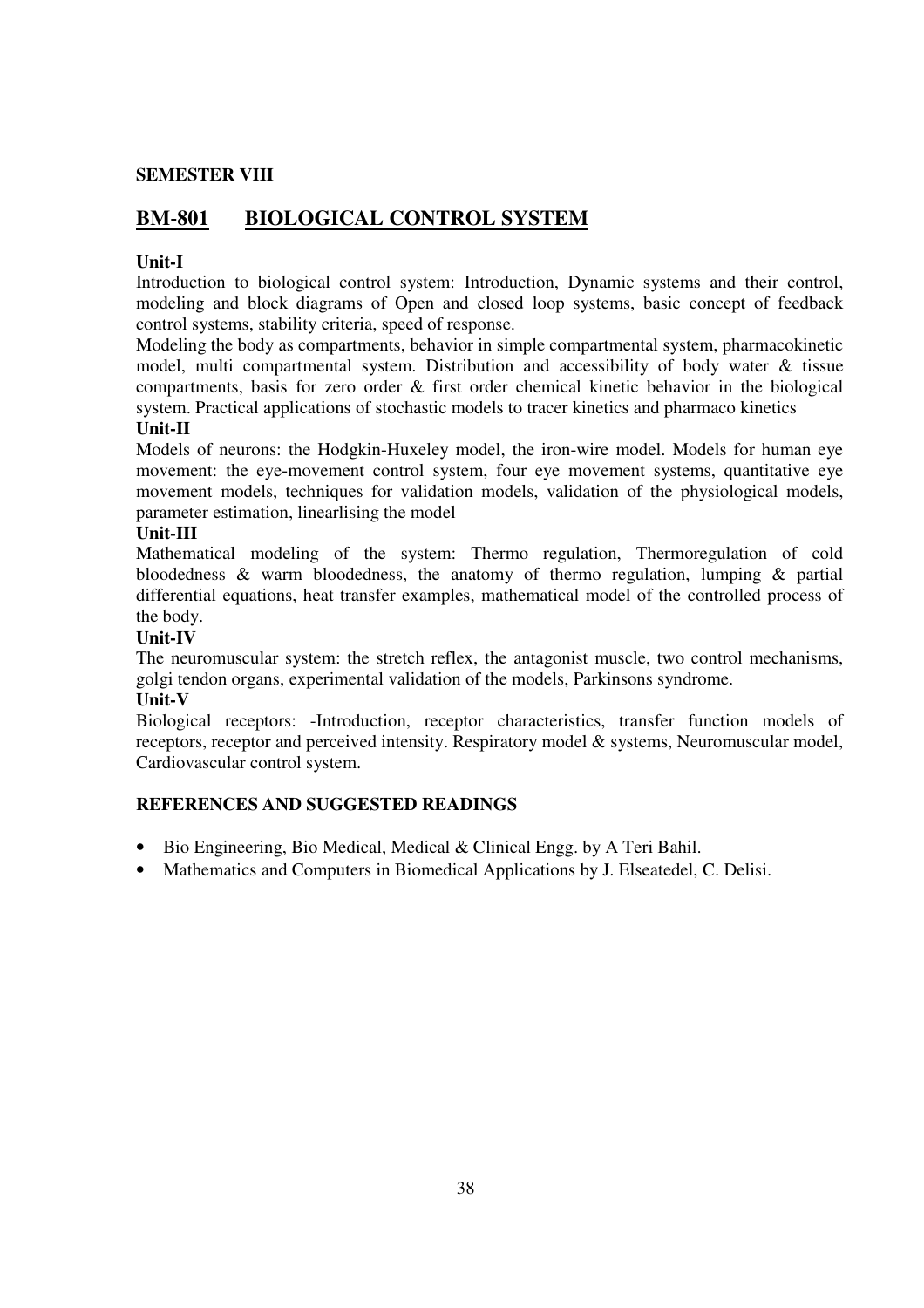## **SEMESTER VIII**

## **BM-801 BIOLOGICAL CONTROL SYSTEM**

## **Unit-I**

Introduction to biological control system: Introduction, Dynamic systems and their control, modeling and block diagrams of Open and closed loop systems, basic concept of feedback control systems, stability criteria, speed of response.

Modeling the body as compartments, behavior in simple compartmental system, pharmacokinetic model, multi compartmental system. Distribution and accessibility of body water & tissue compartments, basis for zero order & first order chemical kinetic behavior in the biological system. Practical applications of stochastic models to tracer kinetics and pharmaco kinetics

#### **Unit-II**

Models of neurons: the Hodgkin-Huxeley model, the iron-wire model. Models for human eye movement: the eye-movement control system, four eye movement systems, quantitative eye movement models, techniques for validation models, validation of the physiological models, parameter estimation, linearlising the model

#### **Unit-III**

Mathematical modeling of the system: Thermo regulation, Thermoregulation of cold bloodedness & warm bloodedness, the anatomy of thermo regulation, lumping & partial differential equations, heat transfer examples, mathematical model of the controlled process of the body.

## **Unit-IV**

The neuromuscular system: the stretch reflex, the antagonist muscle, two control mechanisms, golgi tendon organs, experimental validation of the models, Parkinsons syndrome.

#### **Unit-V**

Biological receptors: -Introduction, receptor characteristics, transfer function models of receptors, receptor and perceived intensity. Respiratory model & systems, Neuromuscular model, Cardiovascular control system.

- Bio Engineering, Bio Medical, Medical & Clinical Engg. by A Teri Bahil.
- Mathematics and Computers in Biomedical Applications by J. Elseatedel, C. Delisi.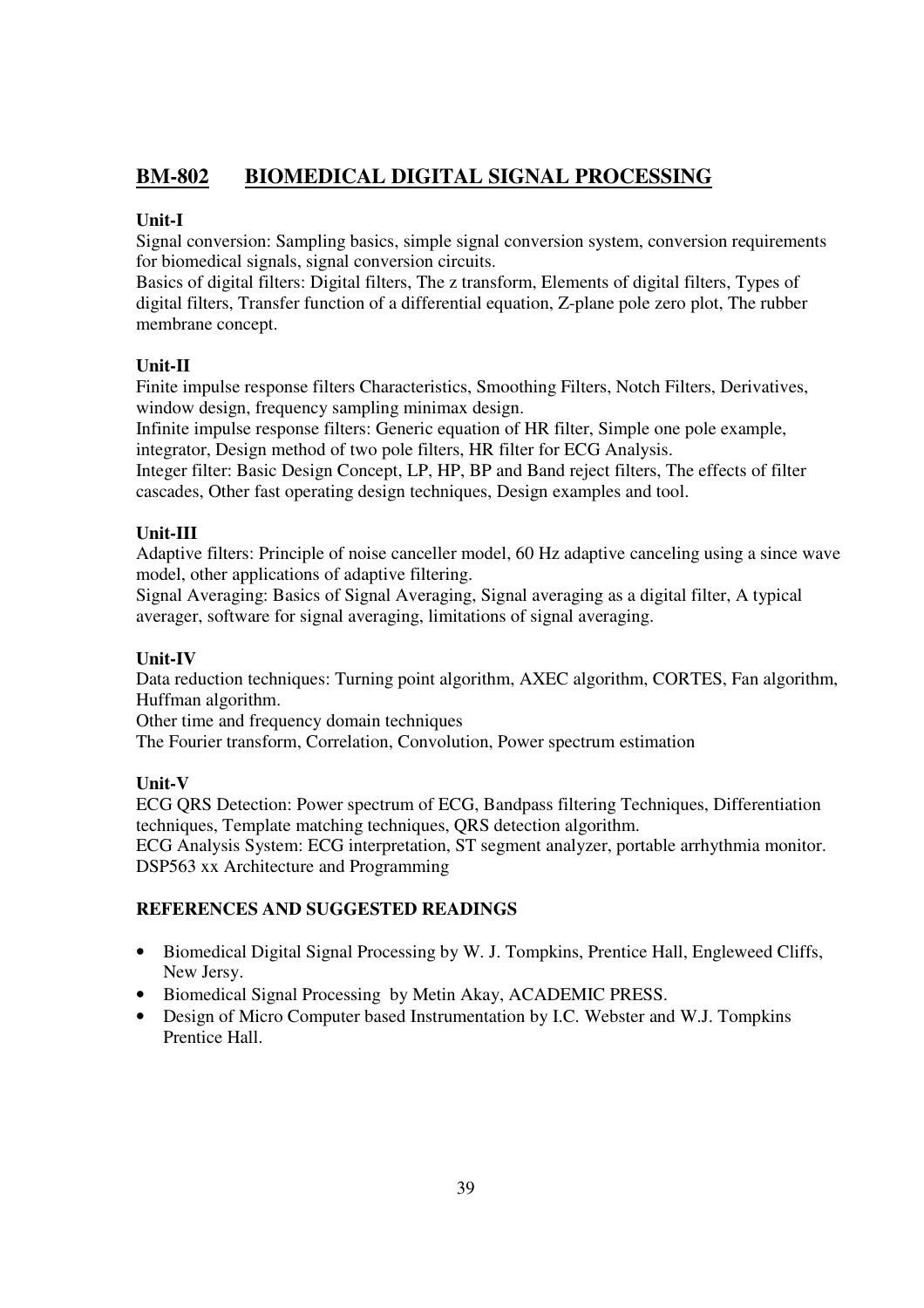## **BM-802 BIOMEDICAL DIGITAL SIGNAL PROCESSING**

## **Unit-I**

Signal conversion: Sampling basics, simple signal conversion system, conversion requirements for biomedical signals, signal conversion circuits.

Basics of digital filters: Digital filters, The z transform, Elements of digital filters, Types of digital filters, Transfer function of a differential equation, Z-plane pole zero plot, The rubber membrane concept.

## **Unit-II**

Finite impulse response filters Characteristics, Smoothing Filters, Notch Filters, Derivatives, window design, frequency sampling minimax design.

Infinite impulse response filters: Generic equation of HR filter, Simple one pole example, integrator, Design method of two pole filters, HR filter for ECG Analysis.

Integer filter: Basic Design Concept, LP, HP, BP and Band reject filters, The effects of filter cascades, Other fast operating design techniques, Design examples and tool.

## **Unit-III**

Adaptive filters: Principle of noise canceller model, 60 Hz adaptive canceling using a since wave model, other applications of adaptive filtering.

Signal Averaging: Basics of Signal Averaging, Signal averaging as a digital filter, A typical averager, software for signal averaging, limitations of signal averaging.

## **Unit-IV**

Data reduction techniques: Turning point algorithm, AXEC algorithm, CORTES, Fan algorithm, Huffman algorithm.

Other time and frequency domain techniques

The Fourier transform, Correlation, Convolution, Power spectrum estimation

## **Unit-V**

ECG QRS Detection: Power spectrum of ECG, Bandpass filtering Techniques, Differentiation techniques, Template matching techniques, QRS detection algorithm.

ECG Analysis System: ECG interpretation, ST segment analyzer, portable arrhythmia monitor. DSP563 xx Architecture and Programming

- Biomedical Digital Signal Processing by W. J. Tompkins, Prentice Hall, Engleweed Cliffs, New Jersy.
- Biomedical Signal Processing by Metin Akay, ACADEMIC PRESS.
- Design of Micro Computer based Instrumentation by I.C. Webster and W.J. Tompkins Prentice Hall.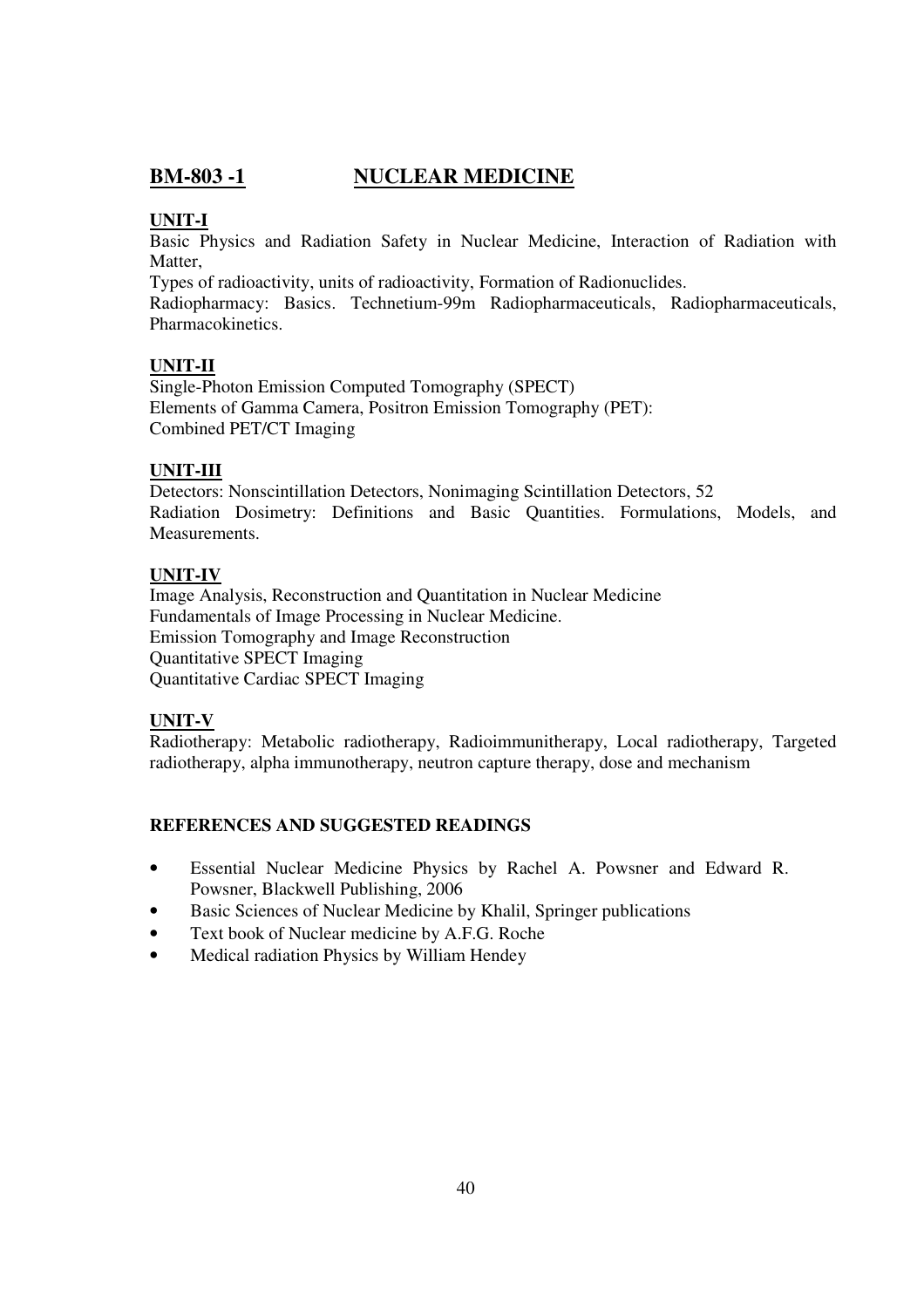## **BM-803 -1 NUCLEAR MEDICINE**

## **UNIT-I**

Basic Physics and Radiation Safety in Nuclear Medicine, Interaction of Radiation with Matter.

Types of radioactivity, units of radioactivity, Formation of Radionuclides.

Radiopharmacy: Basics. Technetium-99m Radiopharmaceuticals, Radiopharmaceuticals, Pharmacokinetics.

## **UNIT-II**

Single-Photon Emission Computed Tomography (SPECT) Elements of Gamma Camera, Positron Emission Tomography (PET): Combined PET/CT Imaging

## **UNIT-III**

Detectors: Nonscintillation Detectors, Nonimaging Scintillation Detectors, 52 Radiation Dosimetry: Definitions and Basic Quantities. Formulations, Models, and Measurements.

## **UNIT-IV**

Image Analysis, Reconstruction and Quantitation in Nuclear Medicine Fundamentals of Image Processing in Nuclear Medicine. Emission Tomography and Image Reconstruction Quantitative SPECT Imaging Quantitative Cardiac SPECT Imaging

## **UNIT-V**

Radiotherapy: Metabolic radiotherapy, Radioimmunitherapy, Local radiotherapy, Targeted radiotherapy, alpha immunotherapy, neutron capture therapy, dose and mechanism

- Essential Nuclear Medicine Physics by Rachel A. Powsner and Edward R. Powsner, Blackwell Publishing, 2006
- Basic Sciences of Nuclear Medicine by Khalil, Springer publications
- Text book of Nuclear medicine by A.F.G. Roche
- Medical radiation Physics by William Hendey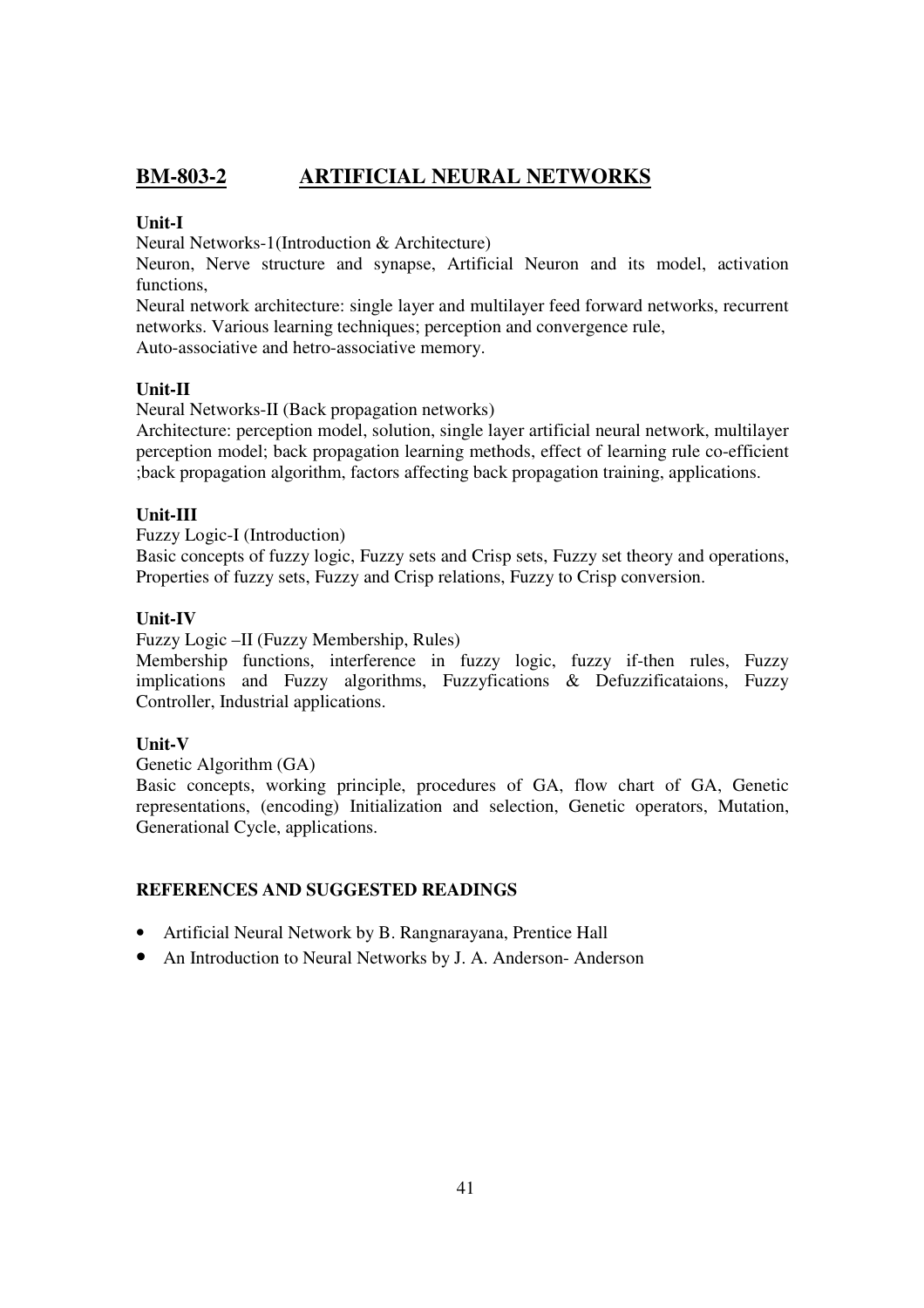## **BM-803-2 ARTIFICIAL NEURAL NETWORKS**

## **Unit-I**

Neural Networks-1(Introduction & Architecture)

Neuron, Nerve structure and synapse, Artificial Neuron and its model, activation functions,

Neural network architecture: single layer and multilayer feed forward networks, recurrent networks. Various learning techniques; perception and convergence rule,

Auto-associative and hetro-associative memory.

## **Unit-II**

Neural Networks-II (Back propagation networks)

Architecture: perception model, solution, single layer artificial neural network, multilayer perception model; back propagation learning methods, effect of learning rule co-efficient ;back propagation algorithm, factors affecting back propagation training, applications.

## **Unit-III**

Fuzzy Logic-I (Introduction)

Basic concepts of fuzzy logic, Fuzzy sets and Crisp sets, Fuzzy set theory and operations, Properties of fuzzy sets, Fuzzy and Crisp relations, Fuzzy to Crisp conversion.

## **Unit-IV**

Fuzzy Logic –II (Fuzzy Membership, Rules)

Membership functions, interference in fuzzy logic, fuzzy if-then rules, Fuzzy implications and Fuzzy algorithms, Fuzzyfications & Defuzzificataions, Fuzzy Controller, Industrial applications.

## **Unit-V**

Genetic Algorithm (GA)

Basic concepts, working principle, procedures of GA, flow chart of GA, Genetic representations, (encoding) Initialization and selection, Genetic operators, Mutation, Generational Cycle, applications.

- Artificial Neural Network by B. Rangnarayana, Prentice Hall
- An Introduction to Neural Networks by J. A. Anderson- Anderson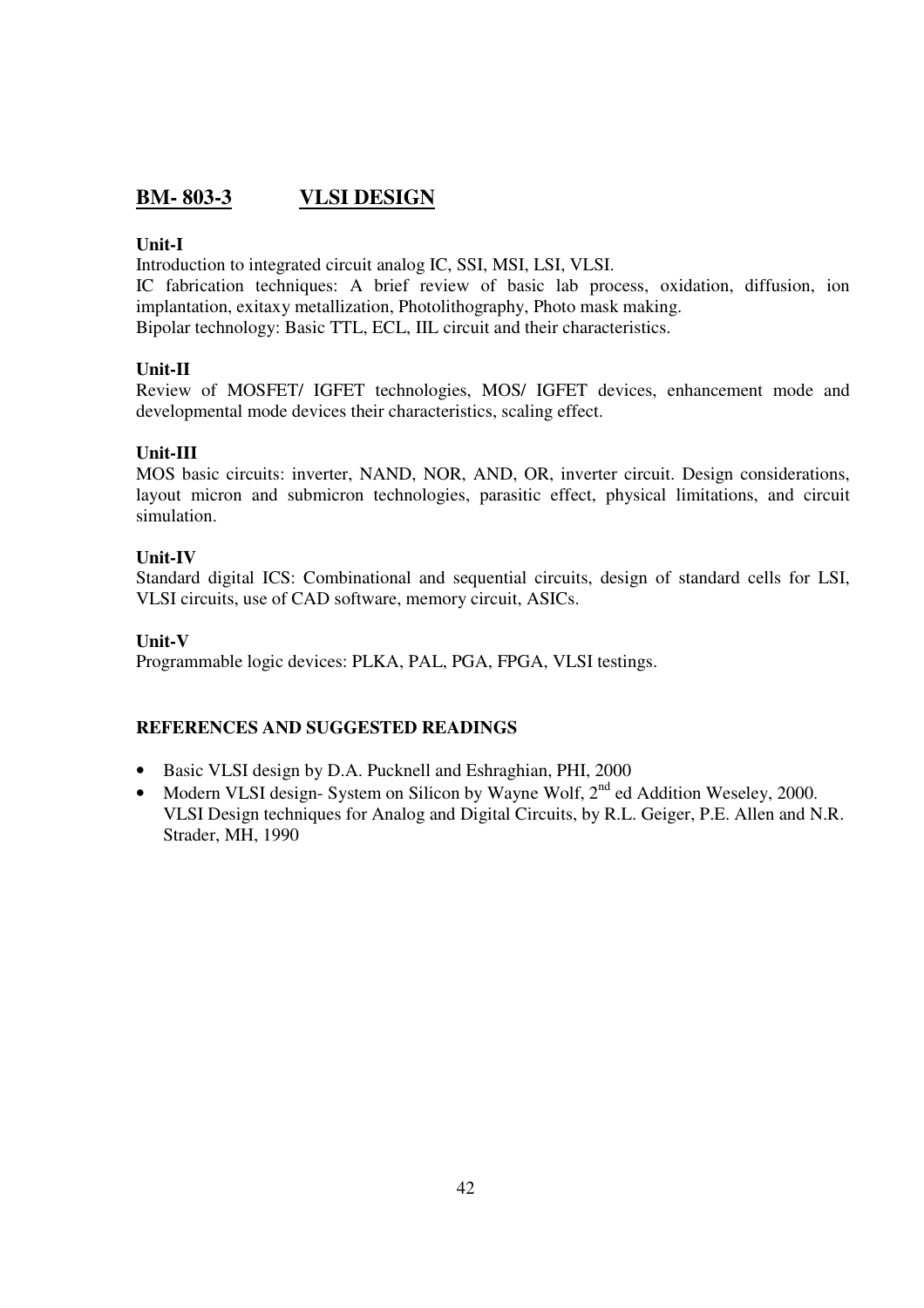## **BM- 803-3 VLSI DESIGN**

## **Unit-I**

Introduction to integrated circuit analog IC, SSI, MSI, LSI, VLSI.

IC fabrication techniques: A brief review of basic lab process, oxidation, diffusion, ion implantation, exitaxy metallization, Photolithography, Photo mask making. Bipolar technology: Basic TTL, ECL, IIL circuit and their characteristics.

## **Unit-II**

Review of MOSFET/ IGFET technologies, MOS/ IGFET devices, enhancement mode and developmental mode devices their characteristics, scaling effect.

## **Unit-III**

MOS basic circuits: inverter, NAND, NOR, AND, OR, inverter circuit. Design considerations, layout micron and submicron technologies, parasitic effect, physical limitations, and circuit simulation.

## **Unit-IV**

Standard digital ICS: Combinational and sequential circuits, design of standard cells for LSI, VLSI circuits, use of CAD software, memory circuit, ASICs.

## **Unit-V**

Programmable logic devices: PLKA, PAL, PGA, FPGA, VLSI testings.

- Basic VLSI design by D.A. Pucknell and Eshraghian, PHI, 2000
- Modern VLSI design- System on Silicon by Wayne Wolf, 2<sup>nd</sup> ed Addition Weseley, 2000. VLSI Design techniques for Analog and Digital Circuits, by R.L. Geiger, P.E. Allen and N.R. Strader, MH, 1990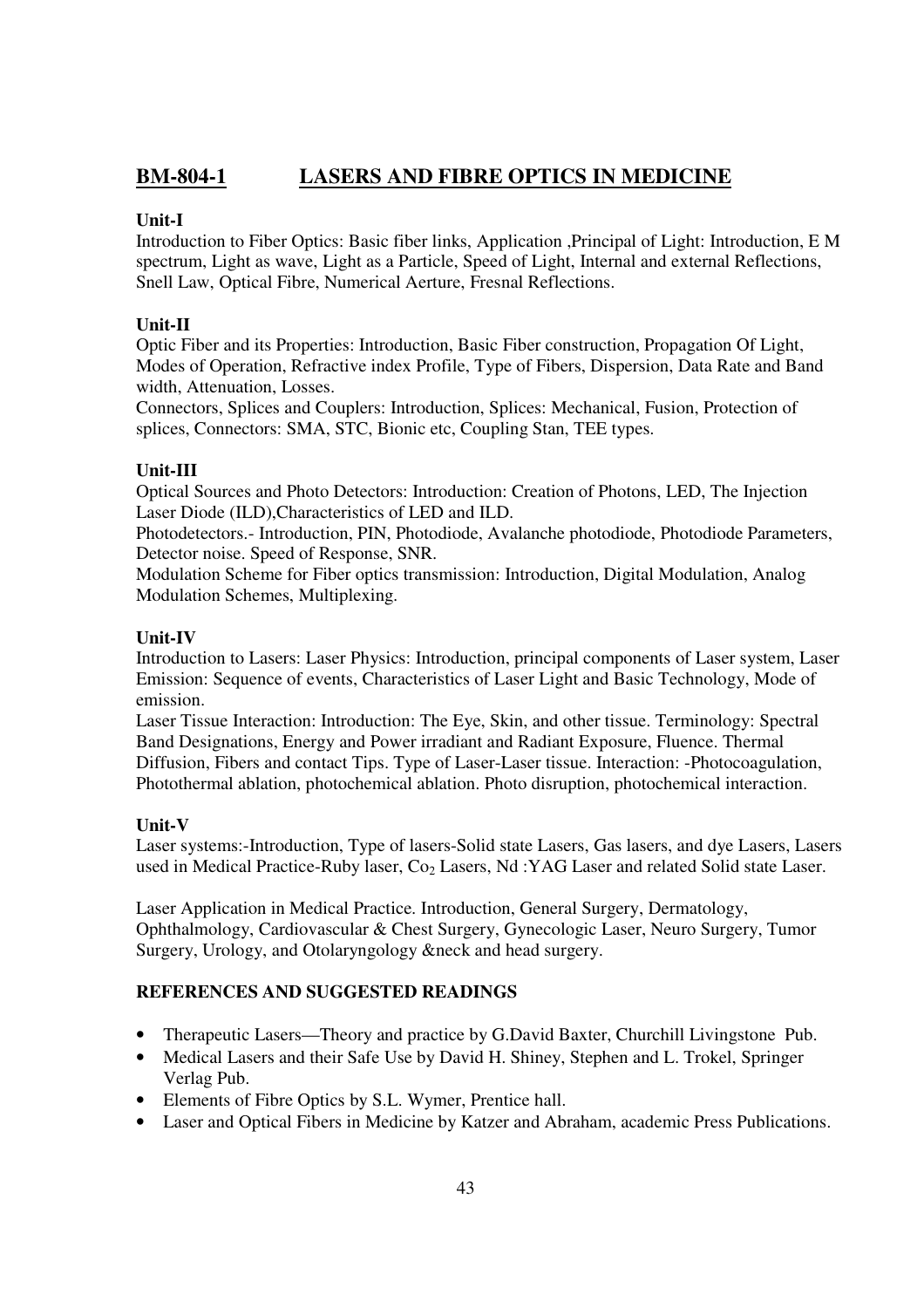## **BM-804-1 LASERS AND FIBRE OPTICS IN MEDICINE**

## **Unit-I**

Introduction to Fiber Optics: Basic fiber links, Application ,Principal of Light: Introduction, E M spectrum, Light as wave, Light as a Particle, Speed of Light, Internal and external Reflections, Snell Law, Optical Fibre, Numerical Aerture, Fresnal Reflections.

## **Unit-II**

Optic Fiber and its Properties: Introduction, Basic Fiber construction, Propagation Of Light, Modes of Operation, Refractive index Profile, Type of Fibers, Dispersion, Data Rate and Band width, Attenuation, Losses.

Connectors, Splices and Couplers: Introduction, Splices: Mechanical, Fusion, Protection of splices, Connectors: SMA, STC, Bionic etc, Coupling Stan, TEE types.

## **Unit-III**

Optical Sources and Photo Detectors: Introduction: Creation of Photons, LED, The Injection Laser Diode (ILD),Characteristics of LED and ILD.

Photodetectors.- Introduction, PIN, Photodiode, Avalanche photodiode, Photodiode Parameters, Detector noise. Speed of Response, SNR.

Modulation Scheme for Fiber optics transmission: Introduction, Digital Modulation, Analog Modulation Schemes, Multiplexing.

## **Unit-IV**

Introduction to Lasers: Laser Physics: Introduction, principal components of Laser system, Laser Emission: Sequence of events, Characteristics of Laser Light and Basic Technology, Mode of emission.

Laser Tissue Interaction: Introduction: The Eye, Skin, and other tissue. Terminology: Spectral Band Designations, Energy and Power irradiant and Radiant Exposure, Fluence. Thermal Diffusion, Fibers and contact Tips. Type of Laser-Laser tissue. Interaction: -Photocoagulation, Photothermal ablation, photochemical ablation. Photo disruption, photochemical interaction.

## **Unit-V**

Laser systems:-Introduction, Type of lasers-Solid state Lasers, Gas lasers, and dye Lasers, Lasers used in Medical Practice-Ruby laser, Co<sub>2</sub> Lasers, Nd :YAG Laser and related Solid state Laser.

Laser Application in Medical Practice. Introduction, General Surgery, Dermatology, Ophthalmology, Cardiovascular & Chest Surgery, Gynecologic Laser, Neuro Surgery, Tumor Surgery, Urology, and Otolaryngology &neck and head surgery.

- Therapeutic Lasers—Theory and practice by G.David Baxter, Churchill Livingstone Pub.
- Medical Lasers and their Safe Use by David H. Shiney, Stephen and L. Trokel, Springer Verlag Pub.
- Elements of Fibre Optics by S.L. Wymer, Prentice hall.
- Laser and Optical Fibers in Medicine by Katzer and Abraham, academic Press Publications.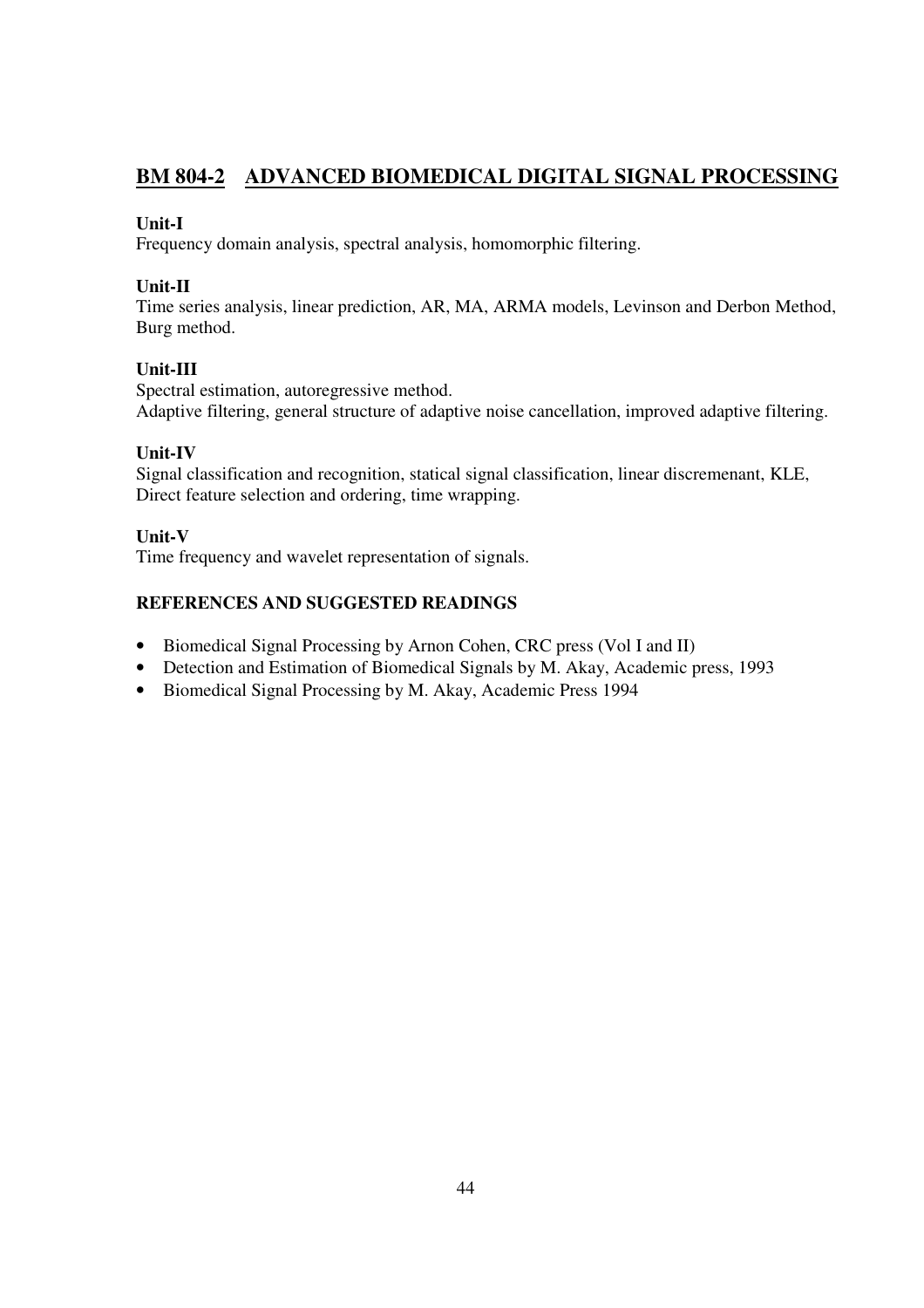## **BM 804-2 ADVANCED BIOMEDICAL DIGITAL SIGNAL PROCESSING**

## **Unit-I**

Frequency domain analysis, spectral analysis, homomorphic filtering.

## **Unit-II**

Time series analysis, linear prediction, AR, MA, ARMA models, Levinson and Derbon Method, Burg method.

## **Unit-III**

Spectral estimation, autoregressive method. Adaptive filtering, general structure of adaptive noise cancellation, improved adaptive filtering.

## **Unit-IV**

Signal classification and recognition, statical signal classification, linear discremenant, KLE, Direct feature selection and ordering, time wrapping.

## **Unit-V**

Time frequency and wavelet representation of signals.

- Biomedical Signal Processing by Arnon Cohen, CRC press (Vol I and II)
- Detection and Estimation of Biomedical Signals by M. Akay, Academic press, 1993
- Biomedical Signal Processing by M. Akay, Academic Press 1994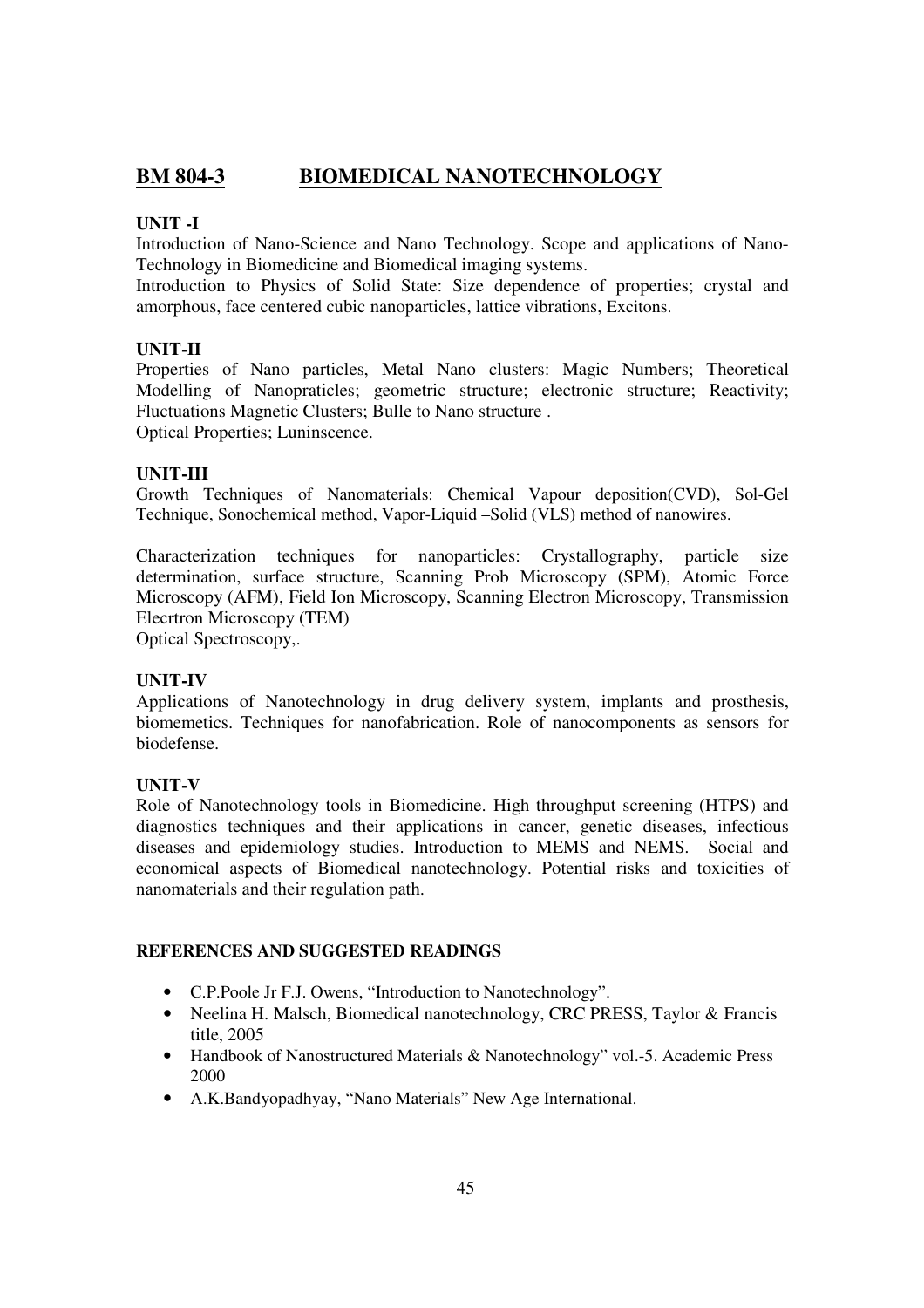## **BM 804-3 BIOMEDICAL NANOTECHNOLOGY**

## **UNIT -I**

Introduction of Nano-Science and Nano Technology. Scope and applications of Nano-Technology in Biomedicine and Biomedical imaging systems.

Introduction to Physics of Solid State: Size dependence of properties; crystal and amorphous, face centered cubic nanoparticles, lattice vibrations, Excitons.

## **UNIT-II**

Properties of Nano particles, Metal Nano clusters: Magic Numbers; Theoretical Modelling of Nanopraticles; geometric structure; electronic structure; Reactivity; Fluctuations Magnetic Clusters; Bulle to Nano structure . Optical Properties; Luninscence.

#### **UNIT-III**

Growth Techniques of Nanomaterials: Chemical Vapour deposition(CVD), Sol-Gel Technique, Sonochemical method, Vapor-Liquid –Solid (VLS) method of nanowires.

Characterization techniques for nanoparticles: Crystallography, particle size determination, surface structure, Scanning Prob Microscopy (SPM), Atomic Force Microscopy (AFM), Field Ion Microscopy, Scanning Electron Microscopy, Transmission Elecrtron Microscopy (TEM)

Optical Spectroscopy,.

## **UNIT-IV**

Applications of Nanotechnology in drug delivery system, implants and prosthesis, biomemetics. Techniques for nanofabrication. Role of nanocomponents as sensors for biodefense.

#### **UNIT-V**

Role of Nanotechnology tools in Biomedicine. High throughput screening (HTPS) and diagnostics techniques and their applications in cancer, genetic diseases, infectious diseases and epidemiology studies. Introduction to MEMS and NEMS. Social and economical aspects of Biomedical nanotechnology. Potential risks and toxicities of nanomaterials and their regulation path.

- C.P.Poole Jr F.J. Owens, "Introduction to Nanotechnology".
- Neelina H. Malsch, Biomedical nanotechnology, CRC PRESS, Taylor & Francis title, 2005
- Handbook of Nanostructured Materials & Nanotechnology" vol.-5. Academic Press 2000
- A.K.Bandyopadhyay, "Nano Materials" New Age International.